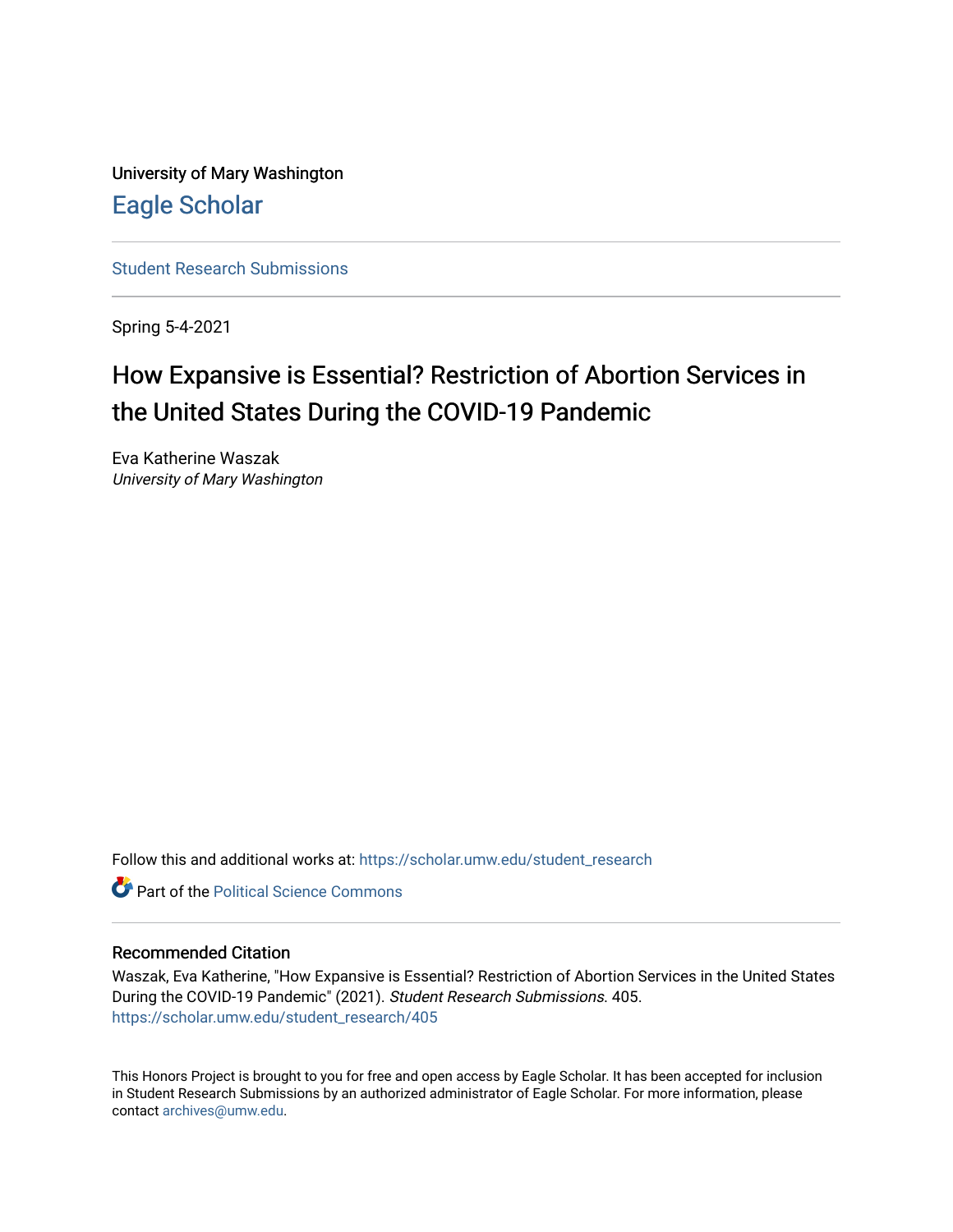University of Mary Washington [Eagle Scholar](https://scholar.umw.edu/) 

[Student Research Submissions](https://scholar.umw.edu/student_research) 

Spring 5-4-2021

# How Expansive is Essential? Restriction of Abortion Services in the United States During the COVID-19 Pandemic

Eva Katherine Waszak University of Mary Washington

Follow this and additional works at: [https://scholar.umw.edu/student\\_research](https://scholar.umw.edu/student_research?utm_source=scholar.umw.edu%2Fstudent_research%2F405&utm_medium=PDF&utm_campaign=PDFCoverPages)

**C** Part of the Political Science Commons

#### Recommended Citation

Waszak, Eva Katherine, "How Expansive is Essential? Restriction of Abortion Services in the United States During the COVID-19 Pandemic" (2021). Student Research Submissions. 405. [https://scholar.umw.edu/student\\_research/405](https://scholar.umw.edu/student_research/405?utm_source=scholar.umw.edu%2Fstudent_research%2F405&utm_medium=PDF&utm_campaign=PDFCoverPages)

This Honors Project is brought to you for free and open access by Eagle Scholar. It has been accepted for inclusion in Student Research Submissions by an authorized administrator of Eagle Scholar. For more information, please contact [archives@umw.edu](mailto:archives@umw.edu).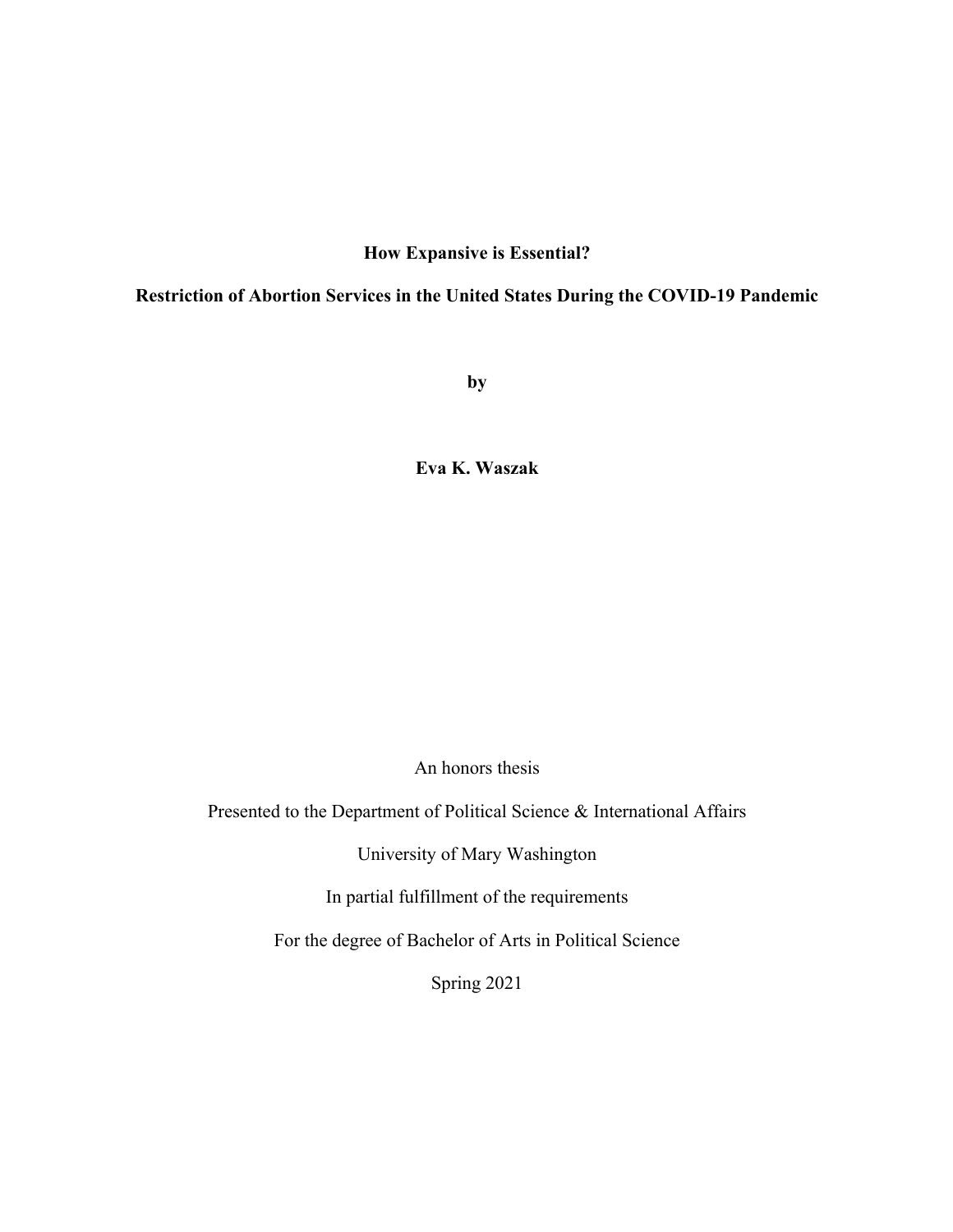## **How Expansive is Essential?**

## **Restriction of Abortion Services in the United States During the COVID-19 Pandemic**

**by**

**Eva K. Waszak** 

An honors thesis

Presented to the Department of Political Science & International Affairs

University of Mary Washington

In partial fulfillment of the requirements

For the degree of Bachelor of Arts in Political Science

Spring 2021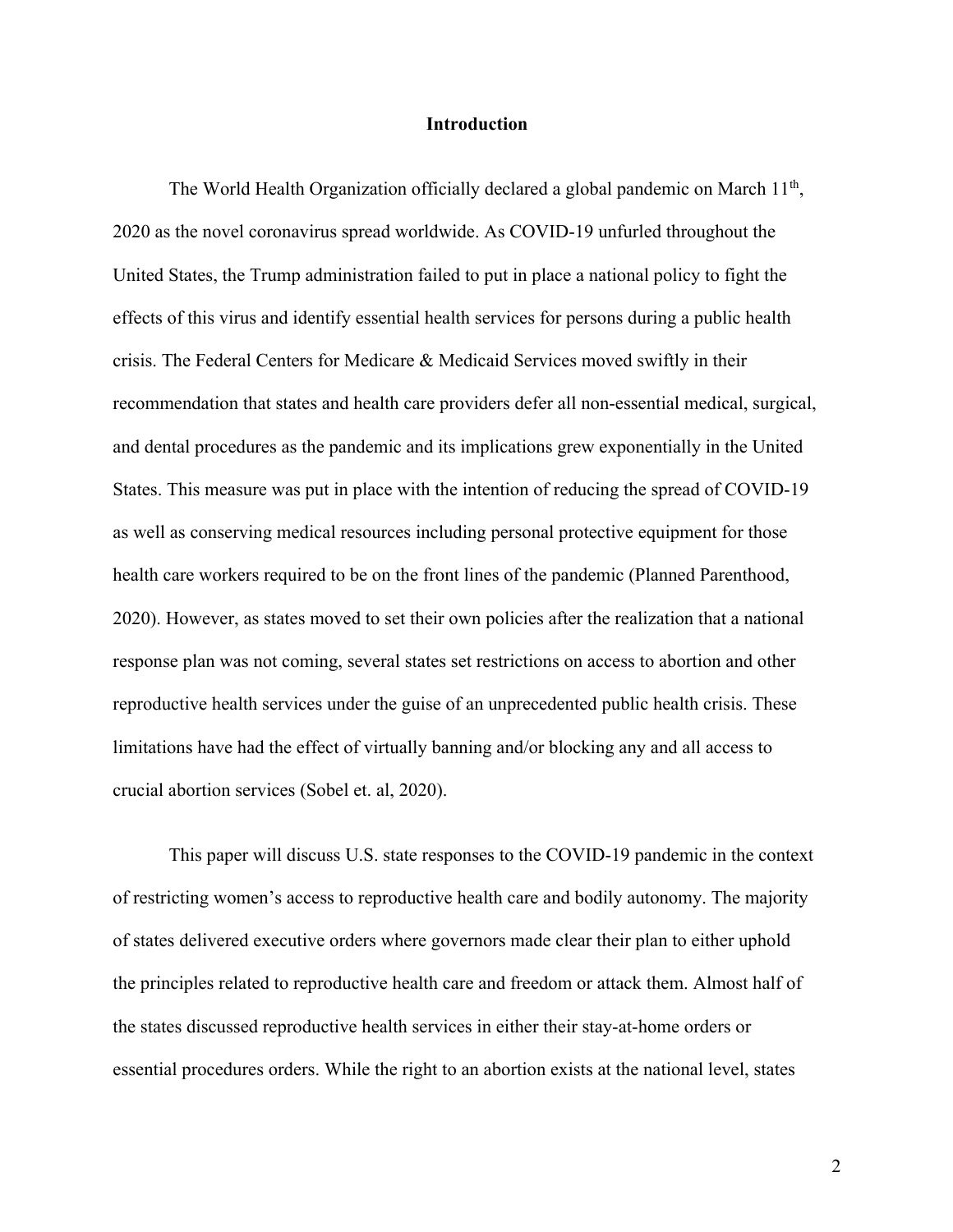#### **Introduction**

The World Health Organization officially declared a global pandemic on March 11<sup>th</sup>, 2020 as the novel coronavirus spread worldwide. As COVID-19 unfurled throughout the United States, the Trump administration failed to put in place a national policy to fight the effects of this virus and identify essential health services for persons during a public health crisis. The Federal Centers for Medicare & Medicaid Services moved swiftly in their recommendation that states and health care providers defer all non-essential medical, surgical, and dental procedures as the pandemic and its implications grew exponentially in the United States. This measure was put in place with the intention of reducing the spread of COVID-19 as well as conserving medical resources including personal protective equipment for those health care workers required to be on the front lines of the pandemic (Planned Parenthood, 2020). However, as states moved to set their own policies after the realization that a national response plan was not coming, several states set restrictions on access to abortion and other reproductive health services under the guise of an unprecedented public health crisis. These limitations have had the effect of virtually banning and/or blocking any and all access to crucial abortion services (Sobel et. al, 2020).

This paper will discuss U.S. state responses to the COVID-19 pandemic in the context of restricting women's access to reproductive health care and bodily autonomy. The majority of states delivered executive orders where governors made clear their plan to either uphold the principles related to reproductive health care and freedom or attack them. Almost half of the states discussed reproductive health services in either their stay-at-home orders or essential procedures orders. While the right to an abortion exists at the national level, states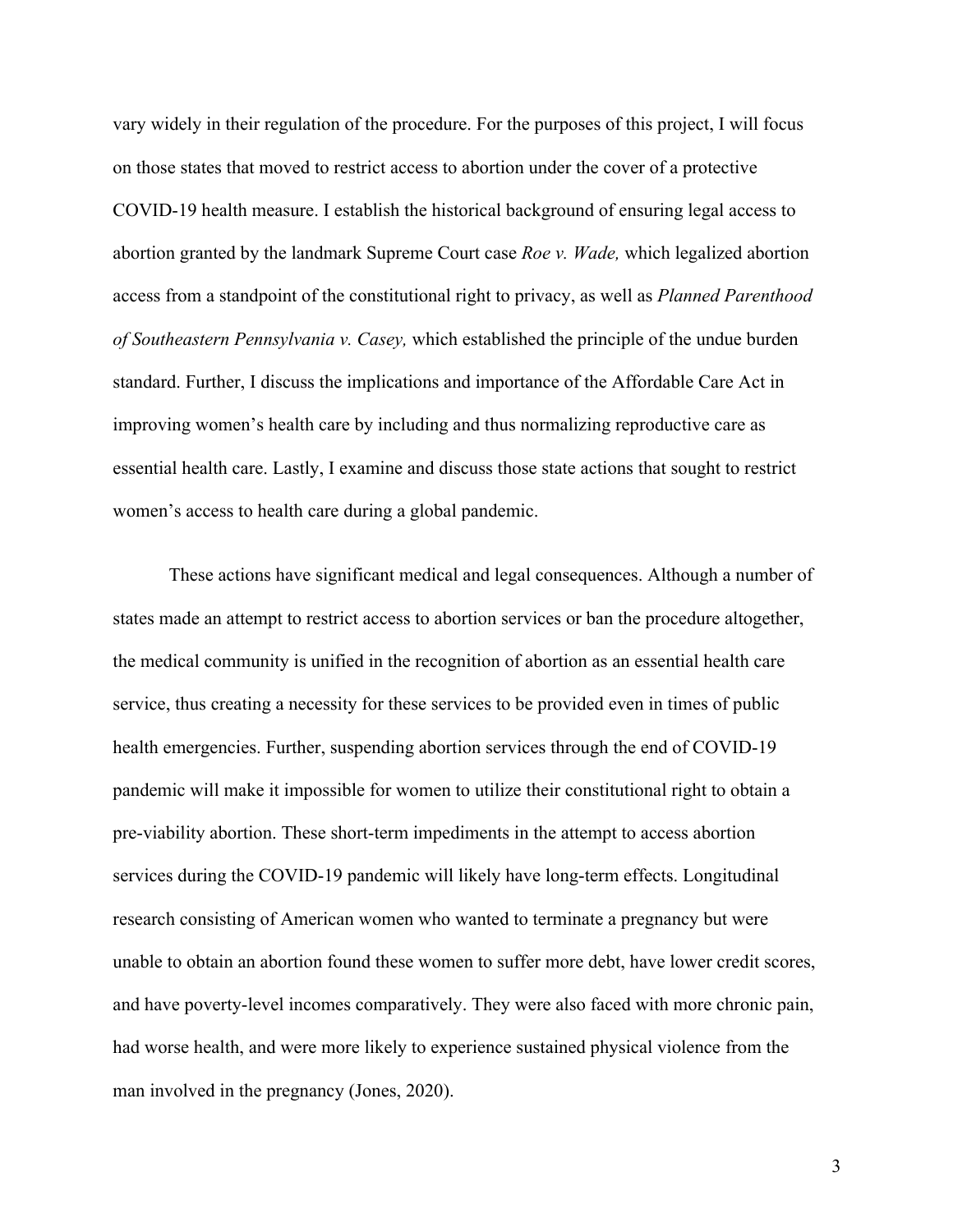vary widely in their regulation of the procedure. For the purposes of this project, I will focus on those states that moved to restrict access to abortion under the cover of a protective COVID-19 health measure. I establish the historical background of ensuring legal access to abortion granted by the landmark Supreme Court case *Roe v. Wade,* which legalized abortion access from a standpoint of the constitutional right to privacy, as well as *Planned Parenthood of Southeastern Pennsylvania v. Casey,* which established the principle of the undue burden standard. Further, I discuss the implications and importance of the Affordable Care Act in improving women's health care by including and thus normalizing reproductive care as essential health care. Lastly, I examine and discuss those state actions that sought to restrict women's access to health care during a global pandemic.

These actions have significant medical and legal consequences. Although a number of states made an attempt to restrict access to abortion services or ban the procedure altogether, the medical community is unified in the recognition of abortion as an essential health care service, thus creating a necessity for these services to be provided even in times of public health emergencies. Further, suspending abortion services through the end of COVID-19 pandemic will make it impossible for women to utilize their constitutional right to obtain a pre-viability abortion. These short-term impediments in the attempt to access abortion services during the COVID-19 pandemic will likely have long-term effects. Longitudinal research consisting of American women who wanted to terminate a pregnancy but were unable to obtain an abortion found these women to suffer more debt, have lower credit scores, and have poverty‐level incomes comparatively. They were also faced with more chronic pain, had worse health, and were more likely to experience sustained physical violence from the man involved in the pregnancy (Jones, 2020).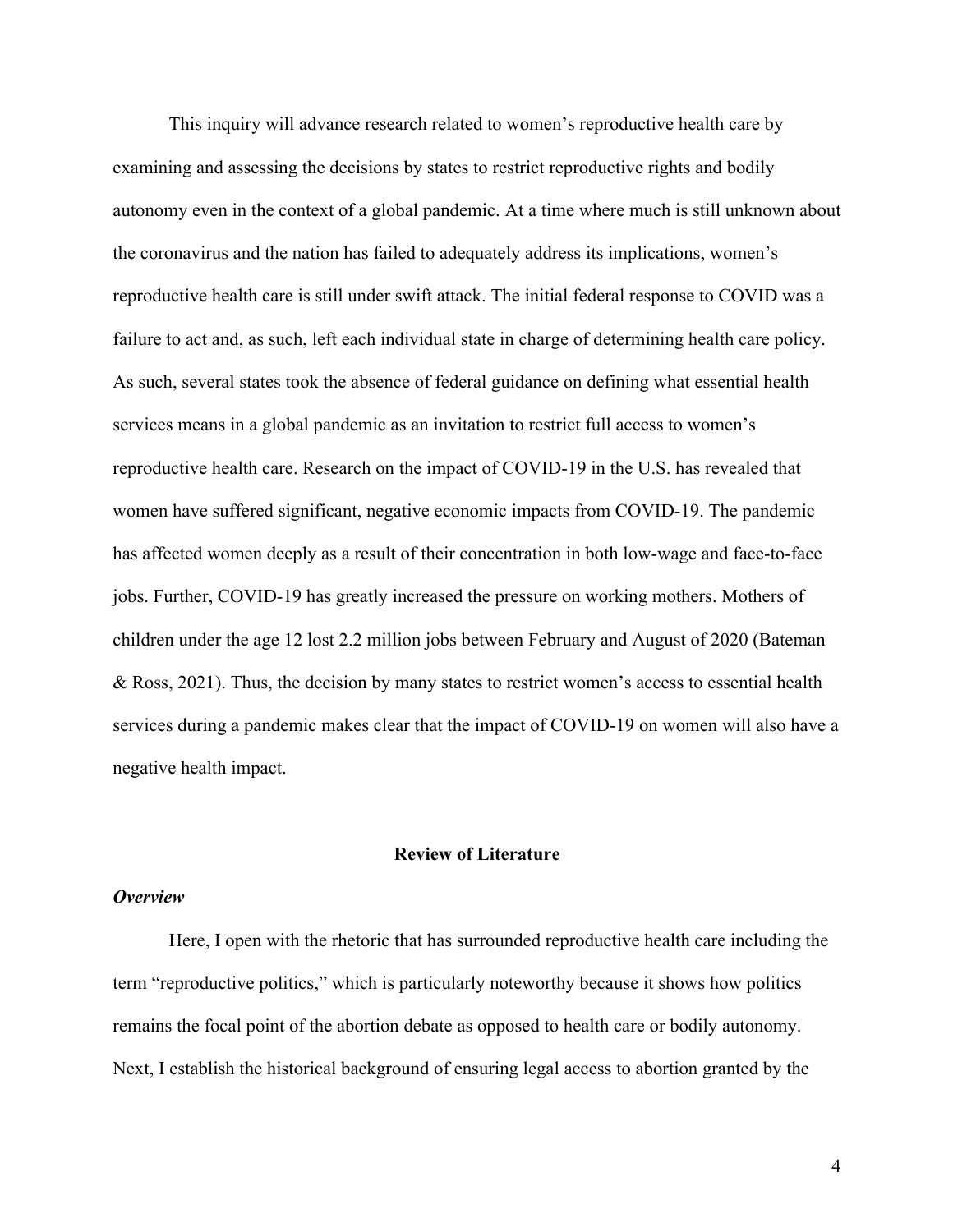This inquiry will advance research related to women's reproductive health care by examining and assessing the decisions by states to restrict reproductive rights and bodily autonomy even in the context of a global pandemic. At a time where much is still unknown about the coronavirus and the nation has failed to adequately address its implications, women's reproductive health care is still under swift attack. The initial federal response to COVID was a failure to act and, as such, left each individual state in charge of determining health care policy. As such, several states took the absence of federal guidance on defining what essential health services means in a global pandemic as an invitation to restrict full access to women's reproductive health care. Research on the impact of COVID-19 in the U.S. has revealed that women have suffered significant, negative economic impacts from COVID-19. The pandemic has affected women deeply as a result of their concentration in both low-wage and face-to-face jobs. Further, COVID-19 has greatly increased the pressure on working mothers. Mothers of children under the age 12 lost 2.2 million jobs between February and August of 2020 (Bateman & Ross, 2021). Thus, the decision by many states to restrict women's access to essential health services during a pandemic makes clear that the impact of COVID-19 on women will also have a negative health impact.

#### **Review of Literature**

#### *Overview*

Here, I open with the rhetoric that has surrounded reproductive health care including the term "reproductive politics," which is particularly noteworthy because it shows how politics remains the focal point of the abortion debate as opposed to health care or bodily autonomy. Next, I establish the historical background of ensuring legal access to abortion granted by the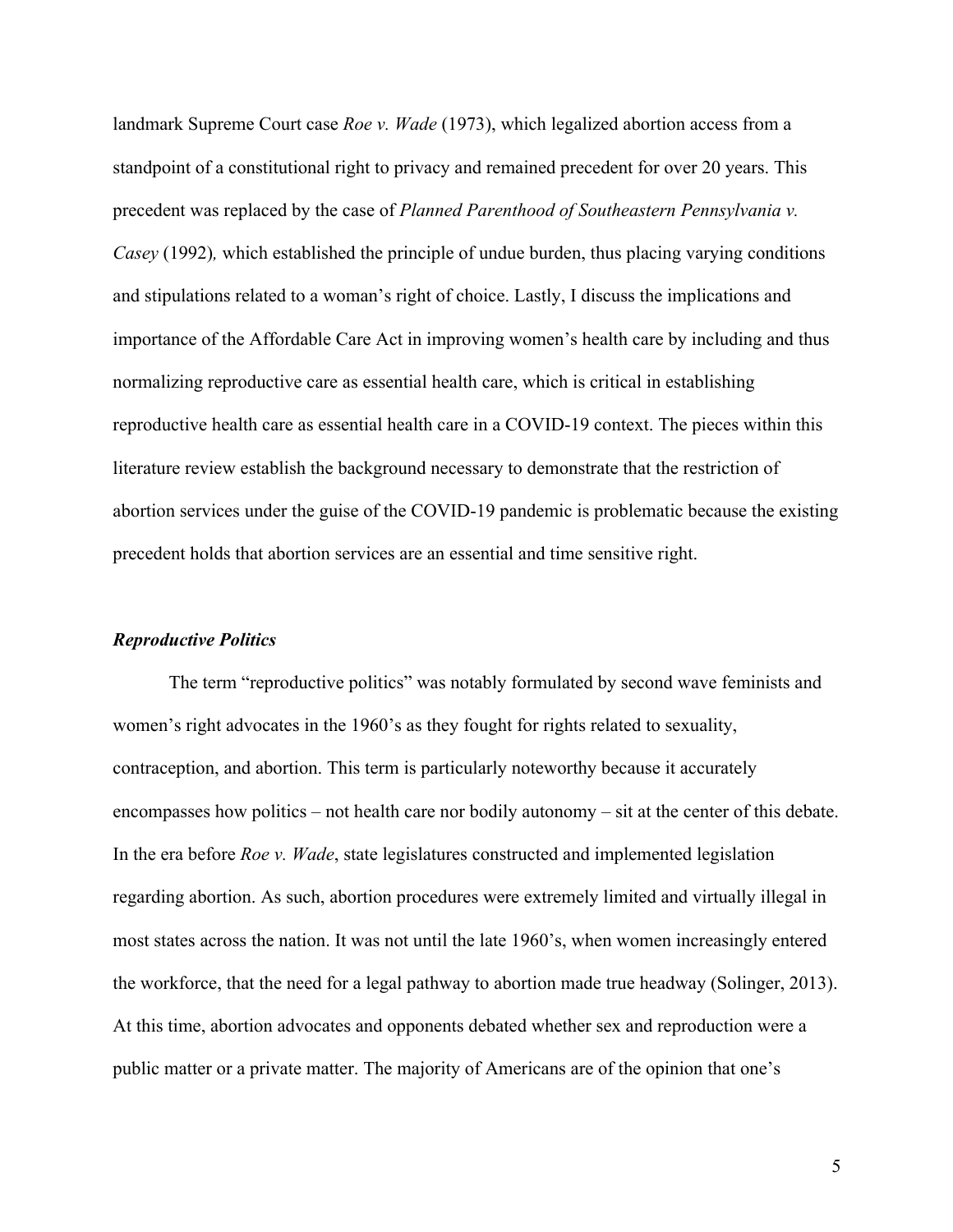landmark Supreme Court case *Roe v. Wade* (1973), which legalized abortion access from a standpoint of a constitutional right to privacy and remained precedent for over 20 years. This precedent was replaced by the case of *Planned Parenthood of Southeastern Pennsylvania v. Casey* (1992)*,* which established the principle of undue burden, thus placing varying conditions and stipulations related to a woman's right of choice. Lastly, I discuss the implications and importance of the Affordable Care Act in improving women's health care by including and thus normalizing reproductive care as essential health care, which is critical in establishing reproductive health care as essential health care in a COVID-19 context. The pieces within this literature review establish the background necessary to demonstrate that the restriction of abortion services under the guise of the COVID-19 pandemic is problematic because the existing precedent holds that abortion services are an essential and time sensitive right.

#### *Reproductive Politics*

The term "reproductive politics" was notably formulated by second wave feminists and women's right advocates in the 1960's as they fought for rights related to sexuality, contraception, and abortion. This term is particularly noteworthy because it accurately encompasses how politics – not health care nor bodily autonomy – sit at the center of this debate. In the era before *Roe v. Wade*, state legislatures constructed and implemented legislation regarding abortion. As such, abortion procedures were extremely limited and virtually illegal in most states across the nation. It was not until the late 1960's, when women increasingly entered the workforce, that the need for a legal pathway to abortion made true headway (Solinger, 2013). At this time, abortion advocates and opponents debated whether sex and reproduction were a public matter or a private matter. The majority of Americans are of the opinion that one's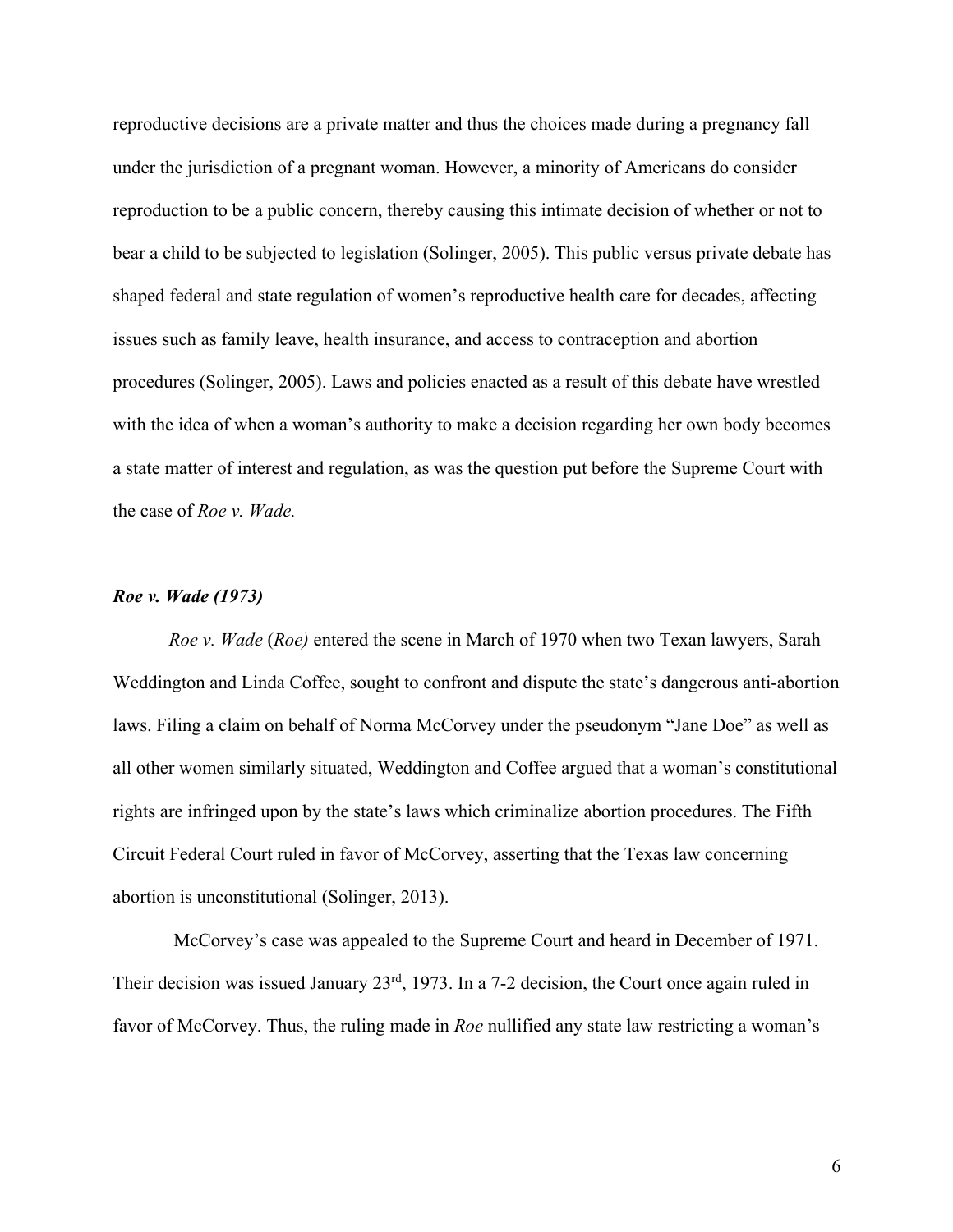reproductive decisions are a private matter and thus the choices made during a pregnancy fall under the jurisdiction of a pregnant woman. However, a minority of Americans do consider reproduction to be a public concern, thereby causing this intimate decision of whether or not to bear a child to be subjected to legislation (Solinger, 2005). This public versus private debate has shaped federal and state regulation of women's reproductive health care for decades, affecting issues such as family leave, health insurance, and access to contraception and abortion procedures (Solinger, 2005). Laws and policies enacted as a result of this debate have wrestled with the idea of when a woman's authority to make a decision regarding her own body becomes a state matter of interest and regulation, as was the question put before the Supreme Court with the case of *Roe v. Wade.*

#### *Roe v. Wade (1973)*

*Roe v. Wade* (*Roe)* entered the scene in March of 1970 when two Texan lawyers, Sarah Weddington and Linda Coffee, sought to confront and dispute the state's dangerous anti-abortion laws. Filing a claim on behalf of Norma McCorvey under the pseudonym "Jane Doe" as well as all other women similarly situated, Weddington and Coffee argued that a woman's constitutional rights are infringed upon by the state's laws which criminalize abortion procedures. The Fifth Circuit Federal Court ruled in favor of McCorvey, asserting that the Texas law concerning abortion is unconstitutional (Solinger, 2013).

McCorvey's case was appealed to the Supreme Court and heard in December of 1971. Their decision was issued January 23<sup>rd</sup>, 1973. In a 7-2 decision, the Court once again ruled in favor of McCorvey. Thus, the ruling made in *Roe* nullified any state law restricting a woman's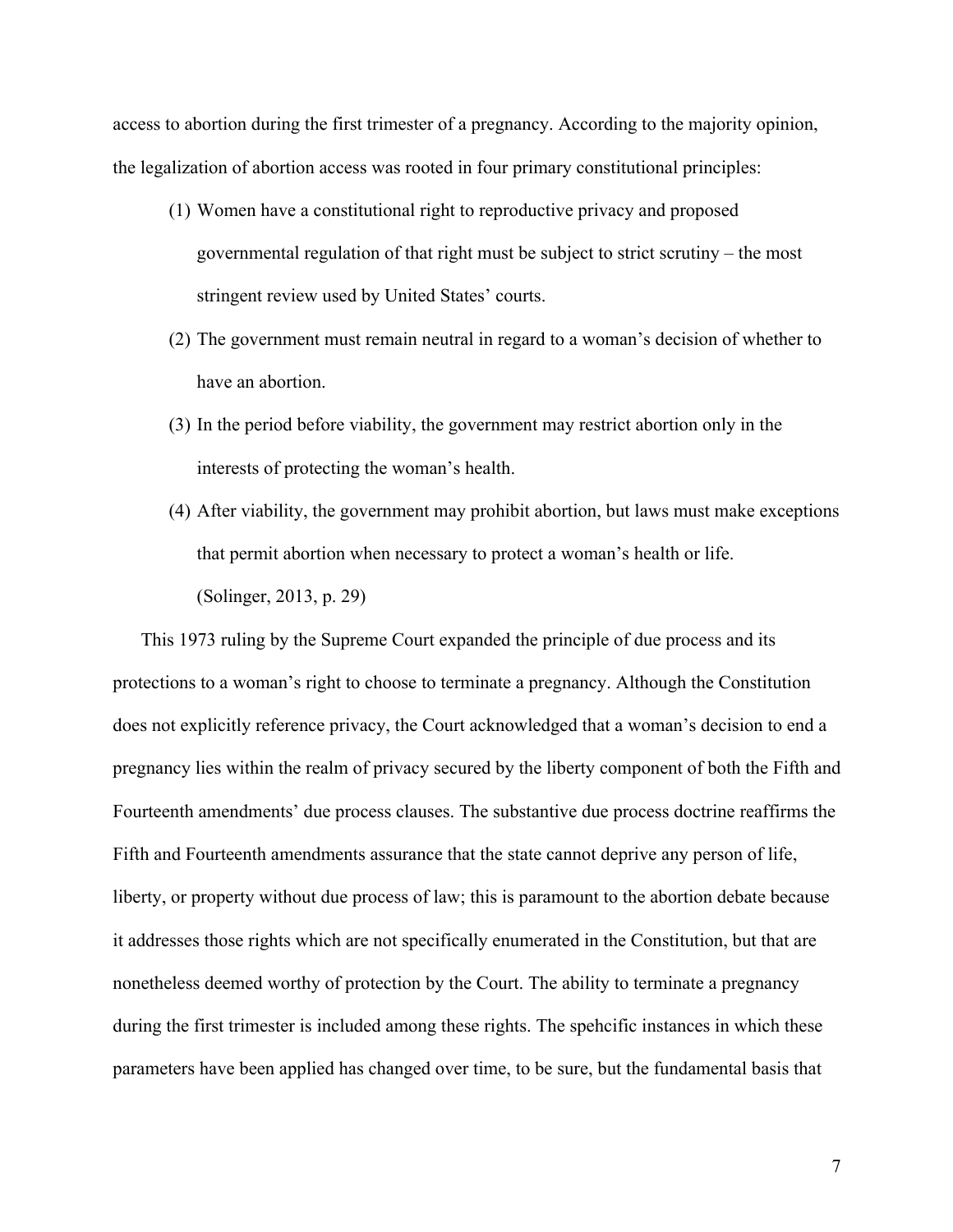access to abortion during the first trimester of a pregnancy. According to the majority opinion, the legalization of abortion access was rooted in four primary constitutional principles:

- (1) Women have a constitutional right to reproductive privacy and proposed governmental regulation of that right must be subject to strict scrutiny – the most stringent review used by United States' courts.
- (2) The government must remain neutral in regard to a woman's decision of whether to have an abortion.
- (3) In the period before viability, the government may restrict abortion only in the interests of protecting the woman's health.
- (4) After viability, the government may prohibit abortion, but laws must make exceptions that permit abortion when necessary to protect a woman's health or life. (Solinger, 2013, p. 29)

This 1973 ruling by the Supreme Court expanded the principle of due process and its protections to a woman's right to choose to terminate a pregnancy. Although the Constitution does not explicitly reference privacy, the Court acknowledged that a woman's decision to end a pregnancy lies within the realm of privacy secured by the liberty component of both the Fifth and Fourteenth amendments' due process clauses. The substantive due process doctrine reaffirms the Fifth and Fourteenth amendments assurance that the state cannot deprive any person of life, liberty, or property without due process of law; this is paramount to the abortion debate because it addresses those rights which are not specifically enumerated in the Constitution, but that are nonetheless deemed worthy of protection by the Court. The ability to terminate a pregnancy during the first trimester is included among these rights. The spehcific instances in which these parameters have been applied has changed over time, to be sure, but the fundamental basis that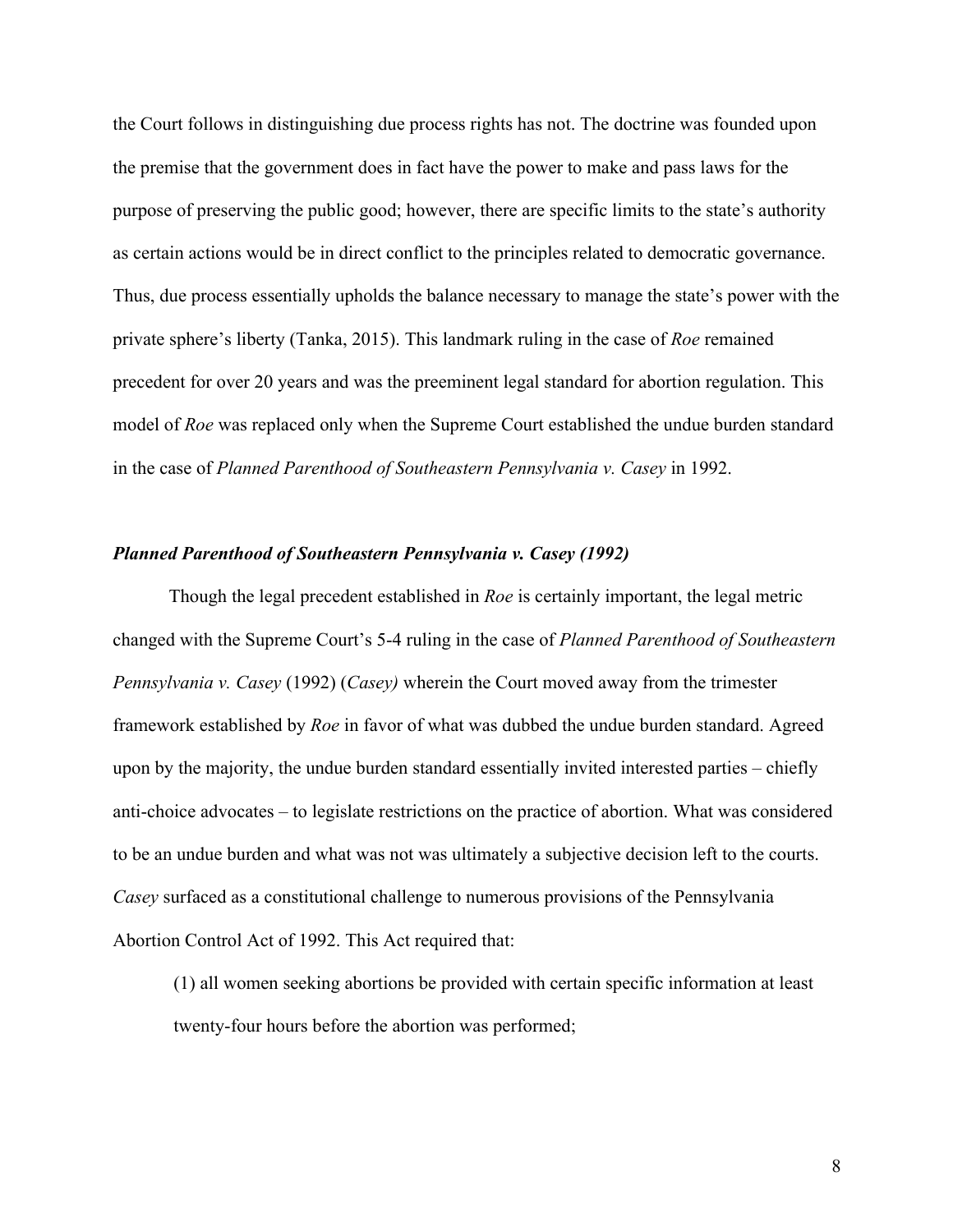the Court follows in distinguishing due process rights has not. The doctrine was founded upon the premise that the government does in fact have the power to make and pass laws for the purpose of preserving the public good; however, there are specific limits to the state's authority as certain actions would be in direct conflict to the principles related to democratic governance. Thus, due process essentially upholds the balance necessary to manage the state's power with the private sphere's liberty (Tanka, 2015). This landmark ruling in the case of *Roe* remained precedent for over 20 years and was the preeminent legal standard for abortion regulation. This model of *Roe* was replaced only when the Supreme Court established the undue burden standard in the case of *Planned Parenthood of Southeastern Pennsylvania v. Casey* in 1992.

#### *Planned Parenthood of Southeastern Pennsylvania v. Casey (1992)*

Though the legal precedent established in *Roe* is certainly important, the legal metric changed with the Supreme Court's 5-4 ruling in the case of *Planned Parenthood of Southeastern Pennsylvania v. Casey* (1992) (*Casey)* wherein the Court moved away from the trimester framework established by *Roe* in favor of what was dubbed the undue burden standard. Agreed upon by the majority, the undue burden standard essentially invited interested parties – chiefly anti-choice advocates – to legislate restrictions on the practice of abortion. What was considered to be an undue burden and what was not was ultimately a subjective decision left to the courts. *Casey* surfaced as a constitutional challenge to numerous provisions of the Pennsylvania Abortion Control Act of 1992. This Act required that:

(1) all women seeking abortions be provided with certain specific information at least twenty-four hours before the abortion was performed;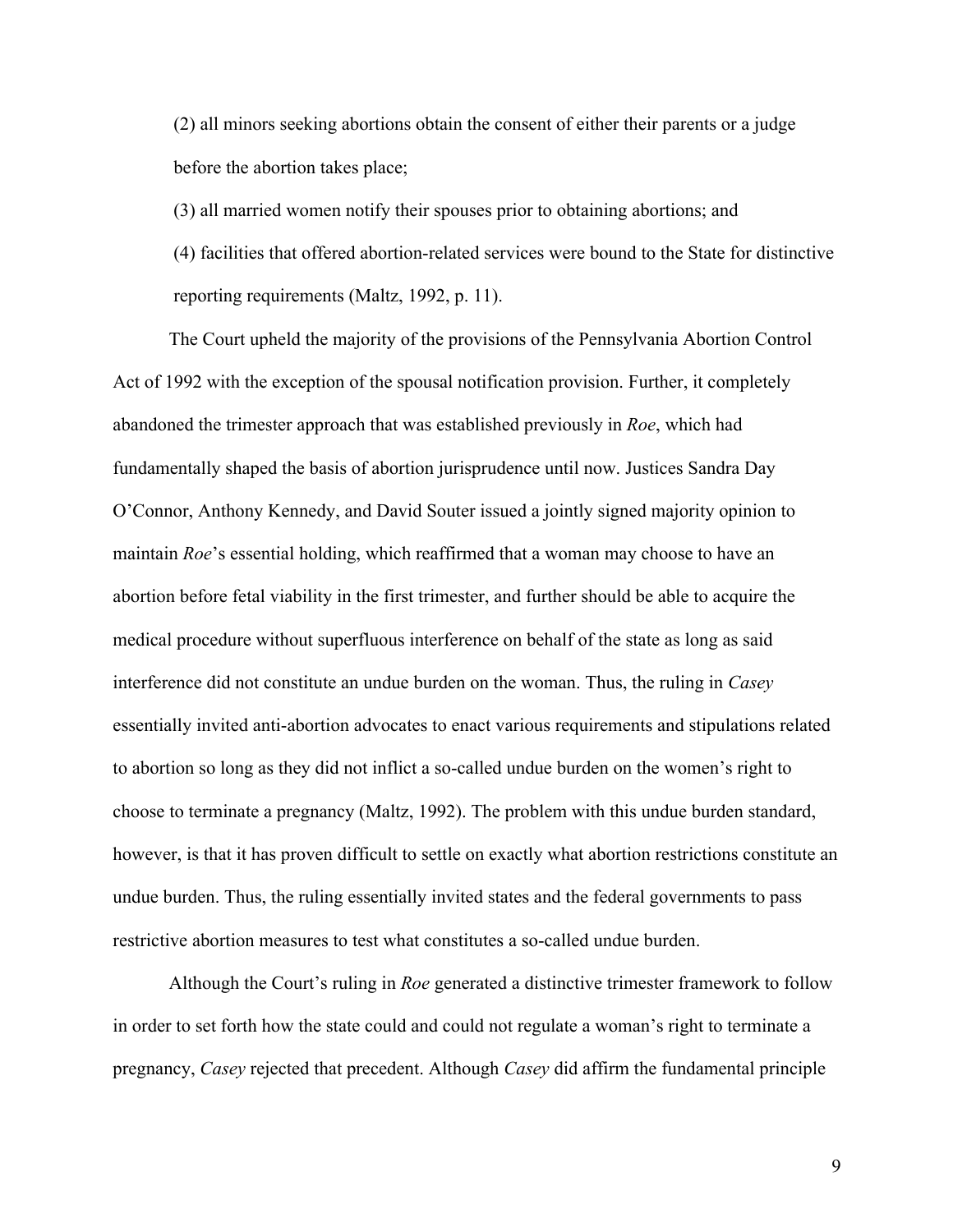(2) all minors seeking abortions obtain the consent of either their parents or a judge before the abortion takes place;

(3) all married women notify their spouses prior to obtaining abortions; and (4) facilities that offered abortion-related services were bound to the State for distinctive reporting requirements (Maltz, 1992, p. 11).

The Court upheld the majority of the provisions of the Pennsylvania Abortion Control Act of 1992 with the exception of the spousal notification provision. Further, it completely abandoned the trimester approach that was established previously in *Roe*, which had fundamentally shaped the basis of abortion jurisprudence until now. Justices Sandra Day O'Connor, Anthony Kennedy, and David Souter issued a jointly signed majority opinion to maintain *Roe*'s essential holding, which reaffirmed that a woman may choose to have an abortion before fetal viability in the first trimester, and further should be able to acquire the medical procedure without superfluous interference on behalf of the state as long as said interference did not constitute an undue burden on the woman. Thus, the ruling in *Casey* essentially invited anti-abortion advocates to enact various requirements and stipulations related to abortion so long as they did not inflict a so-called undue burden on the women's right to choose to terminate a pregnancy (Maltz, 1992). The problem with this undue burden standard, however, is that it has proven difficult to settle on exactly what abortion restrictions constitute an undue burden. Thus, the ruling essentially invited states and the federal governments to pass restrictive abortion measures to test what constitutes a so-called undue burden.

Although the Court's ruling in *Roe* generated a distinctive trimester framework to follow in order to set forth how the state could and could not regulate a woman's right to terminate a pregnancy, *Casey* rejected that precedent. Although *Casey* did affirm the fundamental principle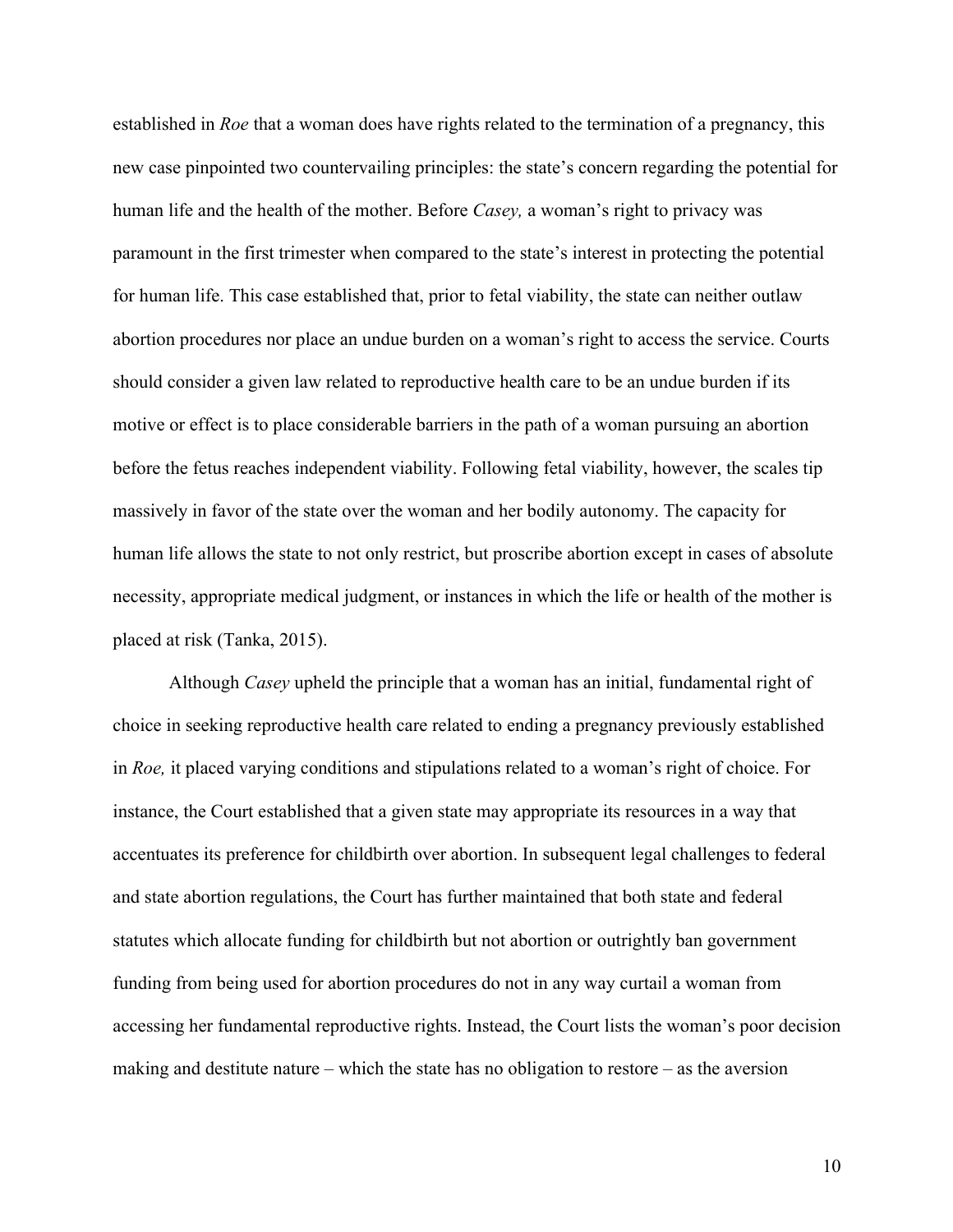established in *Roe* that a woman does have rights related to the termination of a pregnancy, this new case pinpointed two countervailing principles: the state's concern regarding the potential for human life and the health of the mother. Before *Casey,* a woman's right to privacy was paramount in the first trimester when compared to the state's interest in protecting the potential for human life. This case established that, prior to fetal viability, the state can neither outlaw abortion procedures nor place an undue burden on a woman's right to access the service. Courts should consider a given law related to reproductive health care to be an undue burden if its motive or effect is to place considerable barriers in the path of a woman pursuing an abortion before the fetus reaches independent viability. Following fetal viability, however, the scales tip massively in favor of the state over the woman and her bodily autonomy. The capacity for human life allows the state to not only restrict, but proscribe abortion except in cases of absolute necessity, appropriate medical judgment, or instances in which the life or health of the mother is placed at risk (Tanka, 2015).

Although *Casey* upheld the principle that a woman has an initial, fundamental right of choice in seeking reproductive health care related to ending a pregnancy previously established in *Roe,* it placed varying conditions and stipulations related to a woman's right of choice. For instance, the Court established that a given state may appropriate its resources in a way that accentuates its preference for childbirth over abortion. In subsequent legal challenges to federal and state abortion regulations, the Court has further maintained that both state and federal statutes which allocate funding for childbirth but not abortion or outrightly ban government funding from being used for abortion procedures do not in any way curtail a woman from accessing her fundamental reproductive rights. Instead, the Court lists the woman's poor decision making and destitute nature – which the state has no obligation to restore – as the aversion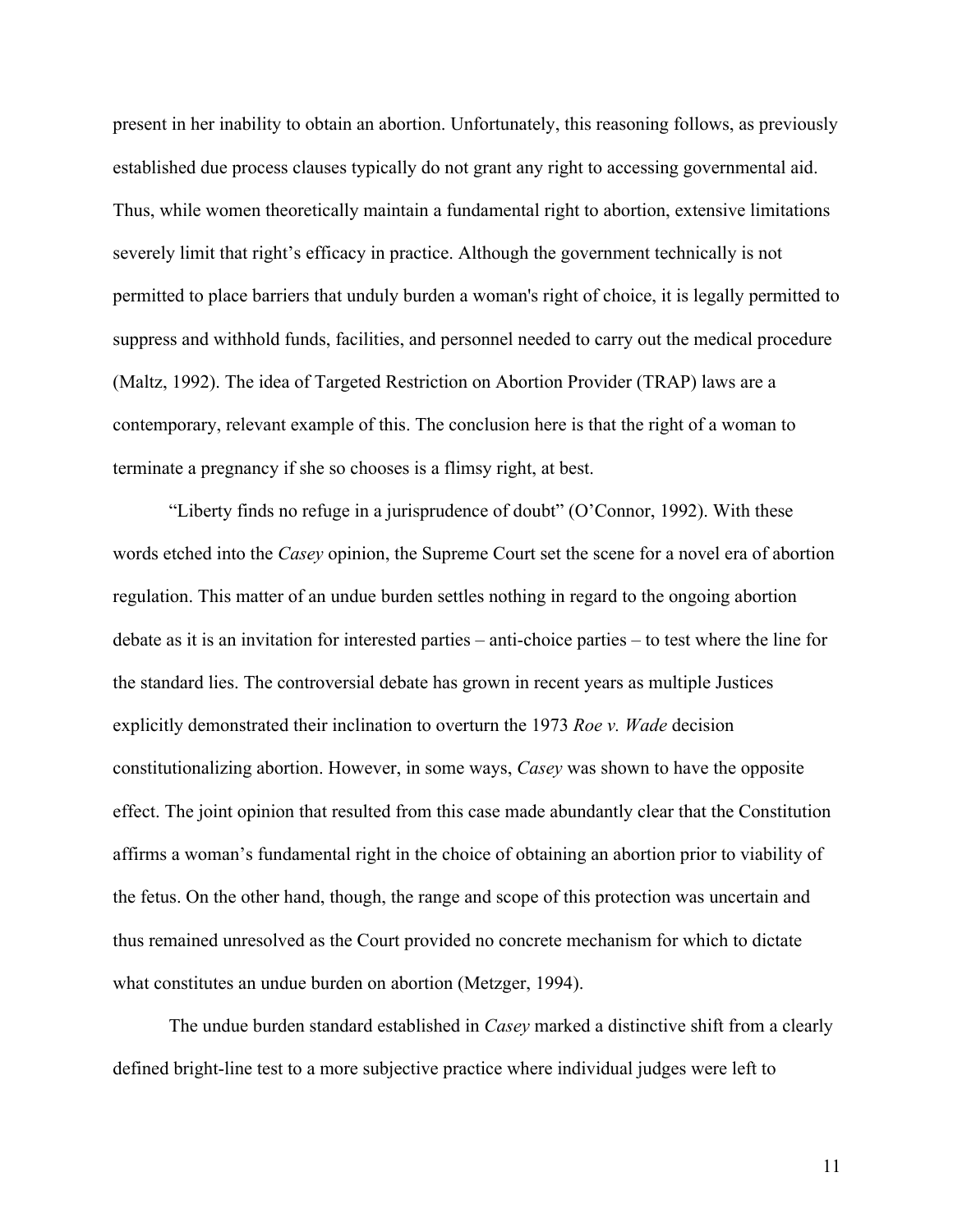present in her inability to obtain an abortion. Unfortunately, this reasoning follows, as previously established due process clauses typically do not grant any right to accessing governmental aid. Thus, while women theoretically maintain a fundamental right to abortion, extensive limitations severely limit that right's efficacy in practice. Although the government technically is not permitted to place barriers that unduly burden a woman's right of choice, it is legally permitted to suppress and withhold funds, facilities, and personnel needed to carry out the medical procedure (Maltz, 1992). The idea of Targeted Restriction on Abortion Provider (TRAP) laws are a contemporary, relevant example of this. The conclusion here is that the right of a woman to terminate a pregnancy if she so chooses is a flimsy right, at best.

"Liberty finds no refuge in a jurisprudence of doubt" (O'Connor, 1992). With these words etched into the *Casey* opinion, the Supreme Court set the scene for a novel era of abortion regulation. This matter of an undue burden settles nothing in regard to the ongoing abortion debate as it is an invitation for interested parties – anti-choice parties – to test where the line for the standard lies. The controversial debate has grown in recent years as multiple Justices explicitly demonstrated their inclination to overturn the 1973 *Roe v. Wade* decision constitutionalizing abortion. However, in some ways, *Casey* was shown to have the opposite effect. The joint opinion that resulted from this case made abundantly clear that the Constitution affirms a woman's fundamental right in the choice of obtaining an abortion prior to viability of the fetus. On the other hand, though, the range and scope of this protection was uncertain and thus remained unresolved as the Court provided no concrete mechanism for which to dictate what constitutes an undue burden on abortion (Metzger, 1994).

The undue burden standard established in *Casey* marked a distinctive shift from a clearly defined bright-line test to a more subjective practice where individual judges were left to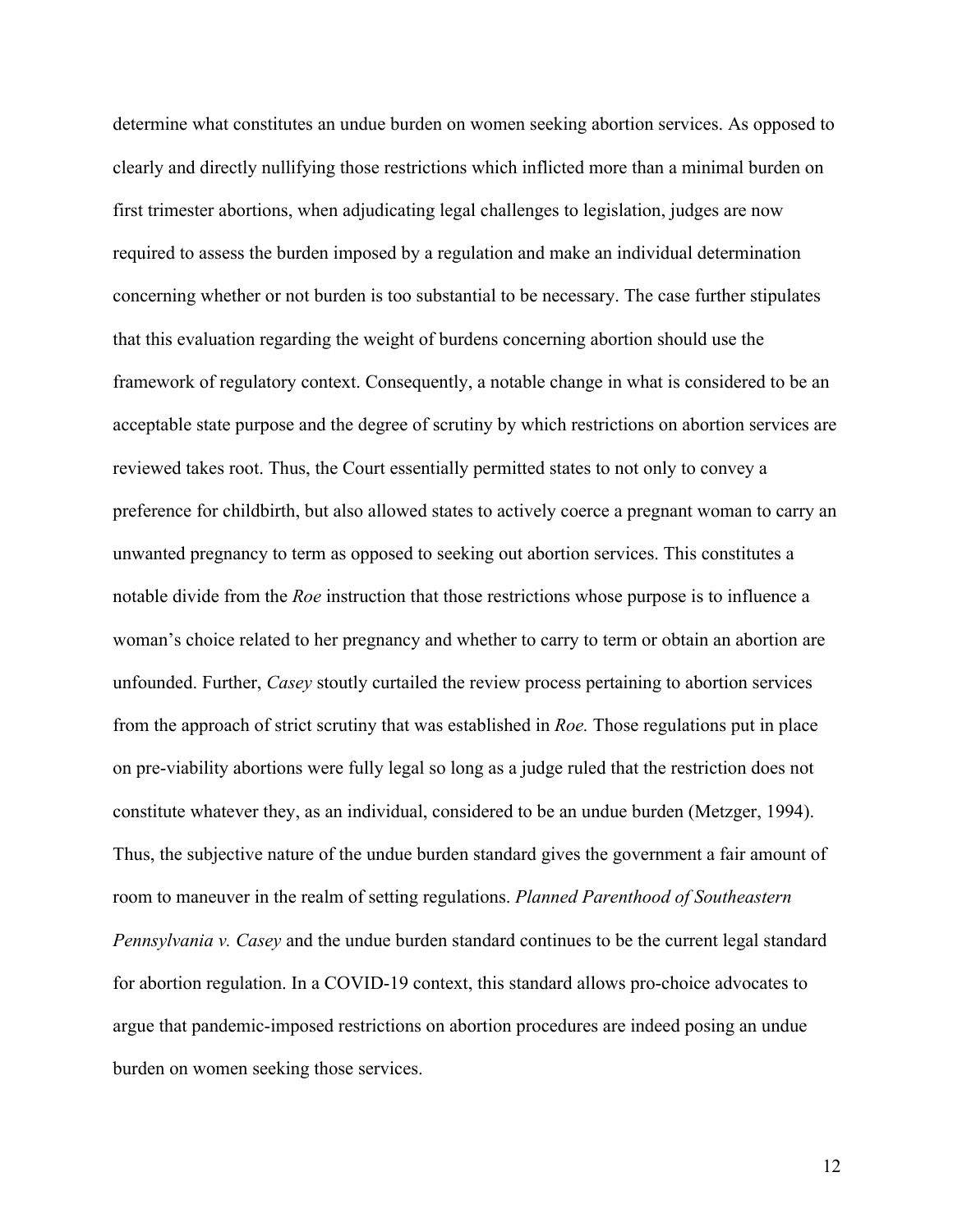determine what constitutes an undue burden on women seeking abortion services. As opposed to clearly and directly nullifying those restrictions which inflicted more than a minimal burden on first trimester abortions, when adjudicating legal challenges to legislation, judges are now required to assess the burden imposed by a regulation and make an individual determination concerning whether or not burden is too substantial to be necessary. The case further stipulates that this evaluation regarding the weight of burdens concerning abortion should use the framework of regulatory context. Consequently, a notable change in what is considered to be an acceptable state purpose and the degree of scrutiny by which restrictions on abortion services are reviewed takes root. Thus, the Court essentially permitted states to not only to convey a preference for childbirth, but also allowed states to actively coerce a pregnant woman to carry an unwanted pregnancy to term as opposed to seeking out abortion services. This constitutes a notable divide from the *Roe* instruction that those restrictions whose purpose is to influence a woman's choice related to her pregnancy and whether to carry to term or obtain an abortion are unfounded. Further, *Casey* stoutly curtailed the review process pertaining to abortion services from the approach of strict scrutiny that was established in *Roe.* Those regulations put in place on pre-viability abortions were fully legal so long as a judge ruled that the restriction does not constitute whatever they, as an individual, considered to be an undue burden (Metzger, 1994). Thus, the subjective nature of the undue burden standard gives the government a fair amount of room to maneuver in the realm of setting regulations. *Planned Parenthood of Southeastern Pennsylvania v. Casey* and the undue burden standard continues to be the current legal standard for abortion regulation. In a COVID-19 context, this standard allows pro-choice advocates to argue that pandemic-imposed restrictions on abortion procedures are indeed posing an undue burden on women seeking those services.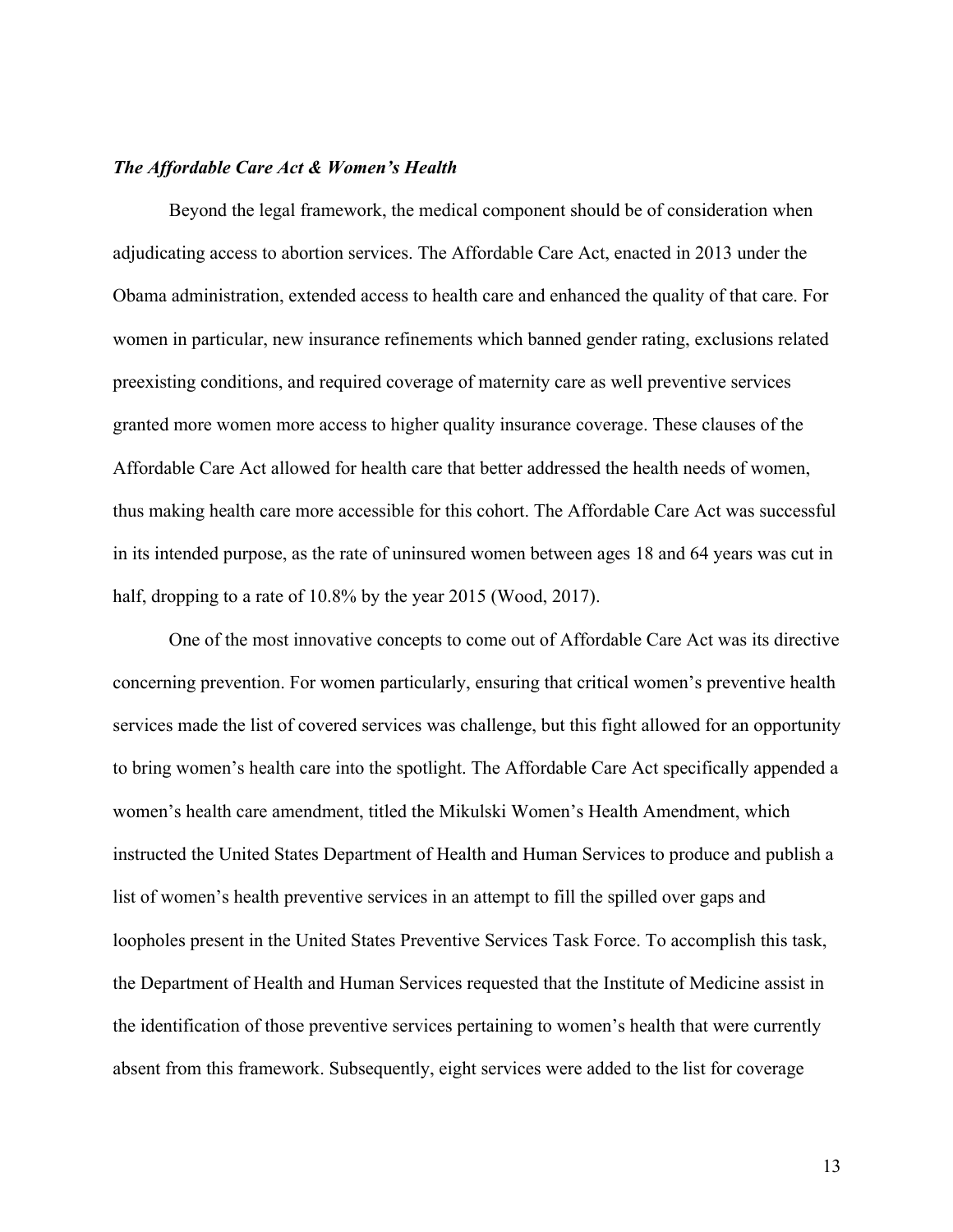#### *The Affordable Care Act & Women's Health*

Beyond the legal framework, the medical component should be of consideration when adjudicating access to abortion services. The Affordable Care Act, enacted in 2013 under the Obama administration, extended access to health care and enhanced the quality of that care. For women in particular, new insurance refinements which banned gender rating, exclusions related preexisting conditions, and required coverage of maternity care as well preventive services granted more women more access to higher quality insurance coverage. These clauses of the Affordable Care Act allowed for health care that better addressed the health needs of women, thus making health care more accessible for this cohort. The Affordable Care Act was successful in its intended purpose, as the rate of uninsured women between ages 18 and 64 years was cut in half, dropping to a rate of 10.8% by the year 2015 (Wood, 2017).

One of the most innovative concepts to come out of Affordable Care Act was its directive concerning prevention. For women particularly, ensuring that critical women's preventive health services made the list of covered services was challenge, but this fight allowed for an opportunity to bring women's health care into the spotlight. The Affordable Care Act specifically appended a women's health care amendment, titled the Mikulski Women's Health Amendment, which instructed the United States Department of Health and Human Services to produce and publish a list of women's health preventive services in an attempt to fill the spilled over gaps and loopholes present in the United States Preventive Services Task Force. To accomplish this task, the Department of Health and Human Services requested that the Institute of Medicine assist in the identification of those preventive services pertaining to women's health that were currently absent from this framework. Subsequently, eight services were added to the list for coverage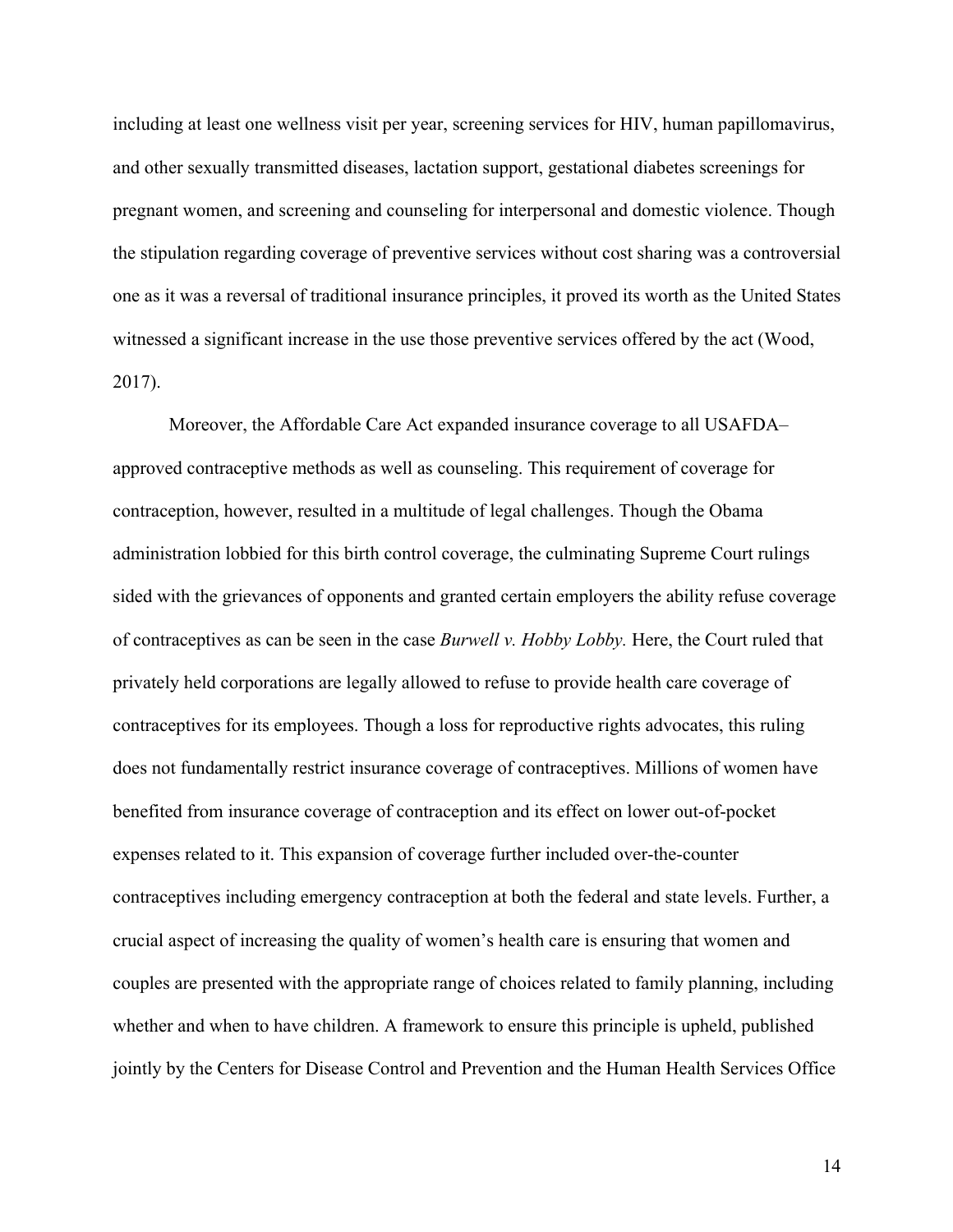including at least one wellness visit per year, screening services for HIV, human papillomavirus, and other sexually transmitted diseases, lactation support, gestational diabetes screenings for pregnant women, and screening and counseling for interpersonal and domestic violence. Though the stipulation regarding coverage of preventive services without cost sharing was a controversial one as it was a reversal of traditional insurance principles, it proved its worth as the United States witnessed a significant increase in the use those preventive services offered by the act (Wood, 2017).

Moreover, the Affordable Care Act expanded insurance coverage to all USAFDA– approved contraceptive methods as well as counseling. This requirement of coverage for contraception, however, resulted in a multitude of legal challenges. Though the Obama administration lobbied for this birth control coverage, the culminating Supreme Court rulings sided with the grievances of opponents and granted certain employers the ability refuse coverage of contraceptives as can be seen in the case *Burwell v. Hobby Lobby.* Here, the Court ruled that privately held corporations are legally allowed to refuse to provide health care coverage of contraceptives for its employees. Though a loss for reproductive rights advocates, this ruling does not fundamentally restrict insurance coverage of contraceptives. Millions of women have benefited from insurance coverage of contraception and its effect on lower out-of-pocket expenses related to it. This expansion of coverage further included over-the-counter contraceptives including emergency contraception at both the federal and state levels. Further, a crucial aspect of increasing the quality of women's health care is ensuring that women and couples are presented with the appropriate range of choices related to family planning, including whether and when to have children. A framework to ensure this principle is upheld, published jointly by the Centers for Disease Control and Prevention and the Human Health Services Office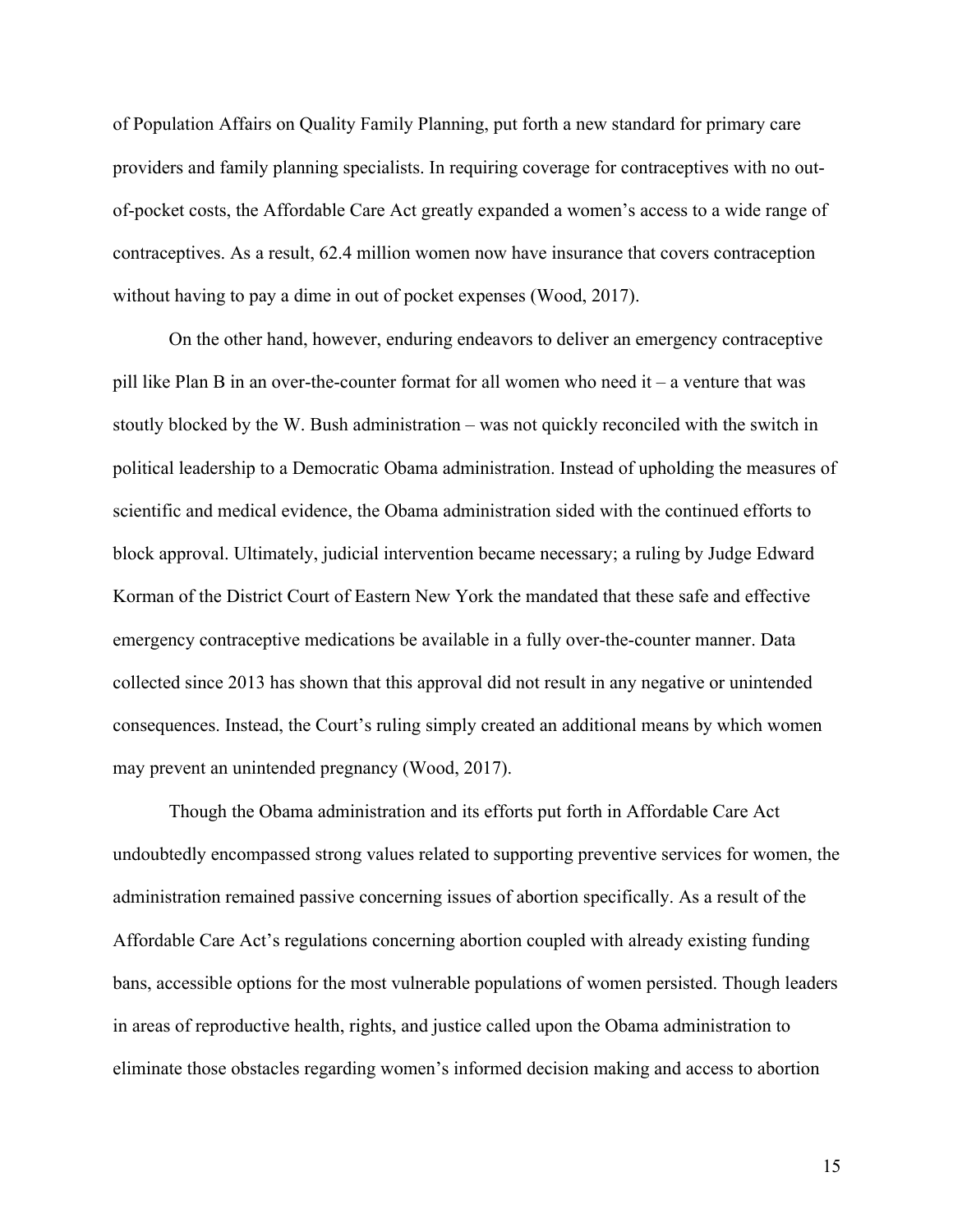of Population Affairs on Quality Family Planning, put forth a new standard for primary care providers and family planning specialists. In requiring coverage for contraceptives with no outof-pocket costs, the Affordable Care Act greatly expanded a women's access to a wide range of contraceptives. As a result, 62.4 million women now have insurance that covers contraception without having to pay a dime in out of pocket expenses (Wood, 2017).

On the other hand, however, enduring endeavors to deliver an emergency contraceptive pill like Plan B in an over-the-counter format for all women who need it – a venture that was stoutly blocked by the W. Bush administration – was not quickly reconciled with the switch in political leadership to a Democratic Obama administration. Instead of upholding the measures of scientific and medical evidence, the Obama administration sided with the continued efforts to block approval. Ultimately, judicial intervention became necessary; a ruling by Judge Edward Korman of the District Court of Eastern New York the mandated that these safe and effective emergency contraceptive medications be available in a fully over-the-counter manner. Data collected since 2013 has shown that this approval did not result in any negative or unintended consequences. Instead, the Court's ruling simply created an additional means by which women may prevent an unintended pregnancy (Wood, 2017).

Though the Obama administration and its efforts put forth in Affordable Care Act undoubtedly encompassed strong values related to supporting preventive services for women, the administration remained passive concerning issues of abortion specifically. As a result of the Affordable Care Act's regulations concerning abortion coupled with already existing funding bans, accessible options for the most vulnerable populations of women persisted. Though leaders in areas of reproductive health, rights, and justice called upon the Obama administration to eliminate those obstacles regarding women's informed decision making and access to abortion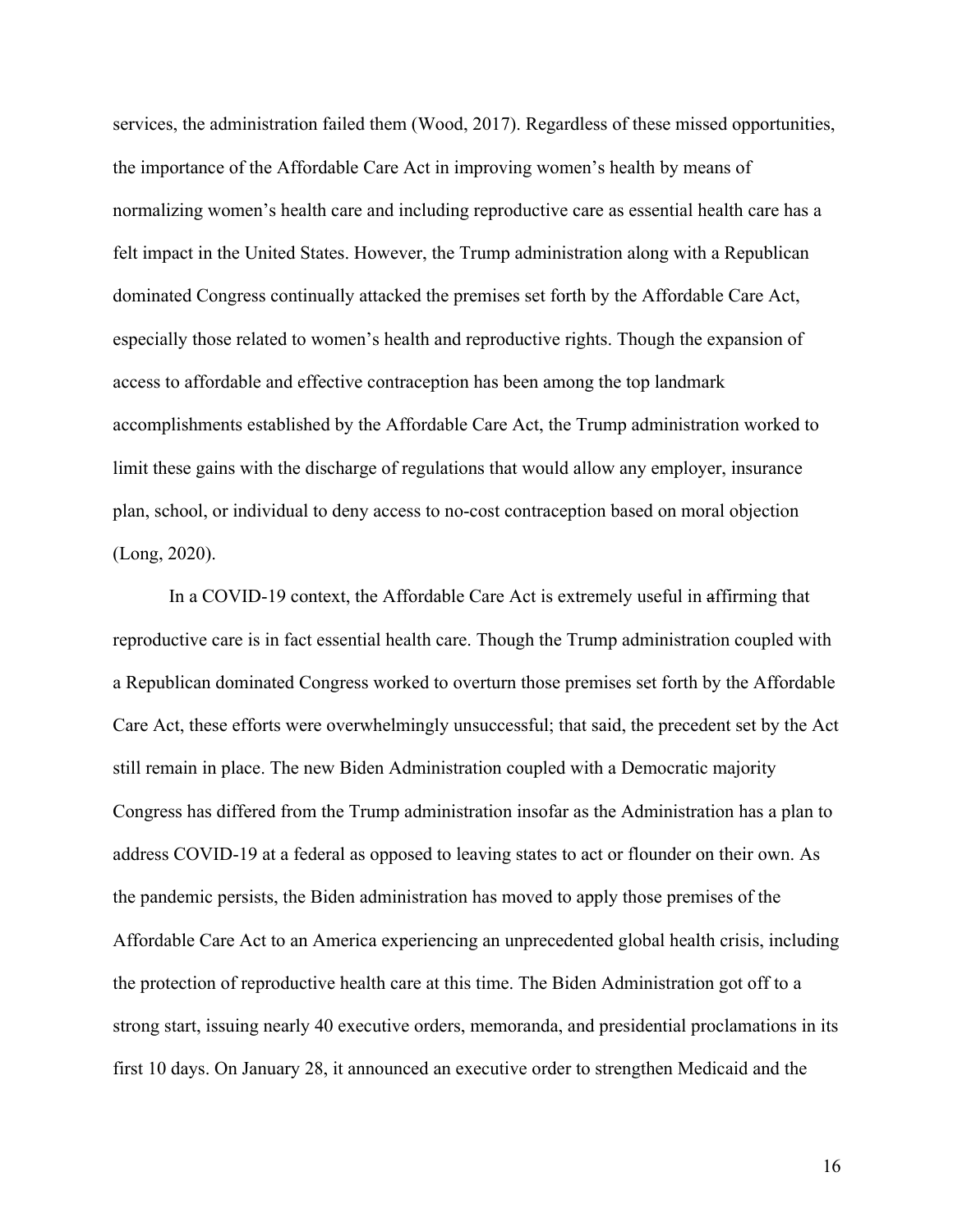services, the administration failed them (Wood, 2017). Regardless of these missed opportunities, the importance of the Affordable Care Act in improving women's health by means of normalizing women's health care and including reproductive care as essential health care has a felt impact in the United States. However, the Trump administration along with a Republican dominated Congress continually attacked the premises set forth by the Affordable Care Act, especially those related to women's health and reproductive rights. Though the expansion of access to affordable and effective contraception has been among the top landmark accomplishments established by the Affordable Care Act, the Trump administration worked to limit these gains with the discharge of regulations that would allow any employer, insurance plan, school, or individual to deny access to no-cost contraception based on moral objection (Long, 2020).

In a COVID-19 context, the Affordable Care Act is extremely useful in affirming that reproductive care is in fact essential health care. Though the Trump administration coupled with a Republican dominated Congress worked to overturn those premises set forth by the Affordable Care Act, these efforts were overwhelmingly unsuccessful; that said, the precedent set by the Act still remain in place. The new Biden Administration coupled with a Democratic majority Congress has differed from the Trump administration insofar as the Administration has a plan to address COVID-19 at a federal as opposed to leaving states to act or flounder on their own. As the pandemic persists, the Biden administration has moved to apply those premises of the Affordable Care Act to an America experiencing an unprecedented global health crisis, including the protection of reproductive health care at this time. The Biden Administration got off to a strong start, issuing nearly 40 executive orders, memoranda, and presidential proclamations in its first 10 days. On January 28, it announced an executive order to strengthen Medicaid and the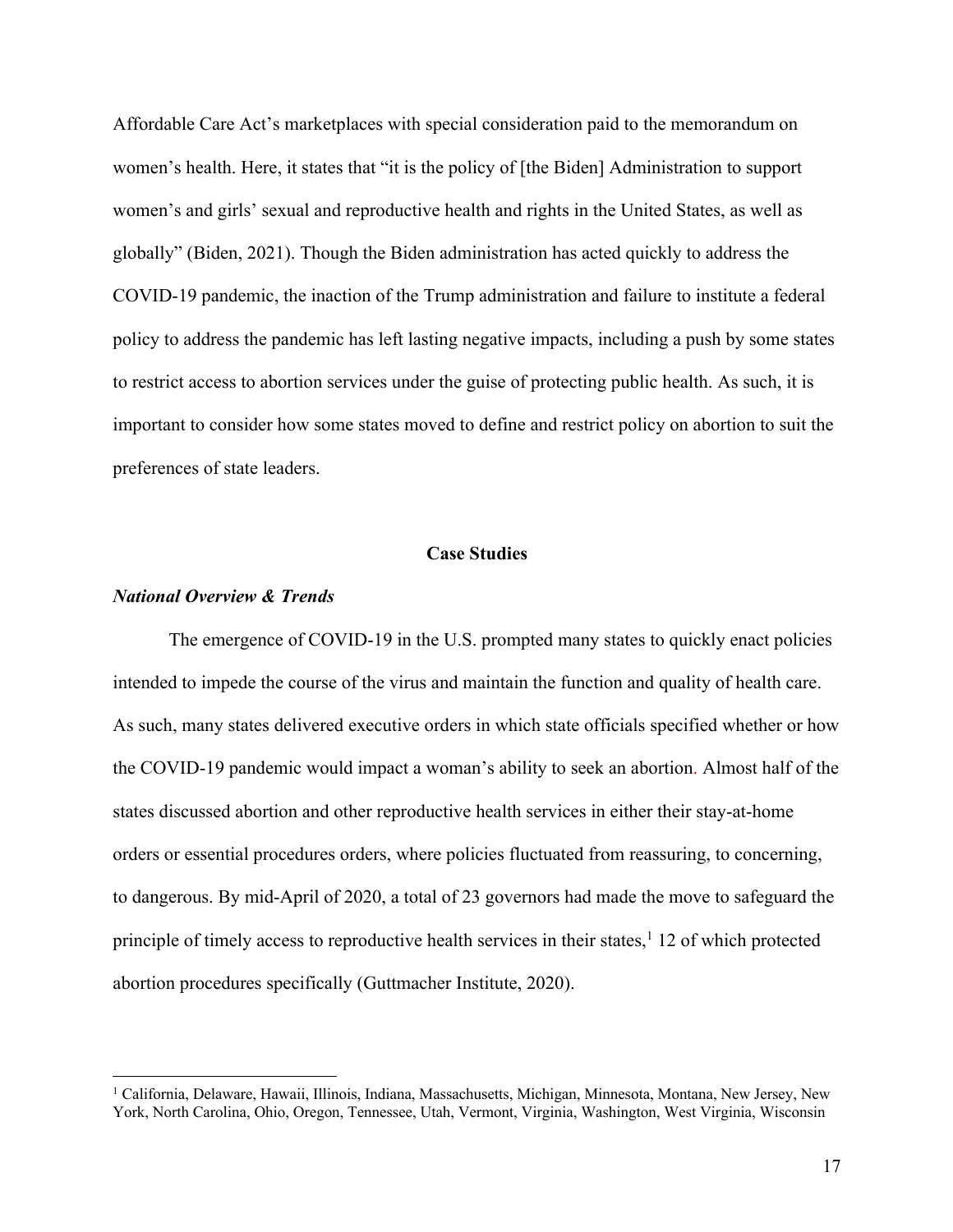Affordable Care Act's marketplaces with special consideration paid to the memorandum on women's health. Here, it states that "it is the policy of [the Biden] Administration to support women's and girls' sexual and reproductive health and rights in the United States, as well as globally" (Biden, 2021). Though the Biden administration has acted quickly to address the COVID-19 pandemic, the inaction of the Trump administration and failure to institute a federal policy to address the pandemic has left lasting negative impacts, including a push by some states to restrict access to abortion services under the guise of protecting public health. As such, it is important to consider how some states moved to define and restrict policy on abortion to suit the preferences of state leaders.

#### **Case Studies**

#### *National Overview & Trends*

The emergence of COVID-19 in the U.S. prompted many states to quickly enact policies intended to impede the course of the virus and maintain the function and quality of health care. As such, many states delivered executive orders in which state officials specified whether or how the COVID-19 pandemic would impact a woman's ability to seek an abortion. Almost half of the states discussed abortion and other reproductive health services in either their stay-at-home orders or essential procedures orders, where policies fluctuated from reassuring, to concerning, to dangerous. By mid-April of 2020, a total of 23 governors had made the move to safeguard the principle of timely access to reproductive health services in their states,<sup>1</sup> 12 of which protected abortion procedures specifically (Guttmacher Institute, 2020).

<sup>&</sup>lt;sup>1</sup> California, Delaware, Hawaii, Illinois, Indiana, Massachusetts, Michigan, Minnesota, Montana, New Jersey, New York, North Carolina, Ohio, Oregon, Tennessee, Utah, Vermont, Virginia, Washington, West Virginia, Wisconsin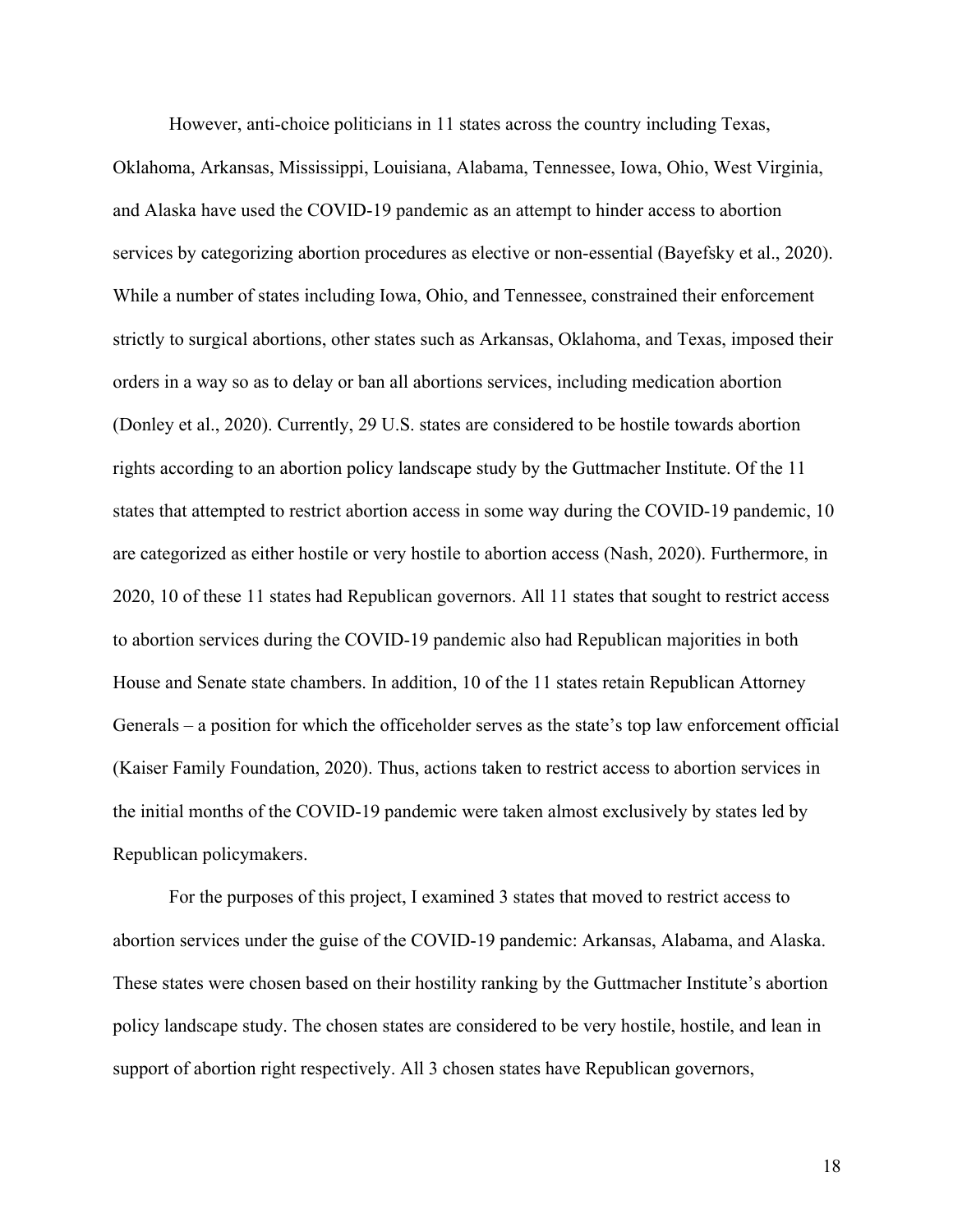However, anti-choice politicians in 11 states across the country including Texas,

Oklahoma, Arkansas, Mississippi, Louisiana, Alabama, Tennessee, Iowa, Ohio, West Virginia, and Alaska have used the COVID-19 pandemic as an attempt to hinder access to abortion services by categorizing abortion procedures as elective or non-essential (Bayefsky et al., 2020). While a number of states including Iowa, Ohio, and Tennessee, constrained their enforcement strictly to surgical abortions, other states such as Arkansas, Oklahoma, and Texas, imposed their orders in a way so as to delay or ban all abortions services, including medication abortion (Donley et al., 2020). Currently, 29 U.S. states are considered to be hostile towards abortion rights according to an abortion policy landscape study by the Guttmacher Institute. Of the 11 states that attempted to restrict abortion access in some way during the COVID-19 pandemic, 10 are categorized as either hostile or very hostile to abortion access (Nash, 2020). Furthermore, in 2020, 10 of these 11 states had Republican governors. All 11 states that sought to restrict access to abortion services during the COVID-19 pandemic also had Republican majorities in both House and Senate state chambers. In addition, 10 of the 11 states retain Republican Attorney Generals – a position for which the officeholder serves as the state's top law enforcement official (Kaiser Family Foundation, 2020). Thus, actions taken to restrict access to abortion services in the initial months of the COVID-19 pandemic were taken almost exclusively by states led by Republican policymakers.

For the purposes of this project, I examined 3 states that moved to restrict access to abortion services under the guise of the COVID-19 pandemic: Arkansas, Alabama, and Alaska. These states were chosen based on their hostility ranking by the Guttmacher Institute's abortion policy landscape study. The chosen states are considered to be very hostile, hostile, and lean in support of abortion right respectively. All 3 chosen states have Republican governors,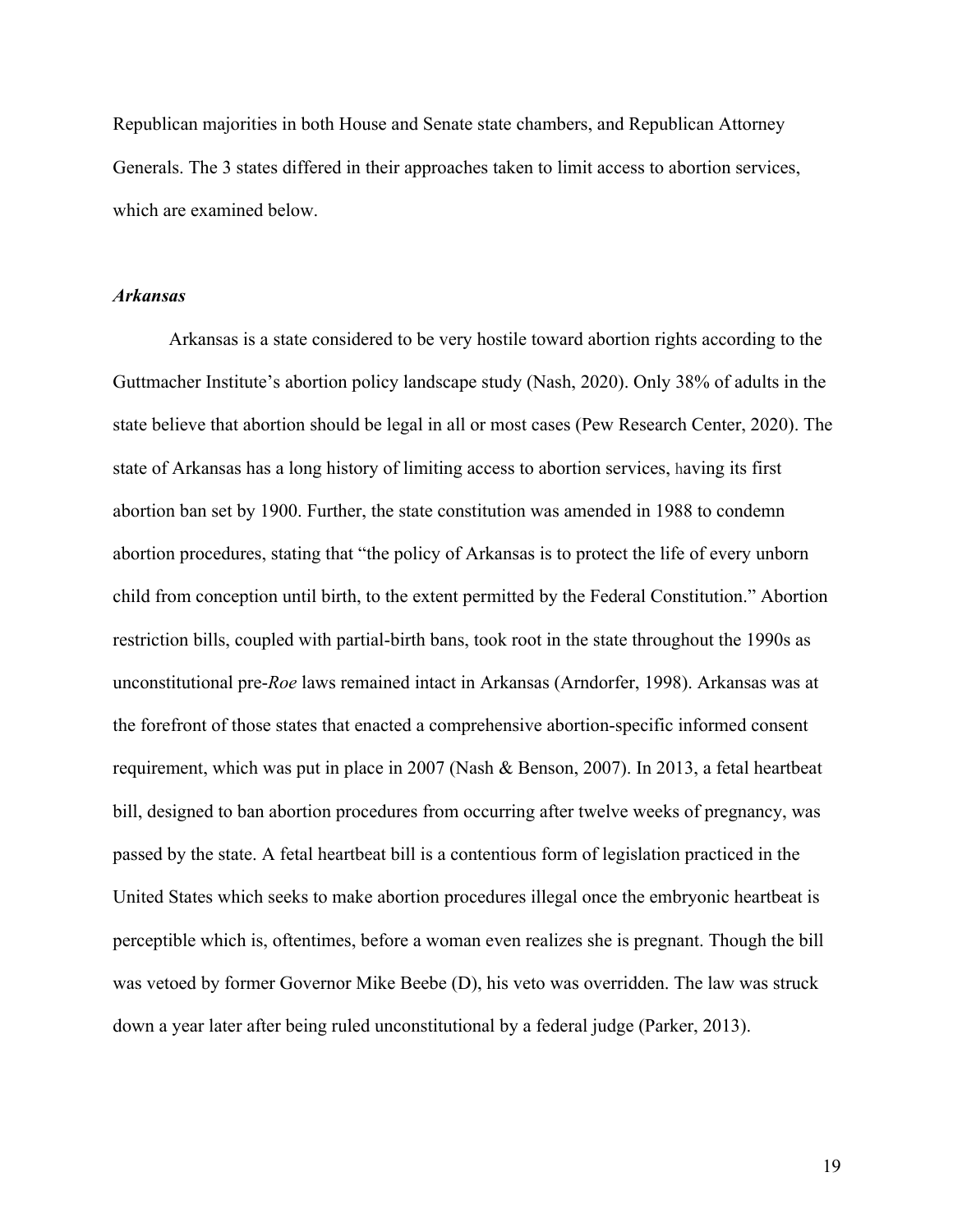Republican majorities in both House and Senate state chambers, and Republican Attorney Generals. The 3 states differed in their approaches taken to limit access to abortion services, which are examined below.

#### *Arkansas*

Arkansas is a state considered to be very hostile toward abortion rights according to the Guttmacher Institute's abortion policy landscape study (Nash, 2020). Only 38% of adults in the state believe that abortion should be legal in all or most cases (Pew Research Center, 2020). The state of Arkansas has a long history of limiting access to abortion services, having its first abortion ban set by 1900. Further, the state constitution was amended in 1988 to condemn abortion procedures, stating that "the policy of Arkansas is to protect the life of every unborn child from conception until birth, to the extent permitted by the Federal Constitution." Abortion restriction bills, coupled with partial-birth bans, took root in the state throughout the 1990s as unconstitutional pre-*Roe* laws remained intact in Arkansas (Arndorfer, 1998). Arkansas was at the forefront of those states that enacted a comprehensive abortion-specific informed consent requirement, which was put in place in 2007 (Nash & Benson, 2007). In 2013, a fetal heartbeat bill, designed to ban abortion procedures from occurring after twelve weeks of pregnancy, was passed by the state. A fetal heartbeat bill is a contentious form of legislation practiced in the United States which seeks to make abortion procedures illegal once the embryonic heartbeat is perceptible which is, oftentimes, before a woman even realizes she is pregnant. Though the bill was vetoed by former Governor Mike Beebe (D), his veto was overridden. The law was struck down a year later after being ruled unconstitutional by a federal judge (Parker, 2013).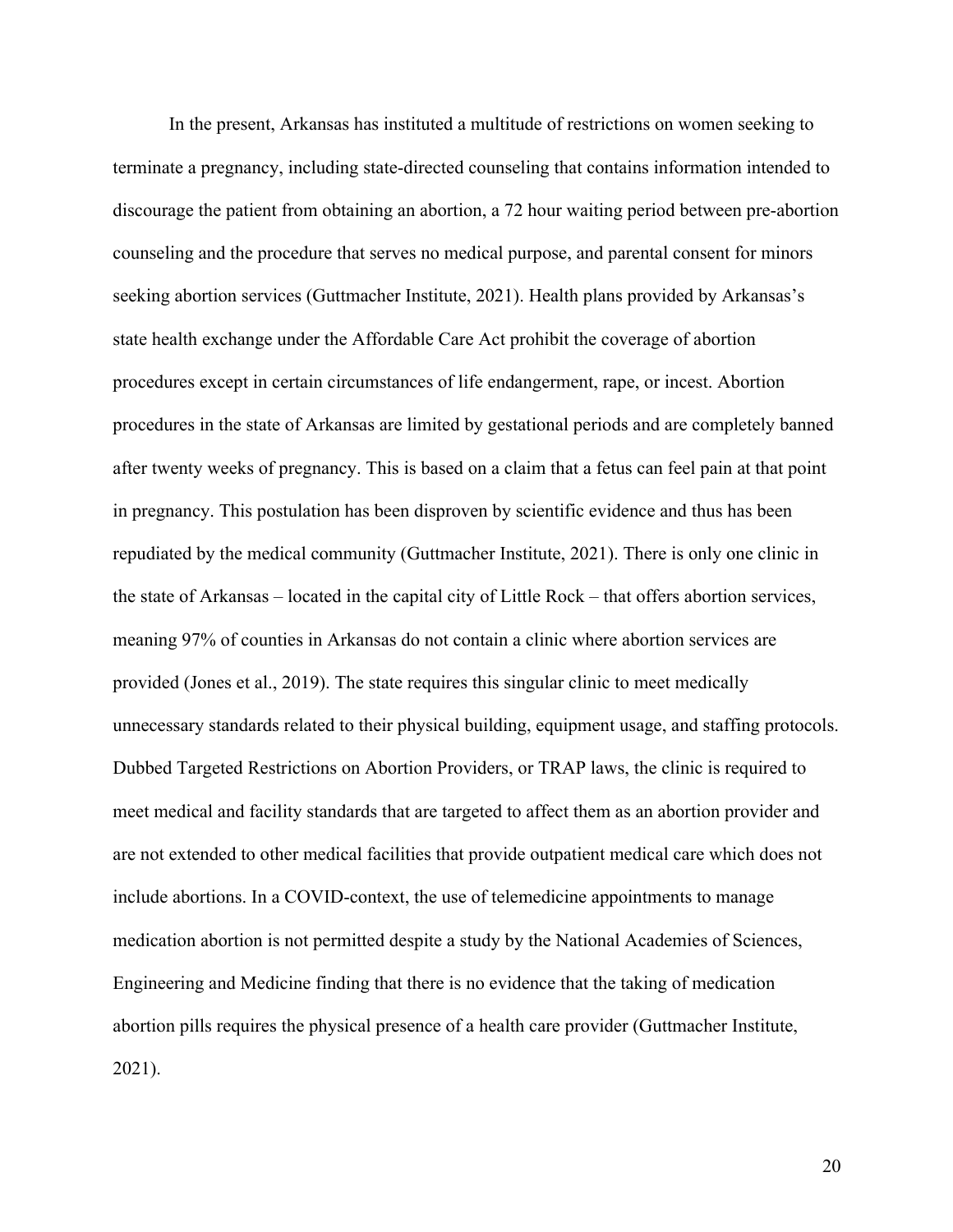In the present, Arkansas has instituted a multitude of restrictions on women seeking to terminate a pregnancy, including state-directed counseling that contains information intended to discourage the patient from obtaining an abortion, a 72 hour waiting period between pre-abortion counseling and the procedure that serves no medical purpose, and parental consent for minors seeking abortion services (Guttmacher Institute, 2021). Health plans provided by Arkansas's state health exchange under the Affordable Care Act prohibit the coverage of abortion procedures except in certain circumstances of life endangerment, rape, or incest. Abortion procedures in the state of Arkansas are limited by gestational periods and are completely banned after twenty weeks of pregnancy. This is based on a claim that a fetus can feel pain at that point in pregnancy. This postulation has been disproven by scientific evidence and thus has been repudiated by the medical community (Guttmacher Institute, 2021). There is only one clinic in the state of Arkansas – located in the capital city of Little Rock – that offers abortion services, meaning 97% of counties in Arkansas do not contain a clinic where abortion services are provided (Jones et al., 2019). The state requires this singular clinic to meet medically unnecessary standards related to their physical building, equipment usage, and staffing protocols. Dubbed Targeted Restrictions on Abortion Providers, or TRAP laws, the clinic is required to meet medical and facility standards that are targeted to affect them as an abortion provider and are not extended to other medical facilities that provide outpatient medical care which does not include abortions. In a COVID-context, the use of telemedicine appointments to manage medication abortion is not permitted despite a study by the National Academies of Sciences, Engineering and Medicine finding that there is no evidence that the taking of medication abortion pills requires the physical presence of a health care provider (Guttmacher Institute, 2021).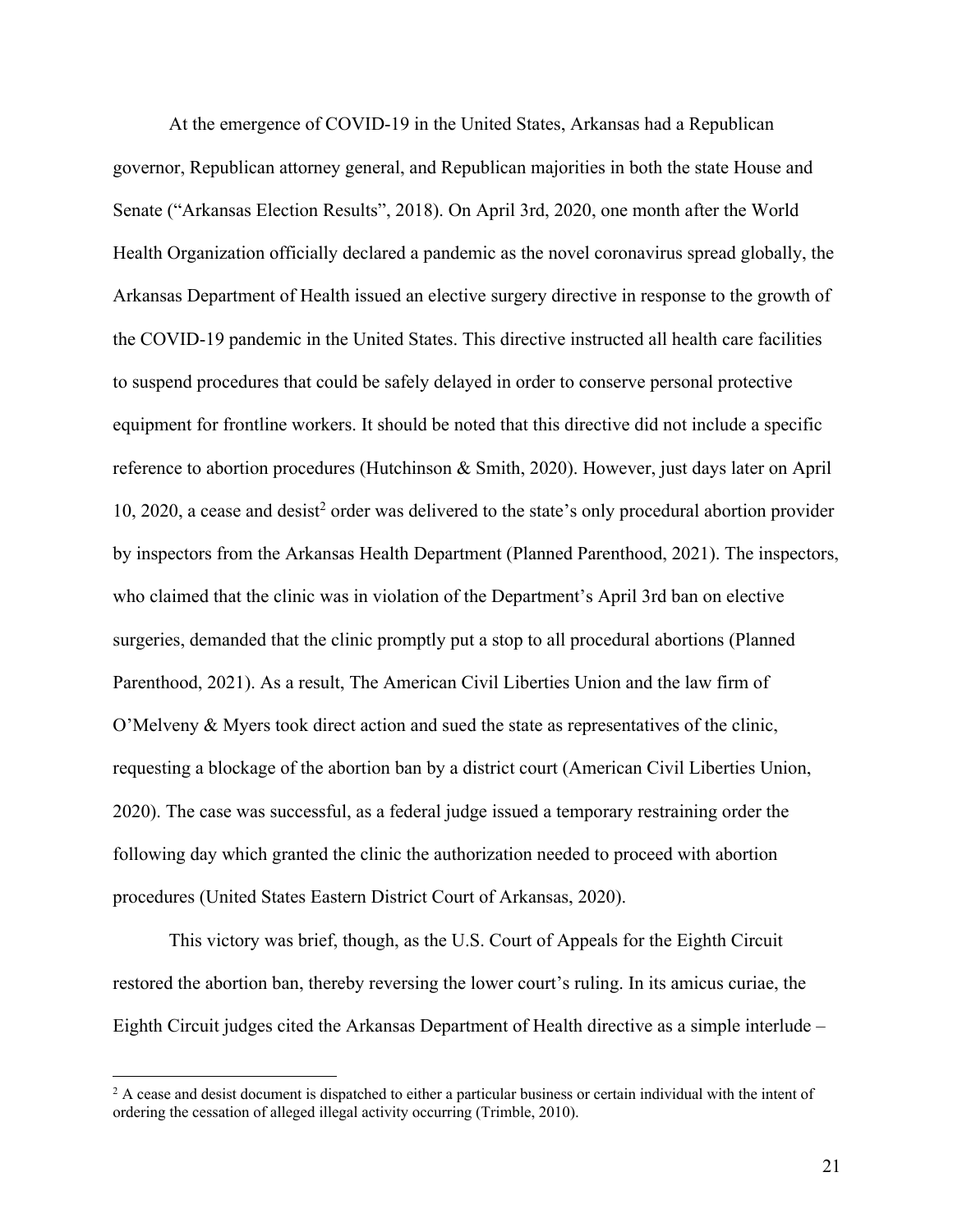At the emergence of COVID-19 in the United States, Arkansas had a Republican governor, Republican attorney general, and Republican majorities in both the state House and Senate ("Arkansas Election Results", 2018). On April 3rd, 2020, one month after the World Health Organization officially declared a pandemic as the novel coronavirus spread globally, the Arkansas Department of Health issued an elective surgery directive in response to the growth of the COVID-19 pandemic in the United States. This directive instructed all health care facilities to suspend procedures that could be safely delayed in order to conserve personal protective equipment for frontline workers. It should be noted that this directive did not include a specific reference to abortion procedures (Hutchinson & Smith, 2020). However, just days later on April  $10, 2020$ , a cease and desist<sup>2</sup> order was delivered to the state's only procedural abortion provider by inspectors from the Arkansas Health Department (Planned Parenthood, 2021). The inspectors, who claimed that the clinic was in violation of the Department's April 3rd ban on elective surgeries, demanded that the clinic promptly put a stop to all procedural abortions (Planned Parenthood, 2021). As a result, The American Civil Liberties Union and the law firm of O'Melveny & Myers took direct action and sued the state as representatives of the clinic, requesting a blockage of the abortion ban by a district court (American Civil Liberties Union, 2020). The case was successful, as a federal judge issued a temporary restraining order the following day which granted the clinic the authorization needed to proceed with abortion procedures (United States Eastern District Court of Arkansas, 2020).

This victory was brief, though, as the U.S. Court of Appeals for the Eighth Circuit restored the abortion ban, thereby reversing the lower court's ruling. In its amicus curiae, the Eighth Circuit judges cited the Arkansas Department of Health directive as a simple interlude –

<sup>&</sup>lt;sup>2</sup> A cease and desist document is dispatched to either a particular business or certain individual with the intent of ordering the cessation of alleged illegal activity occurring (Trimble, 2010).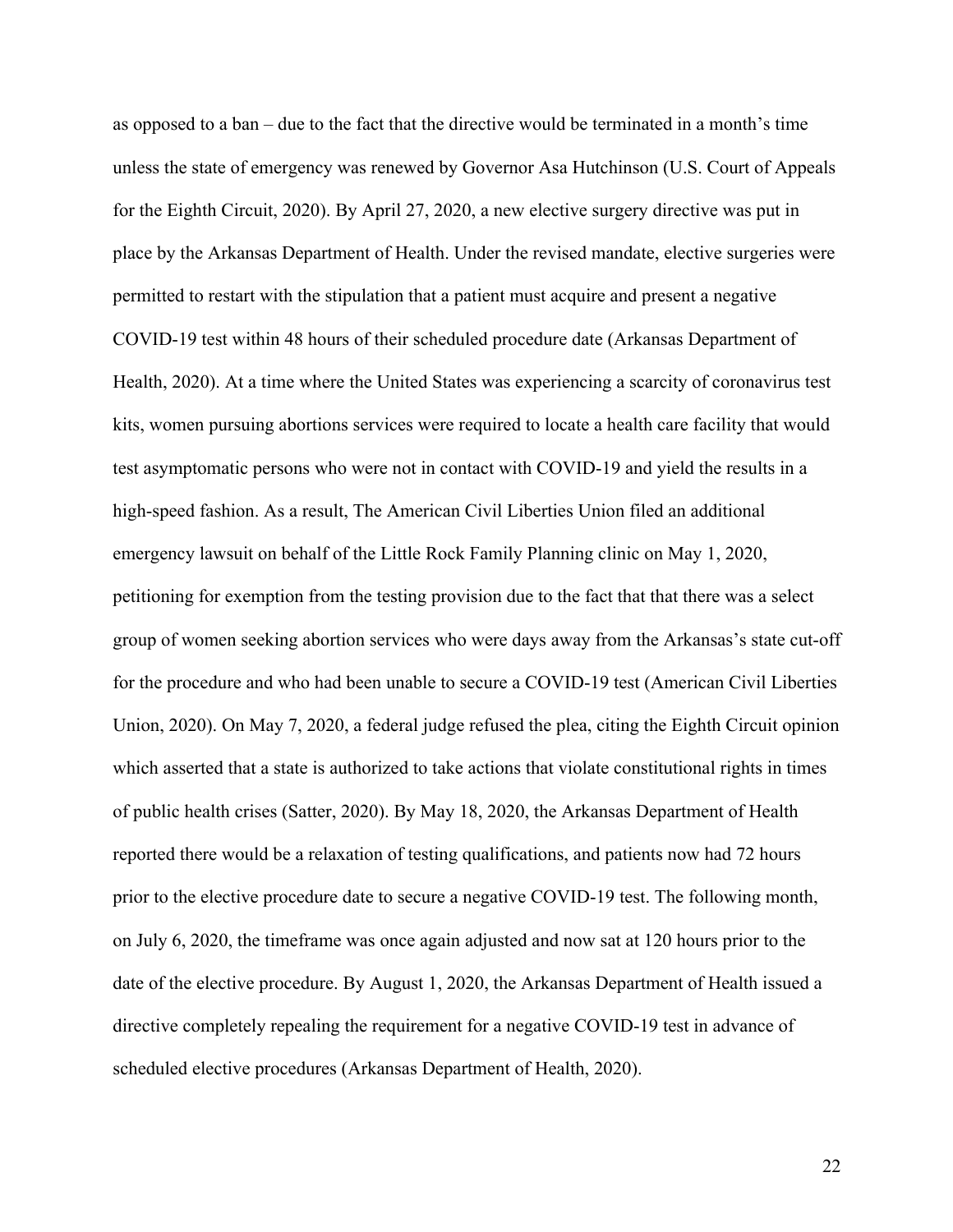as opposed to a ban – due to the fact that the directive would be terminated in a month's time unless the state of emergency was renewed by Governor Asa Hutchinson (U.S. Court of Appeals for the Eighth Circuit, 2020). By April 27, 2020, a new elective surgery directive was put in place by the Arkansas Department of Health. Under the revised mandate, elective surgeries were permitted to restart with the stipulation that a patient must acquire and present a negative COVID-19 test within 48 hours of their scheduled procedure date (Arkansas Department of Health, 2020). At a time where the United States was experiencing a scarcity of coronavirus test kits, women pursuing abortions services were required to locate a health care facility that would test asymptomatic persons who were not in contact with COVID-19 and yield the results in a high-speed fashion. As a result, The American Civil Liberties Union filed an additional emergency lawsuit on behalf of the Little Rock Family Planning clinic on May 1, 2020, petitioning for exemption from the testing provision due to the fact that that there was a select group of women seeking abortion services who were days away from the Arkansas's state cut-off for the procedure and who had been unable to secure a COVID-19 test (American Civil Liberties Union, 2020). On May 7, 2020, a federal judge refused the plea, citing the Eighth Circuit opinion which asserted that a state is authorized to take actions that violate constitutional rights in times of public health crises (Satter, 2020). By May 18, 2020, the Arkansas Department of Health reported there would be a relaxation of testing qualifications, and patients now had 72 hours prior to the elective procedure date to secure a negative COVID-19 test. The following month, on July 6, 2020, the timeframe was once again adjusted and now sat at 120 hours prior to the date of the elective procedure. By August 1, 2020, the Arkansas Department of Health issued a directive completely repealing the requirement for a negative COVID-19 test in advance of scheduled elective procedures (Arkansas Department of Health, 2020).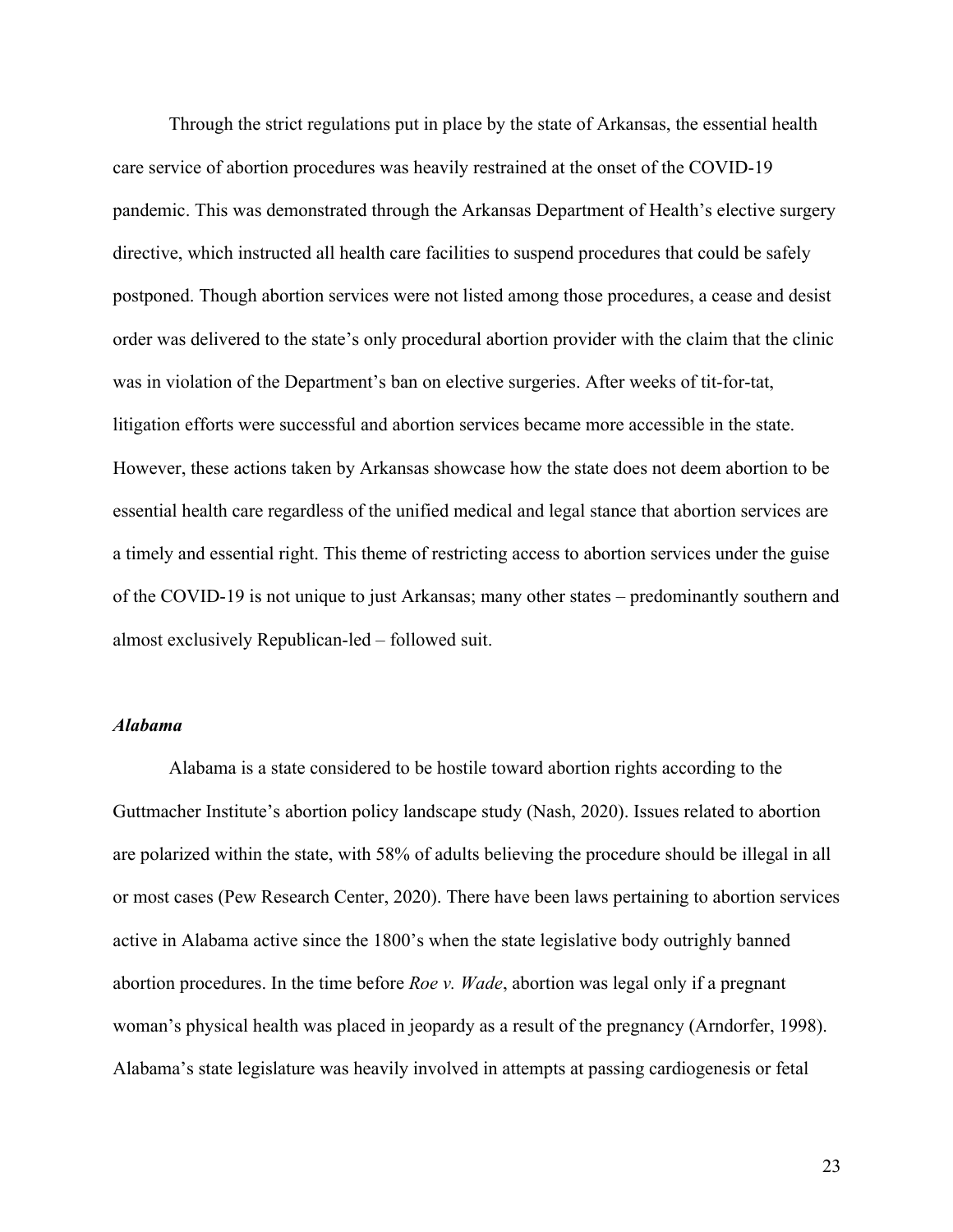Through the strict regulations put in place by the state of Arkansas, the essential health care service of abortion procedures was heavily restrained at the onset of the COVID-19 pandemic. This was demonstrated through the Arkansas Department of Health's elective surgery directive, which instructed all health care facilities to suspend procedures that could be safely postponed. Though abortion services were not listed among those procedures, a cease and desist order was delivered to the state's only procedural abortion provider with the claim that the clinic was in violation of the Department's ban on elective surgeries. After weeks of tit-for-tat, litigation efforts were successful and abortion services became more accessible in the state. However, these actions taken by Arkansas showcase how the state does not deem abortion to be essential health care regardless of the unified medical and legal stance that abortion services are a timely and essential right. This theme of restricting access to abortion services under the guise of the COVID-19 is not unique to just Arkansas; many other states – predominantly southern and almost exclusively Republican-led – followed suit.

### *Alabama*

Alabama is a state considered to be hostile toward abortion rights according to the Guttmacher Institute's abortion policy landscape study (Nash, 2020). Issues related to abortion are polarized within the state, with 58% of adults believing the procedure should be illegal in all or most cases (Pew Research Center, 2020). There have been laws pertaining to abortion services active in Alabama active since the 1800's when the state legislative body outrighly banned abortion procedures. In the time before *Roe v. Wade*, abortion was legal only if a pregnant woman's physical health was placed in jeopardy as a result of the pregnancy (Arndorfer, 1998). Alabama's state legislature was heavily involved in attempts at passing cardiogenesis or fetal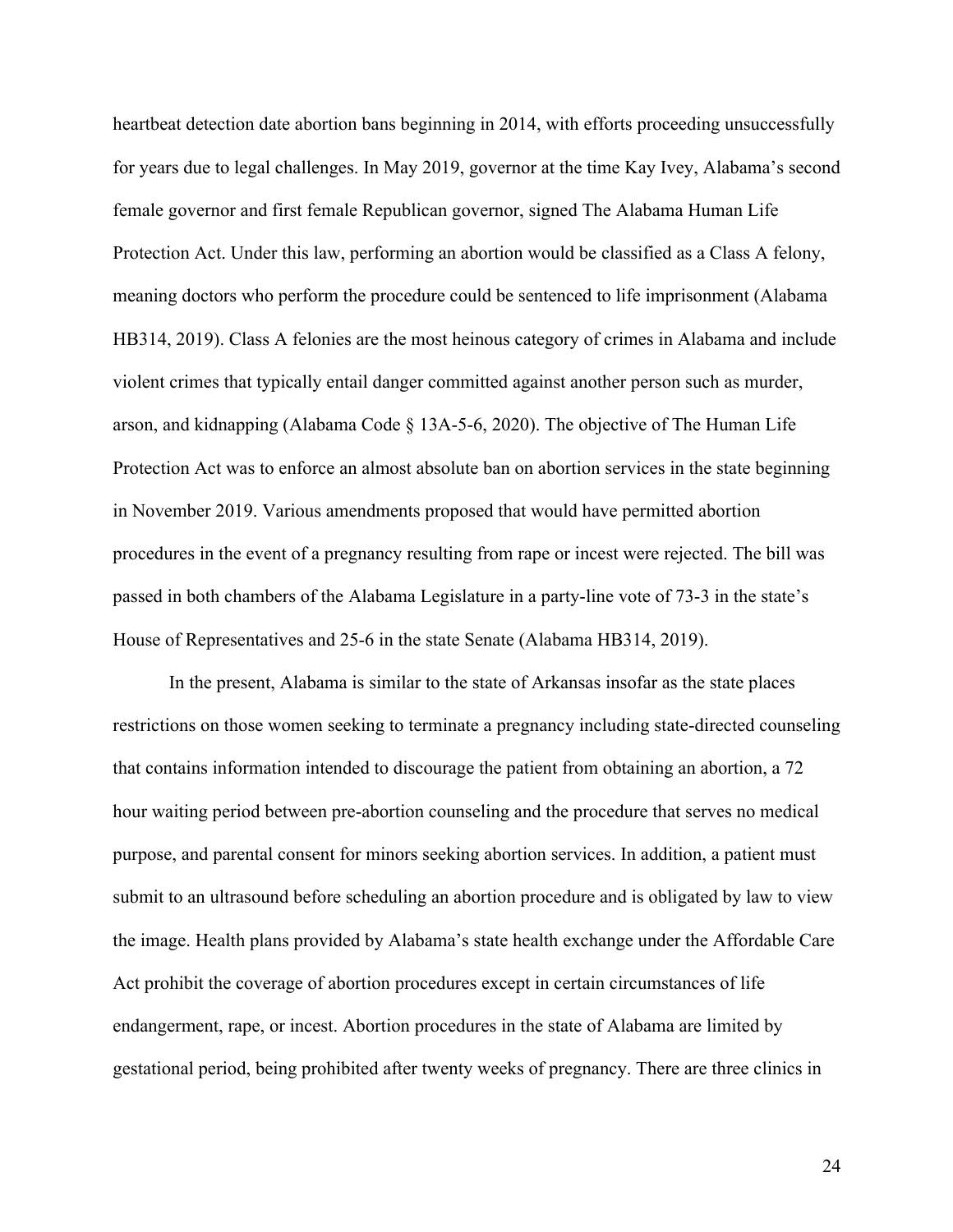heartbeat detection date abortion bans beginning in 2014, with efforts proceeding unsuccessfully for years due to legal challenges. In May 2019, governor at the time Kay Ivey, Alabama's second female governor and first female Republican governor, signed The Alabama Human Life Protection Act. Under this law, performing an abortion would be classified as a Class A felony, meaning doctors who perform the procedure could be sentenced to life imprisonment (Alabama HB314, 2019). Class A felonies are the most heinous category of crimes in Alabama and include violent crimes that typically entail danger committed against another person such as murder, arson, and kidnapping (Alabama Code § 13A-5-6, 2020). The objective of The Human Life Protection Act was to enforce an almost absolute ban on abortion services in the state beginning in November 2019. Various amendments proposed that would have permitted abortion procedures in the event of a pregnancy resulting from rape or incest were rejected. The bill was passed in both chambers of the Alabama Legislature in a party-line vote of 73-3 in the state's House of Representatives and 25-6 in the state Senate (Alabama HB314, 2019).

In the present, Alabama is similar to the state of Arkansas insofar as the state places restrictions on those women seeking to terminate a pregnancy including state-directed counseling that contains information intended to discourage the patient from obtaining an abortion, a 72 hour waiting period between pre-abortion counseling and the procedure that serves no medical purpose, and parental consent for minors seeking abortion services. In addition, a patient must submit to an ultrasound before scheduling an abortion procedure and is obligated by law to view the image. Health plans provided by Alabama's state health exchange under the Affordable Care Act prohibit the coverage of abortion procedures except in certain circumstances of life endangerment, rape, or incest. Abortion procedures in the state of Alabama are limited by gestational period, being prohibited after twenty weeks of pregnancy. There are three clinics in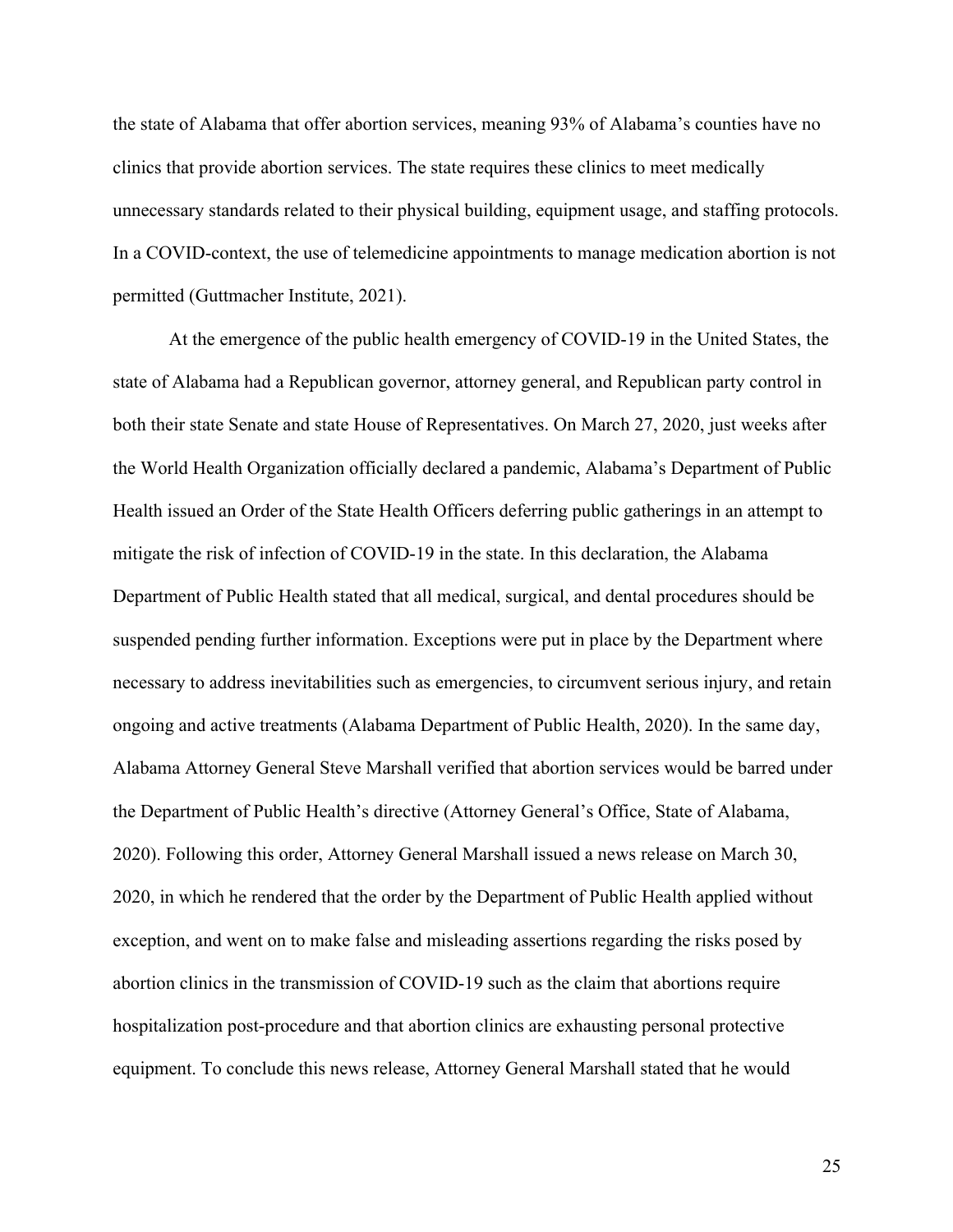the state of Alabama that offer abortion services, meaning 93% of Alabama's counties have no clinics that provide abortion services. The state requires these clinics to meet medically unnecessary standards related to their physical building, equipment usage, and staffing protocols. In a COVID-context, the use of telemedicine appointments to manage medication abortion is not permitted (Guttmacher Institute, 2021).

At the emergence of the public health emergency of COVID-19 in the United States, the state of Alabama had a Republican governor, attorney general, and Republican party control in both their state Senate and state House of Representatives. On March 27, 2020, just weeks after the World Health Organization officially declared a pandemic, Alabama's Department of Public Health issued an Order of the State Health Officers deferring public gatherings in an attempt to mitigate the risk of infection of COVID-19 in the state. In this declaration, the Alabama Department of Public Health stated that all medical, surgical, and dental procedures should be suspended pending further information. Exceptions were put in place by the Department where necessary to address inevitabilities such as emergencies, to circumvent serious injury, and retain ongoing and active treatments (Alabama Department of Public Health, 2020). In the same day, Alabama Attorney General Steve Marshall verified that abortion services would be barred under the Department of Public Health's directive (Attorney General's Office, State of Alabama, 2020). Following this order, Attorney General Marshall issued a news release on March 30, 2020, in which he rendered that the order by the Department of Public Health applied without exception, and went on to make false and misleading assertions regarding the risks posed by abortion clinics in the transmission of COVID-19 such as the claim that abortions require hospitalization post-procedure and that abortion clinics are exhausting personal protective equipment. To conclude this news release, Attorney General Marshall stated that he would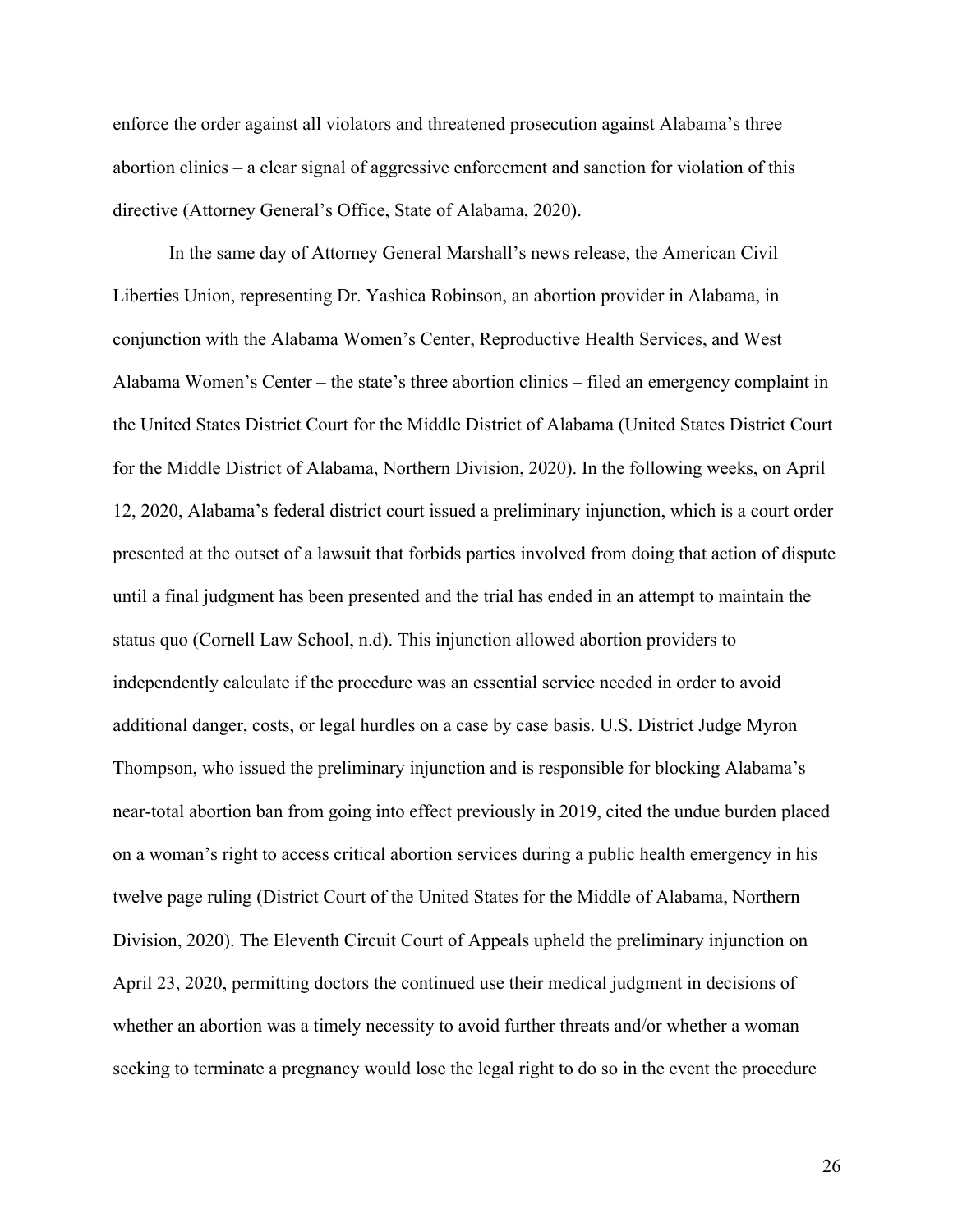enforce the order against all violators and threatened prosecution against Alabama's three abortion clinics – a clear signal of aggressive enforcement and sanction for violation of this directive (Attorney General's Office, State of Alabama, 2020).

In the same day of Attorney General Marshall's news release, the American Civil Liberties Union, representing Dr. Yashica Robinson, an abortion provider in Alabama, in conjunction with the Alabama Women's Center, Reproductive Health Services, and West Alabama Women's Center – the state's three abortion clinics – filed an emergency complaint in the United States District Court for the Middle District of Alabama (United States District Court for the Middle District of Alabama, Northern Division, 2020). In the following weeks, on April 12, 2020, Alabama's federal district court issued a preliminary injunction, which is a court order presented at the outset of a lawsuit that forbids parties involved from doing that action of dispute until a final judgment has been presented and the trial has ended in an attempt to maintain the status quo (Cornell Law School, n.d). This injunction allowed abortion providers to independently calculate if the procedure was an essential service needed in order to avoid additional danger, costs, or legal hurdles on a case by case basis. U.S. District Judge Myron Thompson, who issued the preliminary injunction and is responsible for blocking Alabama's near-total abortion ban from going into effect previously in 2019, cited the undue burden placed on a woman's right to access critical abortion services during a public health emergency in his twelve page ruling (District Court of the United States for the Middle of Alabama, Northern Division, 2020). The Eleventh Circuit Court of Appeals upheld the preliminary injunction on April 23, 2020, permitting doctors the continued use their medical judgment in decisions of whether an abortion was a timely necessity to avoid further threats and/or whether a woman seeking to terminate a pregnancy would lose the legal right to do so in the event the procedure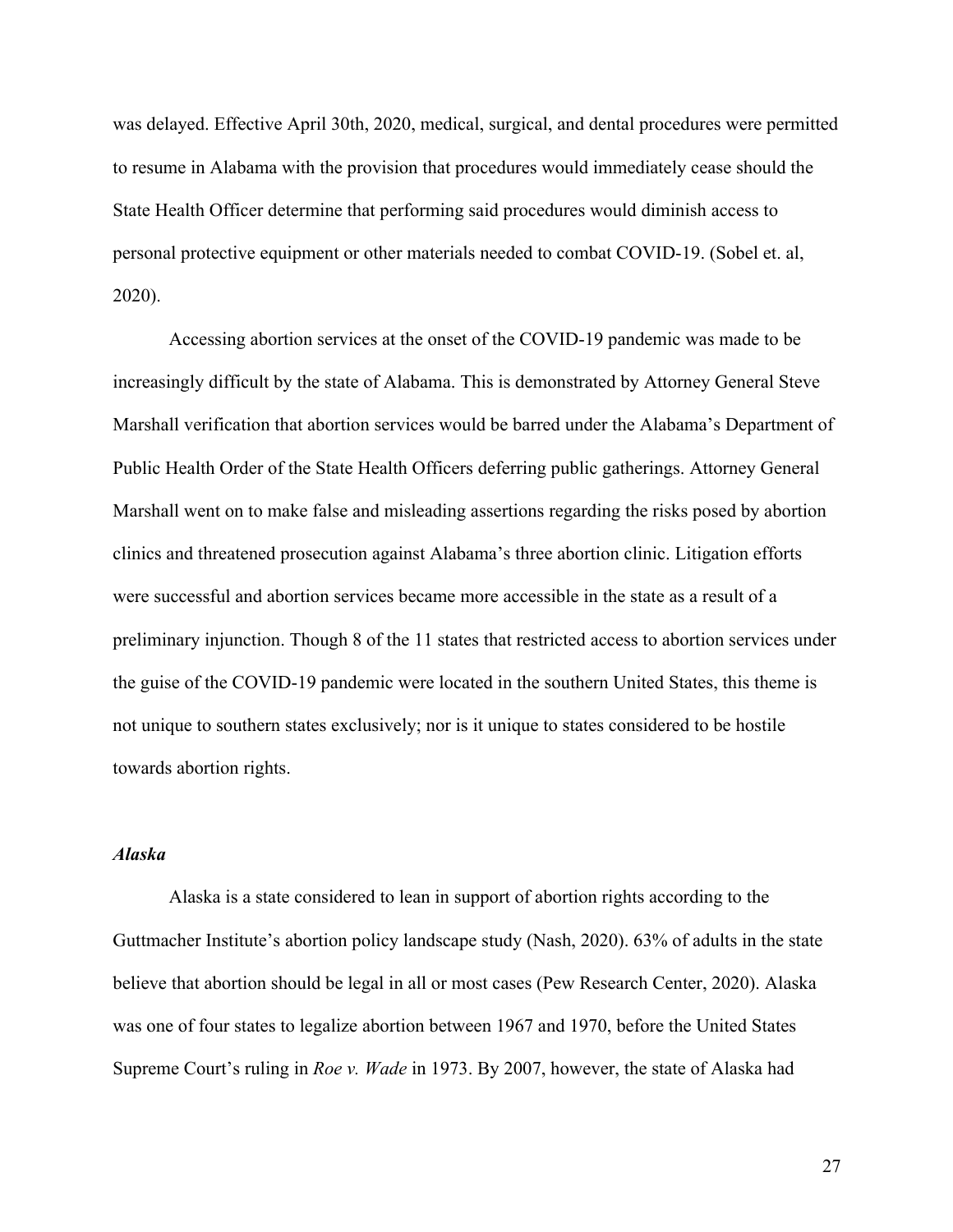was delayed. Effective April 30th, 2020, medical, surgical, and dental procedures were permitted to resume in Alabama with the provision that procedures would immediately cease should the State Health Officer determine that performing said procedures would diminish access to personal protective equipment or other materials needed to combat COVID-19. (Sobel et. al, 2020).

Accessing abortion services at the onset of the COVID-19 pandemic was made to be increasingly difficult by the state of Alabama. This is demonstrated by Attorney General Steve Marshall verification that abortion services would be barred under the Alabama's Department of Public Health Order of the State Health Officers deferring public gatherings. Attorney General Marshall went on to make false and misleading assertions regarding the risks posed by abortion clinics and threatened prosecution against Alabama's three abortion clinic. Litigation efforts were successful and abortion services became more accessible in the state as a result of a preliminary injunction. Though 8 of the 11 states that restricted access to abortion services under the guise of the COVID-19 pandemic were located in the southern United States, this theme is not unique to southern states exclusively; nor is it unique to states considered to be hostile towards abortion rights.

#### *Alaska*

Alaska is a state considered to lean in support of abortion rights according to the Guttmacher Institute's abortion policy landscape study (Nash, 2020). 63% of adults in the state believe that abortion should be legal in all or most cases (Pew Research Center, 2020). Alaska was one of four states to legalize abortion between 1967 and 1970, before the United States Supreme Court's ruling in *Roe v. Wade* in 1973. By 2007, however, the state of Alaska had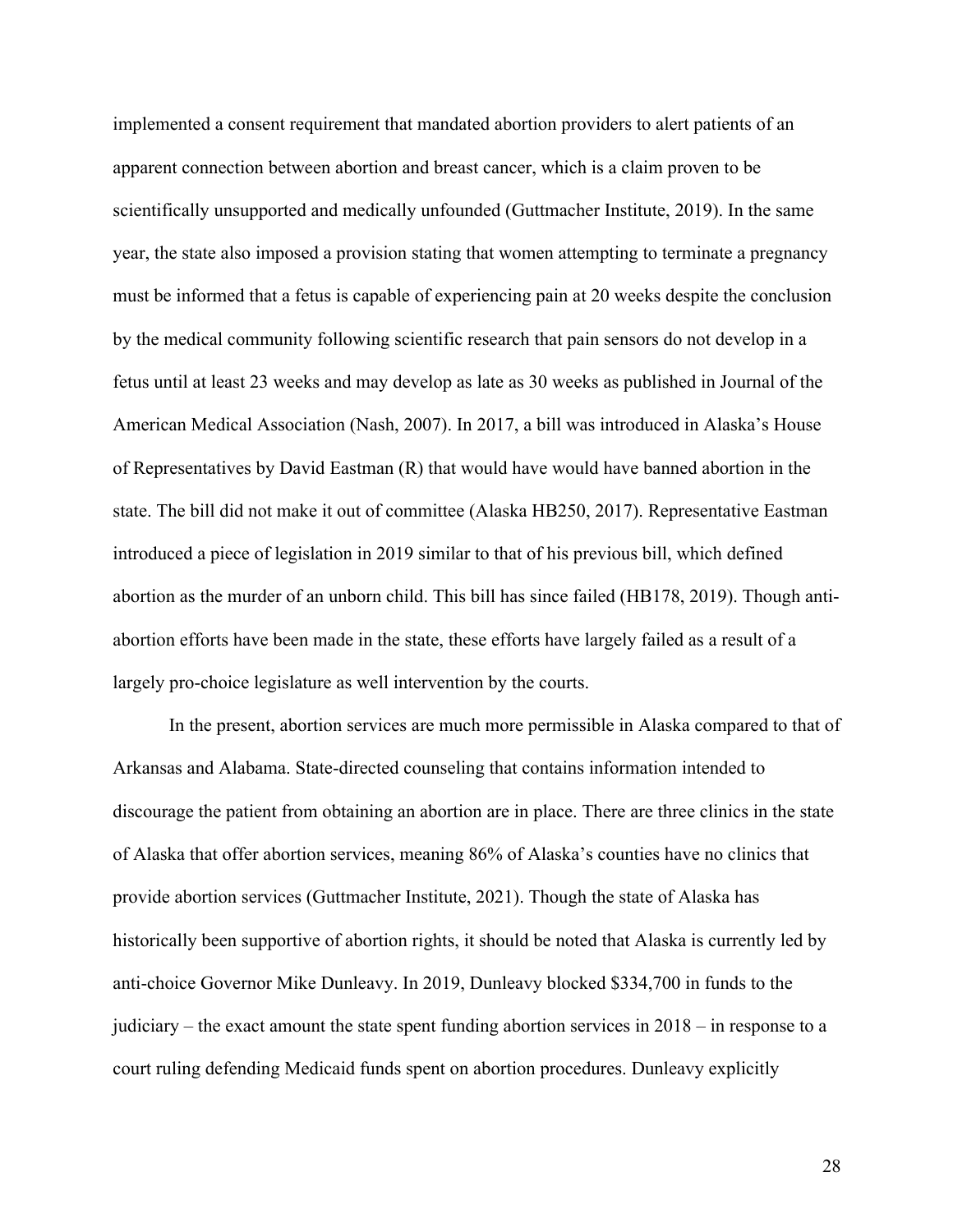implemented a consent requirement that mandated abortion providers to alert patients of an apparent connection between abortion and breast cancer, which is a claim proven to be scientifically unsupported and medically unfounded (Guttmacher Institute, 2019). In the same year, the state also imposed a provision stating that women attempting to terminate a pregnancy must be informed that a fetus is capable of experiencing pain at 20 weeks despite the conclusion by the medical community following scientific research that pain sensors do not develop in a fetus until at least 23 weeks and may develop as late as 30 weeks as published in Journal of the American Medical Association (Nash, 2007). In 2017, a bill was introduced in Alaska's House of Representatives by David Eastman (R) that would have would have banned abortion in the state. The bill did not make it out of committee (Alaska HB250, 2017). Representative Eastman introduced a piece of legislation in 2019 similar to that of his previous bill, which defined abortion as the murder of an unborn child. This bill has since failed (HB178, 2019). Though antiabortion efforts have been made in the state, these efforts have largely failed as a result of a largely pro-choice legislature as well intervention by the courts.

In the present, abortion services are much more permissible in Alaska compared to that of Arkansas and Alabama. State-directed counseling that contains information intended to discourage the patient from obtaining an abortion are in place. There are three clinics in the state of Alaska that offer abortion services, meaning 86% of Alaska's counties have no clinics that provide abortion services (Guttmacher Institute, 2021). Though the state of Alaska has historically been supportive of abortion rights, it should be noted that Alaska is currently led by anti-choice Governor Mike Dunleavy. In 2019, Dunleavy blocked \$334,700 in funds to the judiciary – the exact amount the state spent funding abortion services in 2018 – in response to a court ruling defending Medicaid funds spent on abortion procedures. Dunleavy explicitly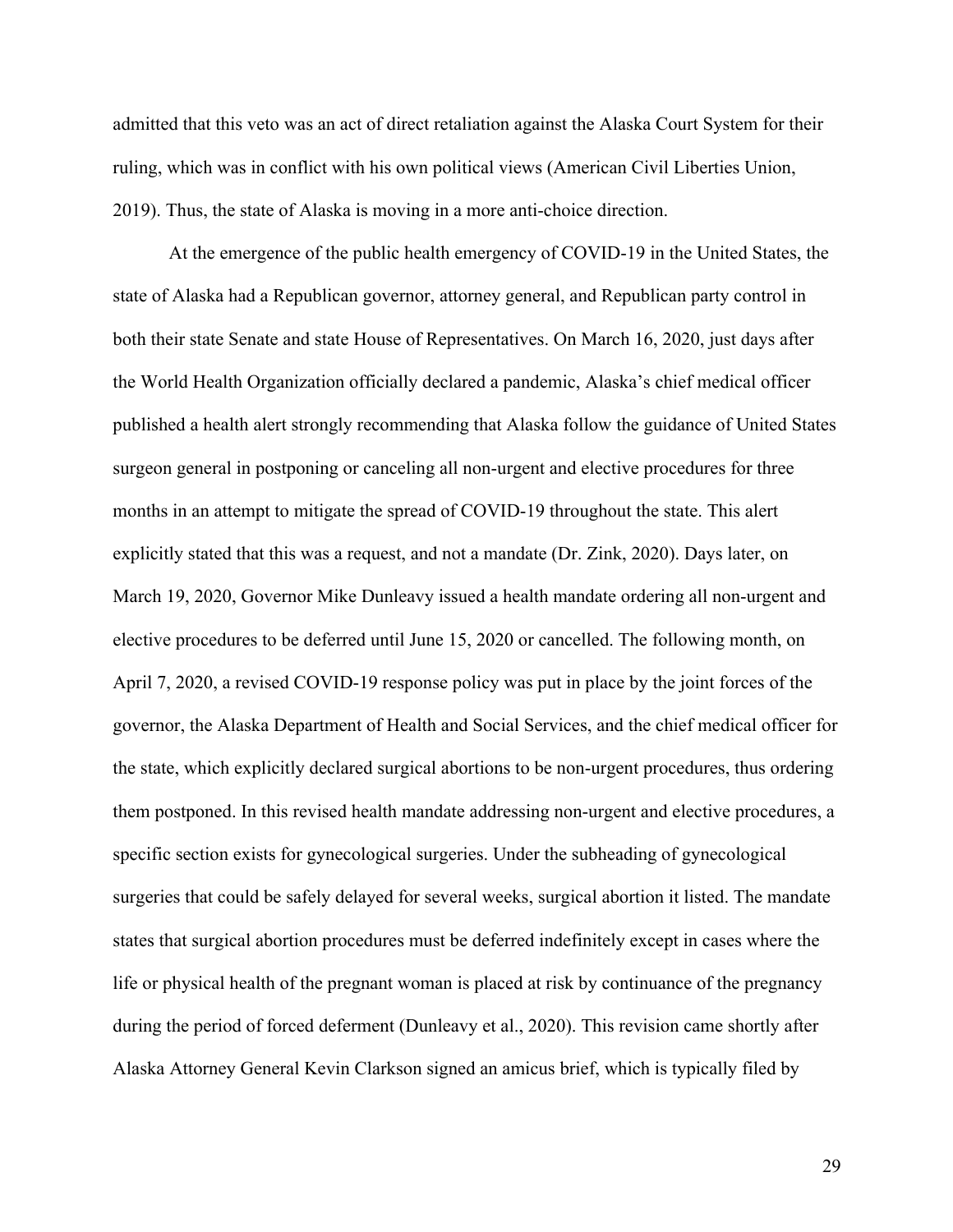admitted that this veto was an act of direct retaliation against the Alaska Court System for their ruling, which was in conflict with his own political views (American Civil Liberties Union, 2019). Thus, the state of Alaska is moving in a more anti-choice direction.

At the emergence of the public health emergency of COVID-19 in the United States, the state of Alaska had a Republican governor, attorney general, and Republican party control in both their state Senate and state House of Representatives. On March 16, 2020, just days after the World Health Organization officially declared a pandemic, Alaska's chief medical officer published a health alert strongly recommending that Alaska follow the guidance of United States surgeon general in postponing or canceling all non-urgent and elective procedures for three months in an attempt to mitigate the spread of COVID-19 throughout the state. This alert explicitly stated that this was a request, and not a mandate (Dr. Zink, 2020). Days later, on March 19, 2020, Governor Mike Dunleavy issued a health mandate ordering all non-urgent and elective procedures to be deferred until June 15, 2020 or cancelled. The following month, on April 7, 2020, a revised COVID-19 response policy was put in place by the joint forces of the governor, the Alaska Department of Health and Social Services, and the chief medical officer for the state, which explicitly declared surgical abortions to be non-urgent procedures, thus ordering them postponed. In this revised health mandate addressing non-urgent and elective procedures, a specific section exists for gynecological surgeries. Under the subheading of gynecological surgeries that could be safely delayed for several weeks, surgical abortion it listed. The mandate states that surgical abortion procedures must be deferred indefinitely except in cases where the life or physical health of the pregnant woman is placed at risk by continuance of the pregnancy during the period of forced deferment (Dunleavy et al., 2020). This revision came shortly after Alaska Attorney General Kevin Clarkson signed an amicus brief, which is typically filed by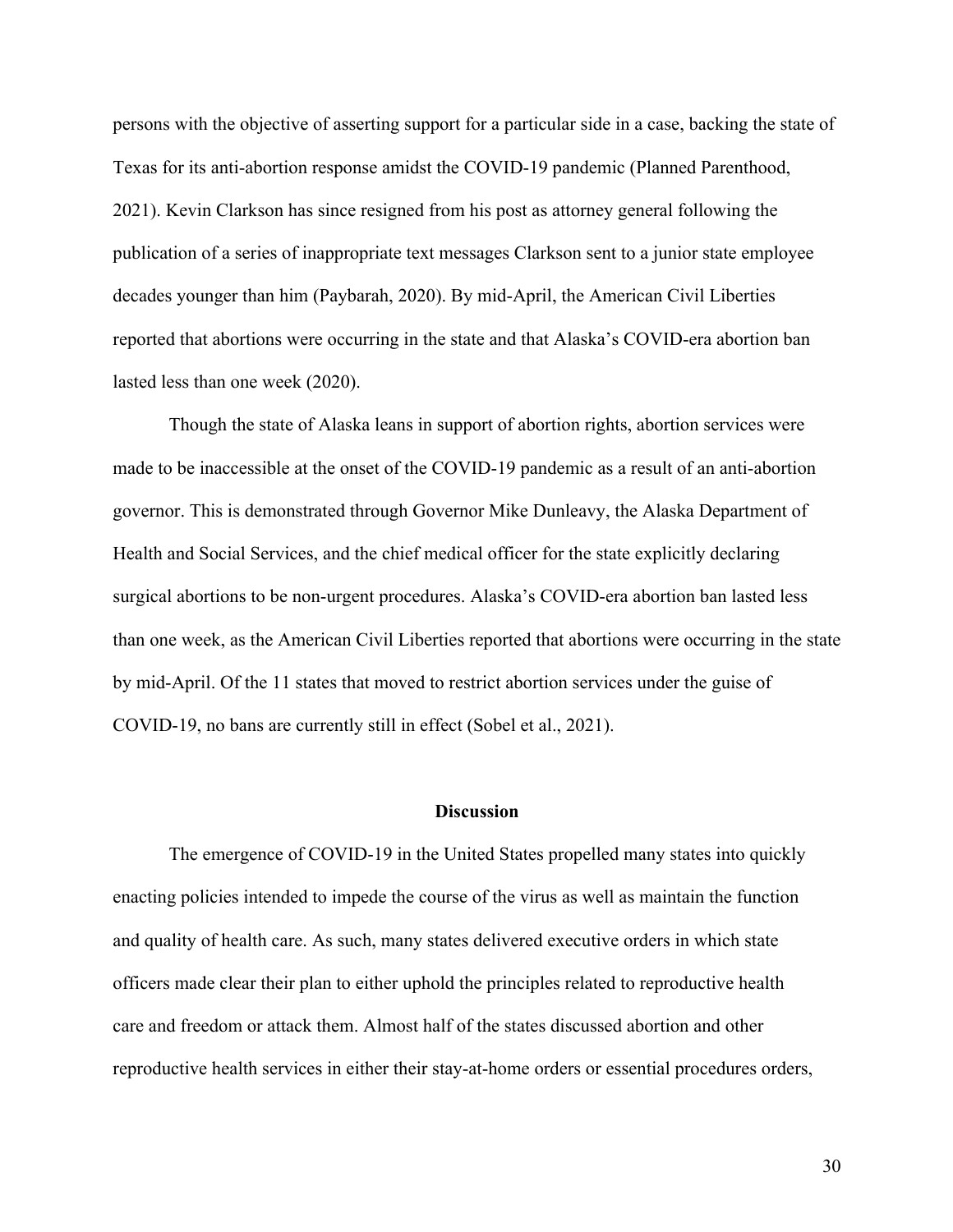persons with the objective of asserting support for a particular side in a case, backing the state of Texas for its anti-abortion response amidst the COVID-19 pandemic (Planned Parenthood, 2021). Kevin Clarkson has since resigned from his post as attorney general following the publication of a series of inappropriate text messages Clarkson sent to a junior state employee decades younger than him (Paybarah, 2020). By mid-April, the American Civil Liberties reported that abortions were occurring in the state and that Alaska's COVID-era abortion ban lasted less than one week (2020).

Though the state of Alaska leans in support of abortion rights, abortion services were made to be inaccessible at the onset of the COVID-19 pandemic as a result of an anti-abortion governor. This is demonstrated through Governor Mike Dunleavy, the Alaska Department of Health and Social Services, and the chief medical officer for the state explicitly declaring surgical abortions to be non-urgent procedures. Alaska's COVID-era abortion ban lasted less than one week, as the American Civil Liberties reported that abortions were occurring in the state by mid-April. Of the 11 states that moved to restrict abortion services under the guise of COVID-19, no bans are currently still in effect (Sobel et al., 2021).

#### **Discussion**

The emergence of COVID-19 in the United States propelled many states into quickly enacting policies intended to impede the course of the virus as well as maintain the function and quality of health care. As such, many states delivered executive orders in which state officers made clear their plan to either uphold the principles related to reproductive health care and freedom or attack them. Almost half of the states discussed abortion and other reproductive health services in either their stay-at-home orders or essential procedures orders,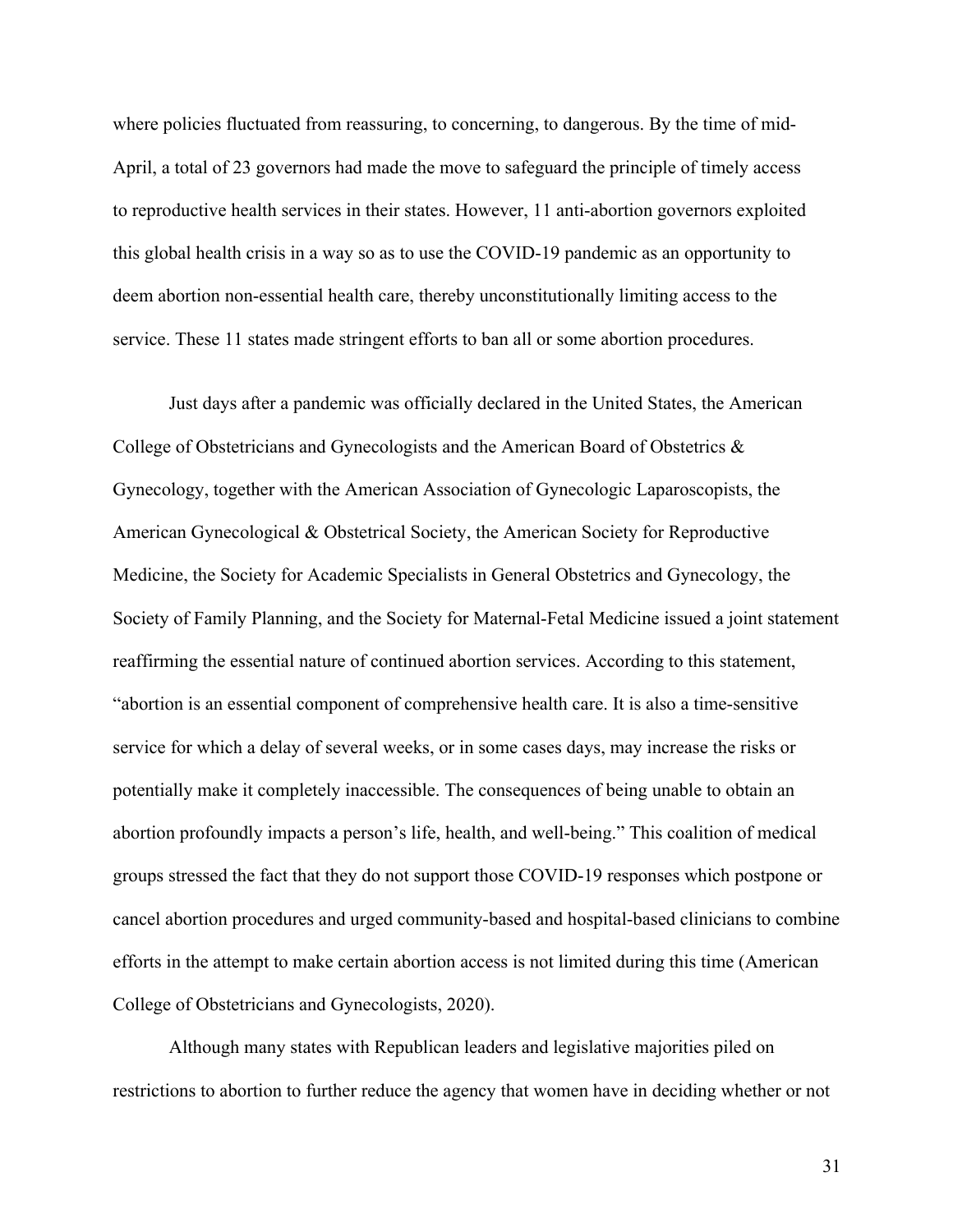where policies fluctuated from reassuring, to concerning, to dangerous. By the time of mid-April, a total of 23 governors had made the move to safeguard the principle of timely access to reproductive health services in their states. However, 11 anti-abortion governors exploited this global health crisis in a way so as to use the COVID-19 pandemic as an opportunity to deem abortion non-essential health care, thereby unconstitutionally limiting access to the service. These 11 states made stringent efforts to ban all or some abortion procedures.

Just days after a pandemic was officially declared in the United States, the American College of Obstetricians and Gynecologists and the American Board of Obstetrics & Gynecology, together with the American Association of Gynecologic Laparoscopists, the American Gynecological & Obstetrical Society, the American Society for Reproductive Medicine, the Society for Academic Specialists in General Obstetrics and Gynecology, the Society of Family Planning, and the Society for Maternal-Fetal Medicine issued a joint statement reaffirming the essential nature of continued abortion services. According to this statement, "abortion is an essential component of comprehensive health care. It is also a time-sensitive service for which a delay of several weeks, or in some cases days, may increase the risks or potentially make it completely inaccessible. The consequences of being unable to obtain an abortion profoundly impacts a person's life, health, and well-being." This coalition of medical groups stressed the fact that they do not support those COVID-19 responses which postpone or cancel abortion procedures and urged community-based and hospital-based clinicians to combine efforts in the attempt to make certain abortion access is not limited during this time (American College of Obstetricians and Gynecologists, 2020).

Although many states with Republican leaders and legislative majorities piled on restrictions to abortion to further reduce the agency that women have in deciding whether or not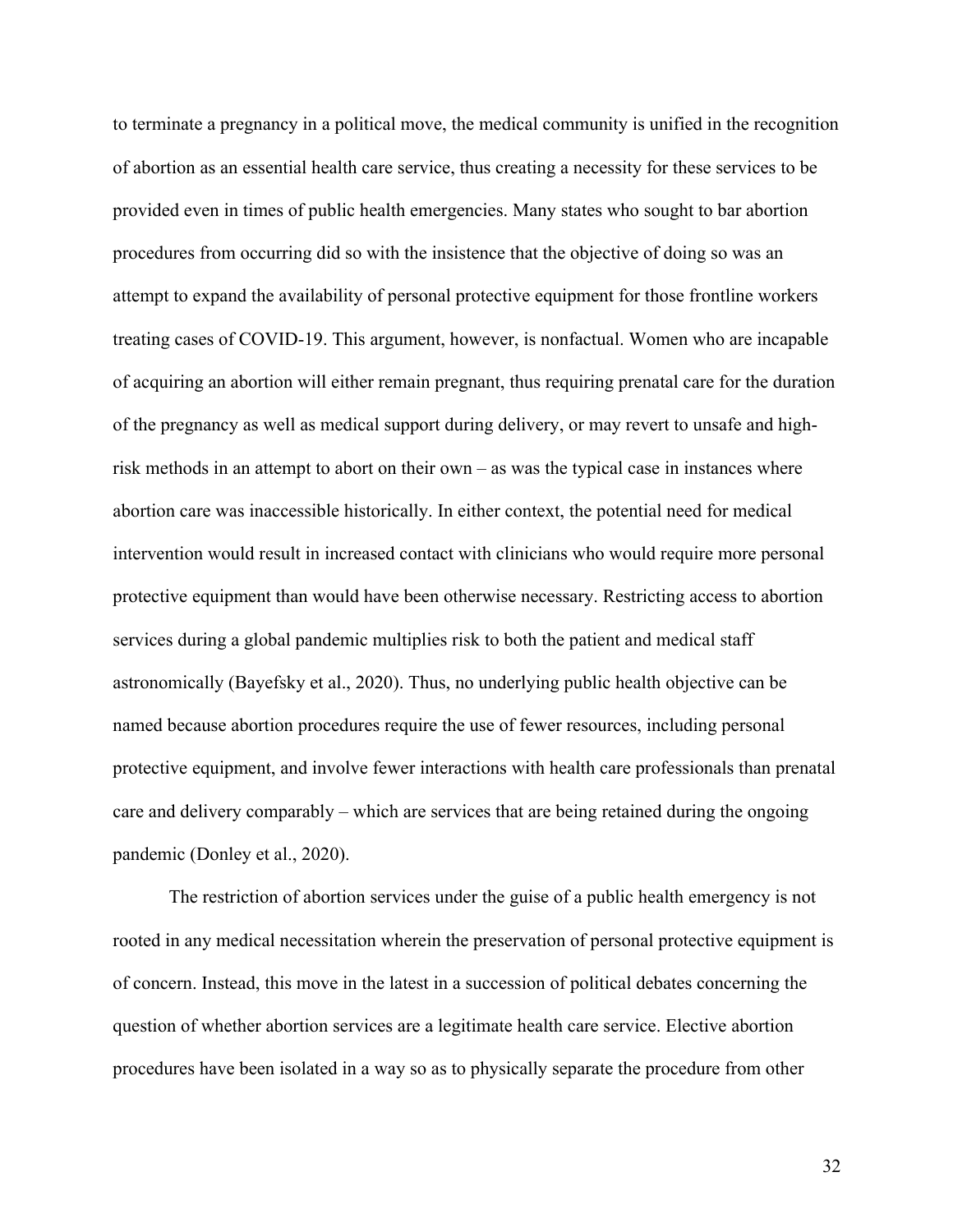to terminate a pregnancy in a political move, the medical community is unified in the recognition of abortion as an essential health care service, thus creating a necessity for these services to be provided even in times of public health emergencies. Many states who sought to bar abortion procedures from occurring did so with the insistence that the objective of doing so was an attempt to expand the availability of personal protective equipment for those frontline workers treating cases of COVID-19. This argument, however, is nonfactual. Women who are incapable of acquiring an abortion will either remain pregnant, thus requiring prenatal care for the duration of the pregnancy as well as medical support during delivery, or may revert to unsafe and highrisk methods in an attempt to abort on their own – as was the typical case in instances where abortion care was inaccessible historically. In either context, the potential need for medical intervention would result in increased contact with clinicians who would require more personal protective equipment than would have been otherwise necessary. Restricting access to abortion services during a global pandemic multiplies risk to both the patient and medical staff astronomically (Bayefsky et al., 2020). Thus, no underlying public health objective can be named because abortion procedures require the use of fewer resources, including personal protective equipment, and involve fewer interactions with health care professionals than prenatal care and delivery comparably – which are services that are being retained during the ongoing pandemic (Donley et al., 2020).

The restriction of abortion services under the guise of a public health emergency is not rooted in any medical necessitation wherein the preservation of personal protective equipment is of concern. Instead, this move in the latest in a succession of political debates concerning the question of whether abortion services are a legitimate health care service. Elective abortion procedures have been isolated in a way so as to physically separate the procedure from other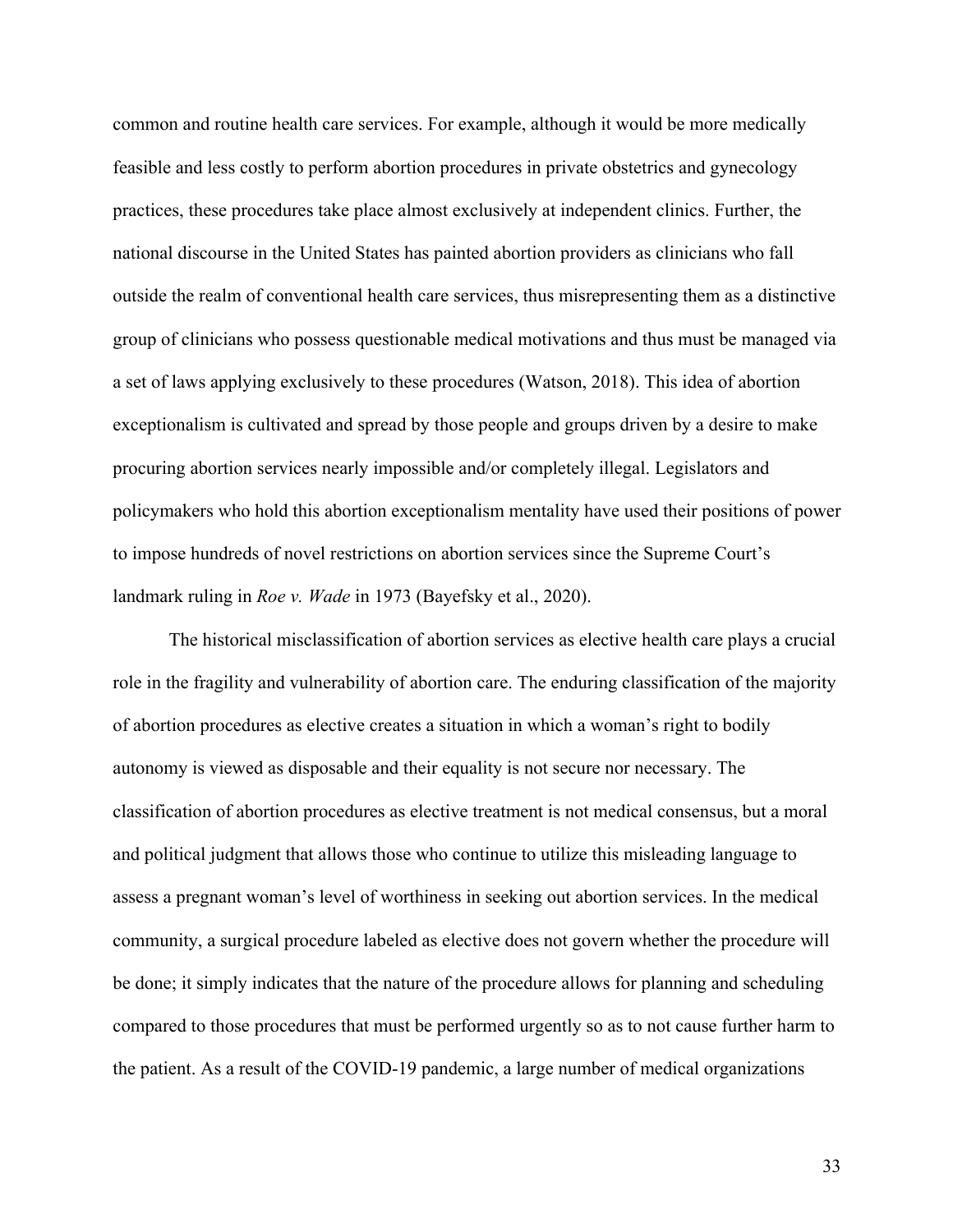common and routine health care services. For example, although it would be more medically feasible and less costly to perform abortion procedures in private obstetrics and gynecology practices, these procedures take place almost exclusively at independent clinics. Further, the national discourse in the United States has painted abortion providers as clinicians who fall outside the realm of conventional health care services, thus misrepresenting them as a distinctive group of clinicians who possess questionable medical motivations and thus must be managed via a set of laws applying exclusively to these procedures (Watson, 2018). This idea of abortion exceptionalism is cultivated and spread by those people and groups driven by a desire to make procuring abortion services nearly impossible and/or completely illegal. Legislators and policymakers who hold this abortion exceptionalism mentality have used their positions of power to impose hundreds of novel restrictions on abortion services since the Supreme Court's landmark ruling in *Roe v. Wade* in 1973 (Bayefsky et al., 2020).

The historical misclassification of abortion services as elective health care plays a crucial role in the fragility and vulnerability of abortion care. The enduring classification of the majority of abortion procedures as elective creates a situation in which a woman's right to bodily autonomy is viewed as disposable and their equality is not secure nor necessary. The classification of abortion procedures as elective treatment is not medical consensus, but a moral and political judgment that allows those who continue to utilize this misleading language to assess a pregnant woman's level of worthiness in seeking out abortion services. In the medical community, a surgical procedure labeled as elective does not govern whether the procedure will be done; it simply indicates that the nature of the procedure allows for planning and scheduling compared to those procedures that must be performed urgently so as to not cause further harm to the patient. As a result of the COVID-19 pandemic, a large number of medical organizations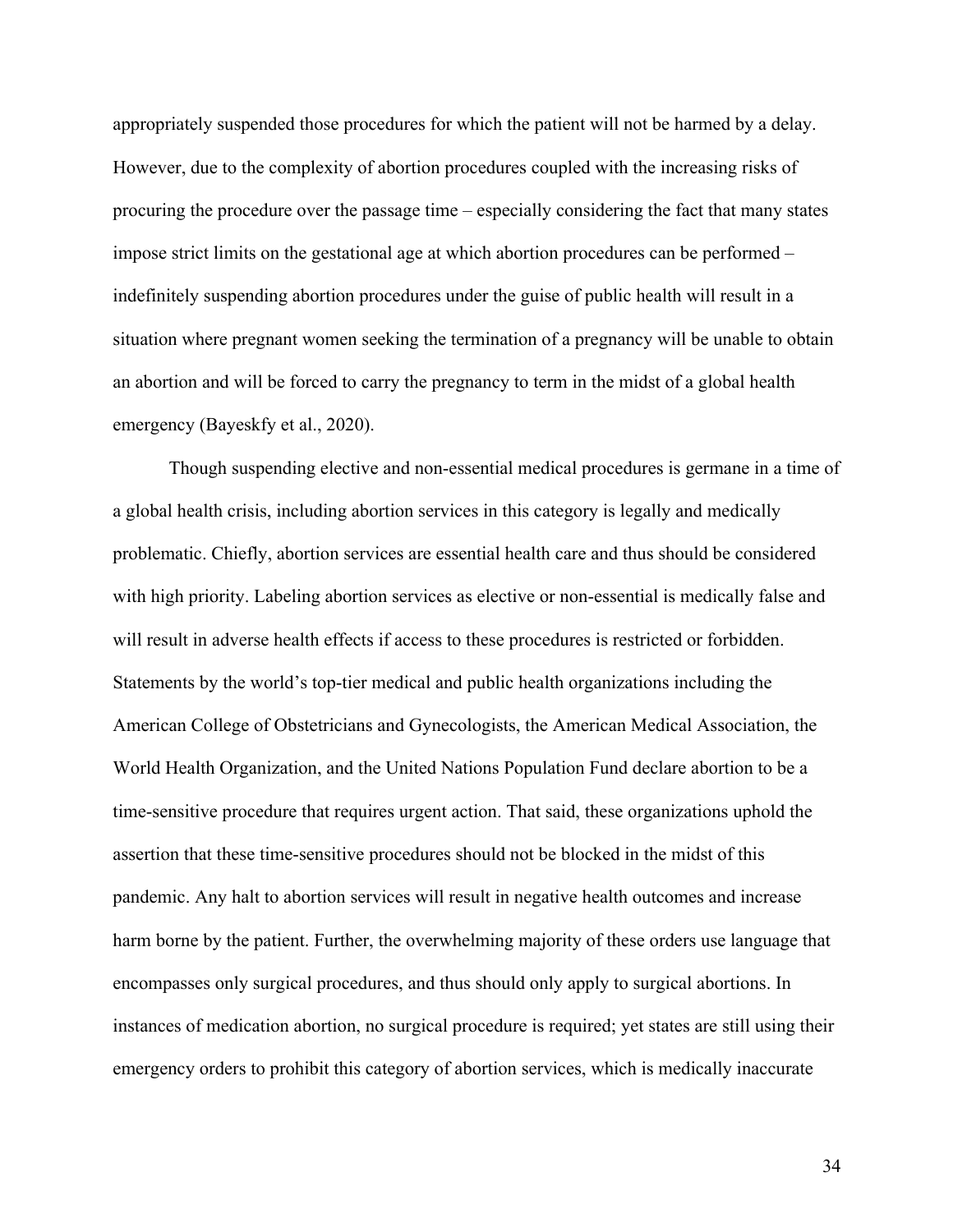appropriately suspended those procedures for which the patient will not be harmed by a delay. However, due to the complexity of abortion procedures coupled with the increasing risks of procuring the procedure over the passage time – especially considering the fact that many states impose strict limits on the gestational age at which abortion procedures can be performed – indefinitely suspending abortion procedures under the guise of public health will result in a situation where pregnant women seeking the termination of a pregnancy will be unable to obtain an abortion and will be forced to carry the pregnancy to term in the midst of a global health emergency (Bayeskfy et al., 2020).

Though suspending elective and non-essential medical procedures is germane in a time of a global health crisis, including abortion services in this category is legally and medically problematic. Chiefly, abortion services are essential health care and thus should be considered with high priority. Labeling abortion services as elective or non-essential is medically false and will result in adverse health effects if access to these procedures is restricted or forbidden. Statements by the world's top-tier medical and public health organizations including the American College of Obstetricians and Gynecologists, the American Medical Association, the World Health Organization, and the United Nations Population Fund declare abortion to be a time-sensitive procedure that requires urgent action. That said, these organizations uphold the assertion that these time-sensitive procedures should not be blocked in the midst of this pandemic. Any halt to abortion services will result in negative health outcomes and increase harm borne by the patient. Further, the overwhelming majority of these orders use language that encompasses only surgical procedures, and thus should only apply to surgical abortions. In instances of medication abortion, no surgical procedure is required; yet states are still using their emergency orders to prohibit this category of abortion services, which is medically inaccurate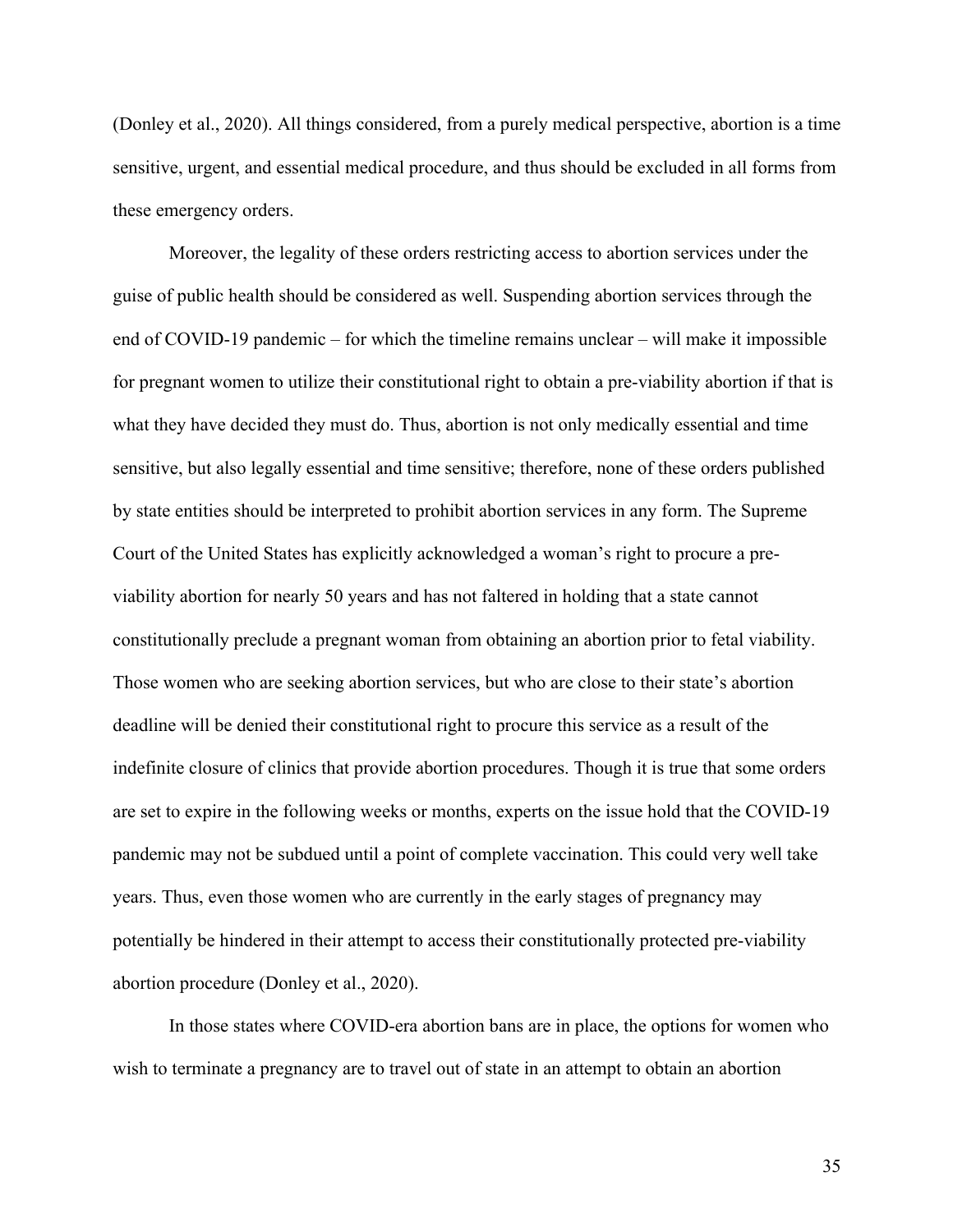(Donley et al., 2020). All things considered, from a purely medical perspective, abortion is a time sensitive, urgent, and essential medical procedure, and thus should be excluded in all forms from these emergency orders.

Moreover, the legality of these orders restricting access to abortion services under the guise of public health should be considered as well. Suspending abortion services through the end of COVID-19 pandemic – for which the timeline remains unclear – will make it impossible for pregnant women to utilize their constitutional right to obtain a pre-viability abortion if that is what they have decided they must do. Thus, abortion is not only medically essential and time sensitive, but also legally essential and time sensitive; therefore, none of these orders published by state entities should be interpreted to prohibit abortion services in any form. The Supreme Court of the United States has explicitly acknowledged a woman's right to procure a previability abortion for nearly 50 years and has not faltered in holding that a state cannot constitutionally preclude a pregnant woman from obtaining an abortion prior to fetal viability. Those women who are seeking abortion services, but who are close to their state's abortion deadline will be denied their constitutional right to procure this service as a result of the indefinite closure of clinics that provide abortion procedures. Though it is true that some orders are set to expire in the following weeks or months, experts on the issue hold that the COVID-19 pandemic may not be subdued until a point of complete vaccination. This could very well take years. Thus, even those women who are currently in the early stages of pregnancy may potentially be hindered in their attempt to access their constitutionally protected pre-viability abortion procedure (Donley et al., 2020).

In those states where COVID-era abortion bans are in place, the options for women who wish to terminate a pregnancy are to travel out of state in an attempt to obtain an abortion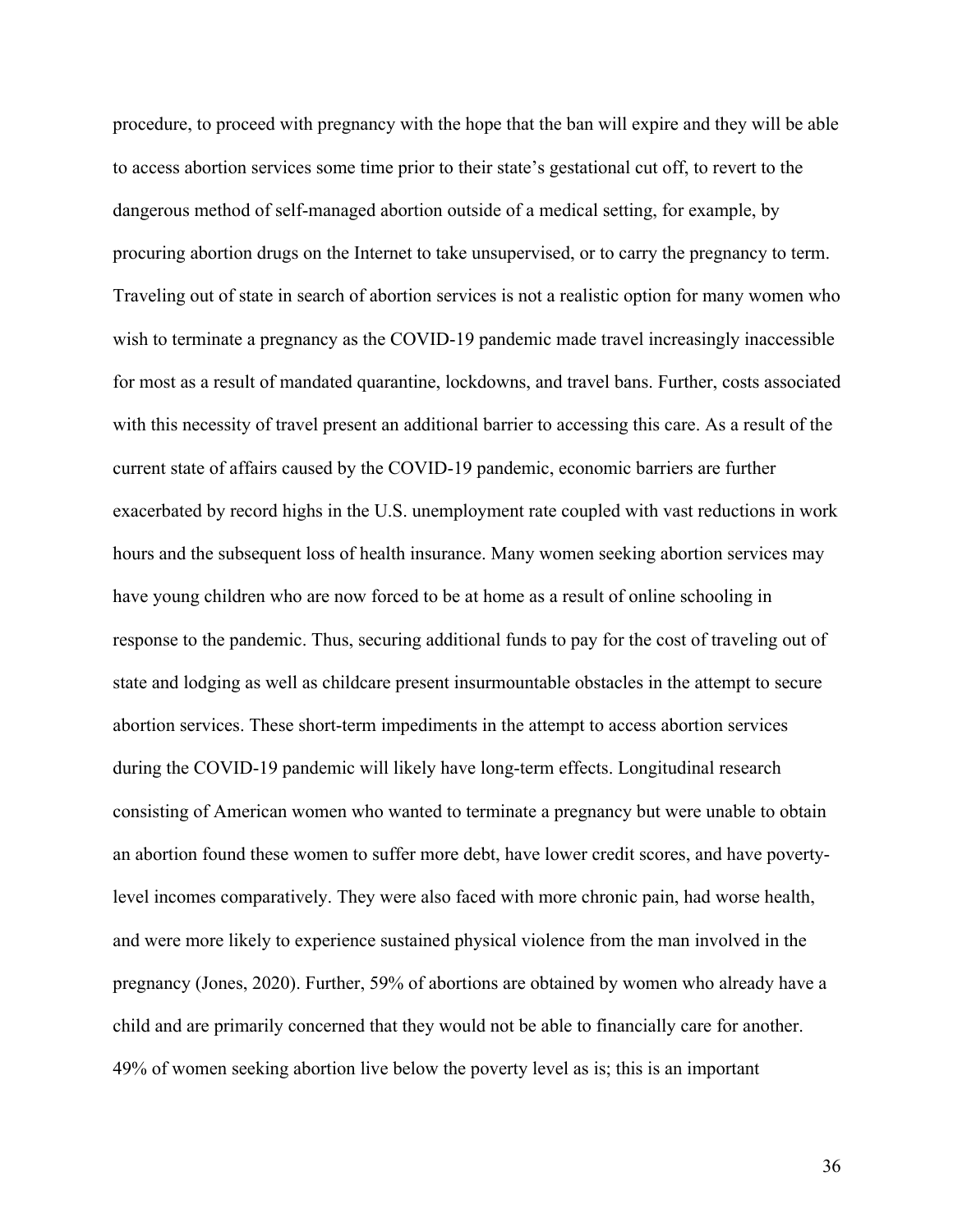procedure, to proceed with pregnancy with the hope that the ban will expire and they will be able to access abortion services some time prior to their state's gestational cut off, to revert to the dangerous method of self-managed abortion outside of a medical setting, for example, by procuring abortion drugs on the Internet to take unsupervised, or to carry the pregnancy to term. Traveling out of state in search of abortion services is not a realistic option for many women who wish to terminate a pregnancy as the COVID-19 pandemic made travel increasingly inaccessible for most as a result of mandated quarantine, lockdowns, and travel bans. Further, costs associated with this necessity of travel present an additional barrier to accessing this care. As a result of the current state of affairs caused by the COVID-19 pandemic, economic barriers are further exacerbated by record highs in the U.S. unemployment rate coupled with vast reductions in work hours and the subsequent loss of health insurance. Many women seeking abortion services may have young children who are now forced to be at home as a result of online schooling in response to the pandemic. Thus, securing additional funds to pay for the cost of traveling out of state and lodging as well as childcare present insurmountable obstacles in the attempt to secure abortion services. These short‐term impediments in the attempt to access abortion services during the COVID-19 pandemic will likely have long-term effects. Longitudinal research consisting of American women who wanted to terminate a pregnancy but were unable to obtain an abortion found these women to suffer more debt, have lower credit scores, and have poverty‐ level incomes comparatively. They were also faced with more chronic pain, had worse health, and were more likely to experience sustained physical violence from the man involved in the pregnancy (Jones, 2020). Further, 59% of abortions are obtained by women who already have a child and are primarily concerned that they would not be able to financially care for another. 49% of women seeking abortion live below the poverty level as is; this is an important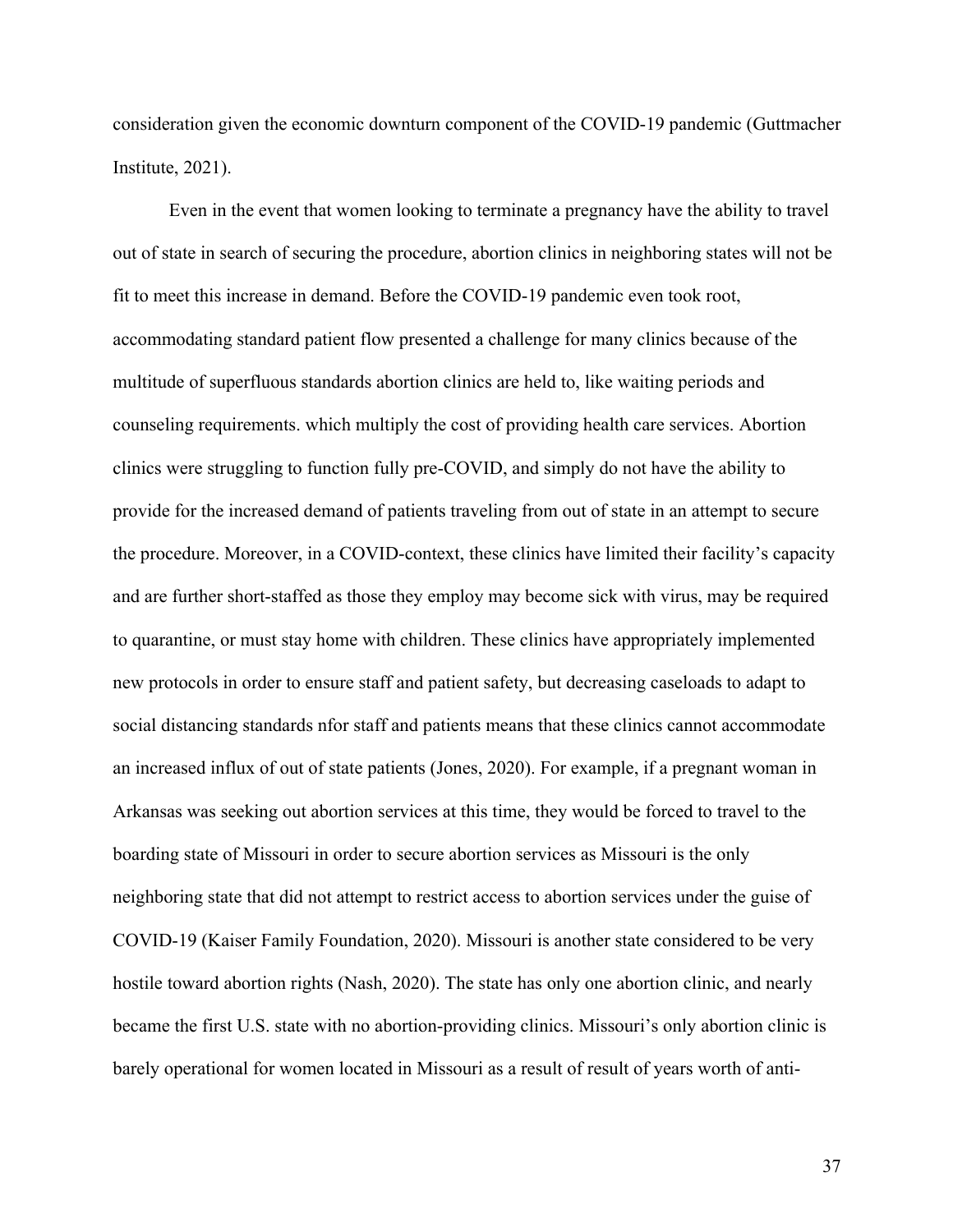consideration given the economic downturn component of the COVID-19 pandemic (Guttmacher Institute, 2021).

Even in the event that women looking to terminate a pregnancy have the ability to travel out of state in search of securing the procedure, abortion clinics in neighboring states will not be fit to meet this increase in demand. Before the COVID‐19 pandemic even took root, accommodating standard patient flow presented a challenge for many clinics because of the multitude of superfluous standards abortion clinics are held to, like waiting periods and counseling requirements. which multiply the cost of providing health care services. Abortion clinics were struggling to function fully pre-COVID, and simply do not have the ability to provide for the increased demand of patients traveling from out of state in an attempt to secure the procedure. Moreover, in a COVID-context, these clinics have limited their facility's capacity and are further short-staffed as those they employ may become sick with virus, may be required to quarantine, or must stay home with children. These clinics have appropriately implemented new protocols in order to ensure staff and patient safety, but decreasing caseloads to adapt to social distancing standards nfor staff and patients means that these clinics cannot accommodate an increased influx of out of state patients (Jones, 2020). For example, if a pregnant woman in Arkansas was seeking out abortion services at this time, they would be forced to travel to the boarding state of Missouri in order to secure abortion services as Missouri is the only neighboring state that did not attempt to restrict access to abortion services under the guise of COVID-19 (Kaiser Family Foundation, 2020). Missouri is another state considered to be very hostile toward abortion rights (Nash, 2020). The state has only one abortion clinic, and nearly became the first U.S. state with no abortion-providing clinics. Missouri's only abortion clinic is barely operational for women located in Missouri as a result of result of years worth of anti-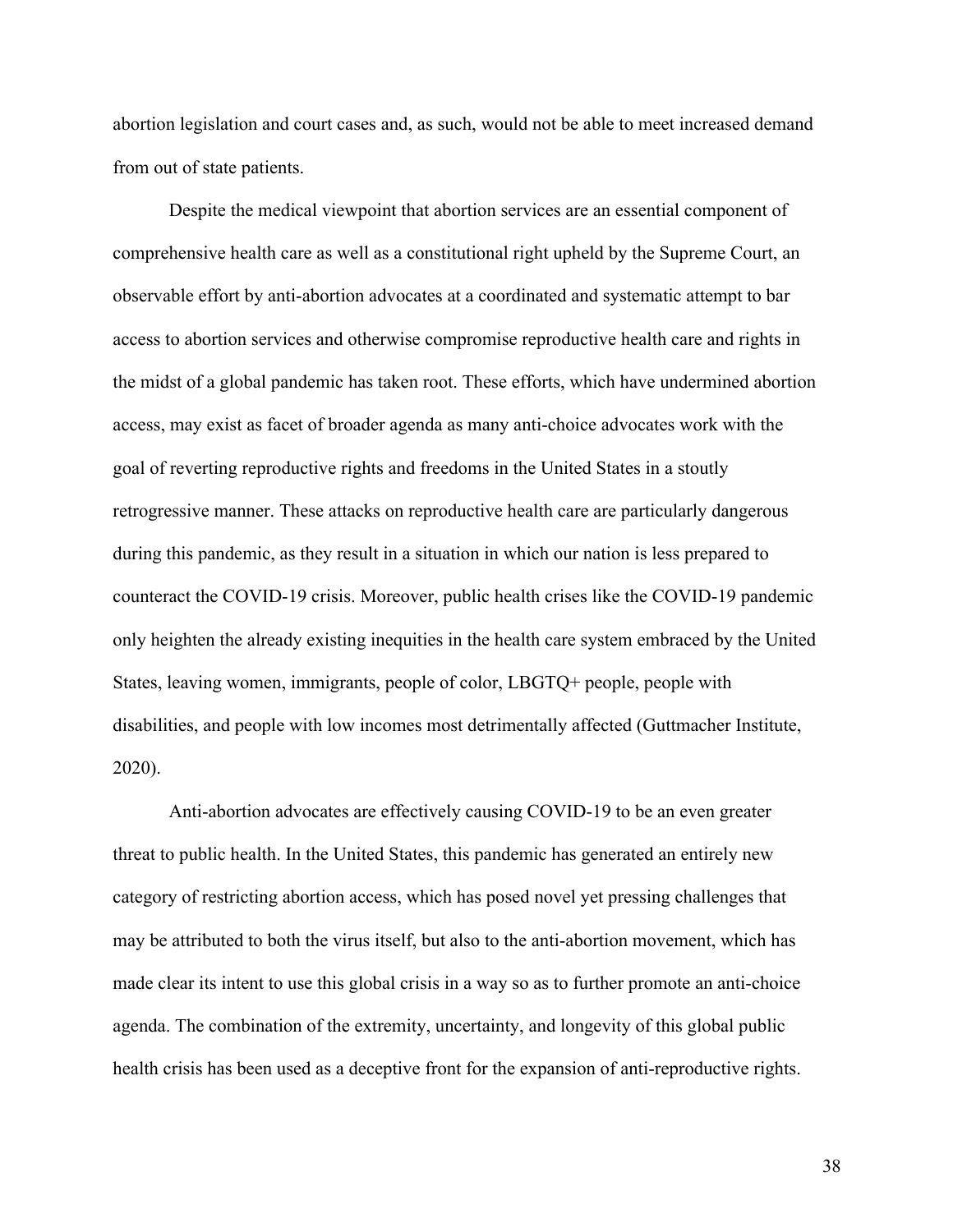abortion legislation and court cases and, as such, would not be able to meet increased demand from out of state patients.

Despite the medical viewpoint that abortion services are an essential component of comprehensive health care as well as a constitutional right upheld by the Supreme Court, an observable effort by anti-abortion advocates at a coordinated and systematic attempt to bar access to abortion services and otherwise compromise reproductive health care and rights in the midst of a global pandemic has taken root. These efforts, which have undermined abortion access, may exist as facet of broader agenda as many anti-choice advocates work with the goal of reverting reproductive rights and freedoms in the United States in a stoutly retrogressive manner. These attacks on reproductive health care are particularly dangerous during this pandemic, as they result in a situation in which our nation is less prepared to counteract the COVID-19 crisis. Moreover, public health crises like the COVID-19 pandemic only heighten the already existing inequities in the health care system embraced by the United States, leaving women, immigrants, people of color, LBGTQ+ people, people with disabilities, and people with low incomes most detrimentally affected (Guttmacher Institute, 2020).

Anti-abortion advocates are effectively causing COVID-19 to be an even greater threat to public health. In the United States, this pandemic has generated an entirely new category of restricting abortion access, which has posed novel yet pressing challenges that may be attributed to both the virus itself, but also to the anti-abortion movement, which has made clear its intent to use this global crisis in a way so as to further promote an anti-choice agenda. The combination of the extremity, uncertainty, and longevity of this global public health crisis has been used as a deceptive front for the expansion of anti-reproductive rights.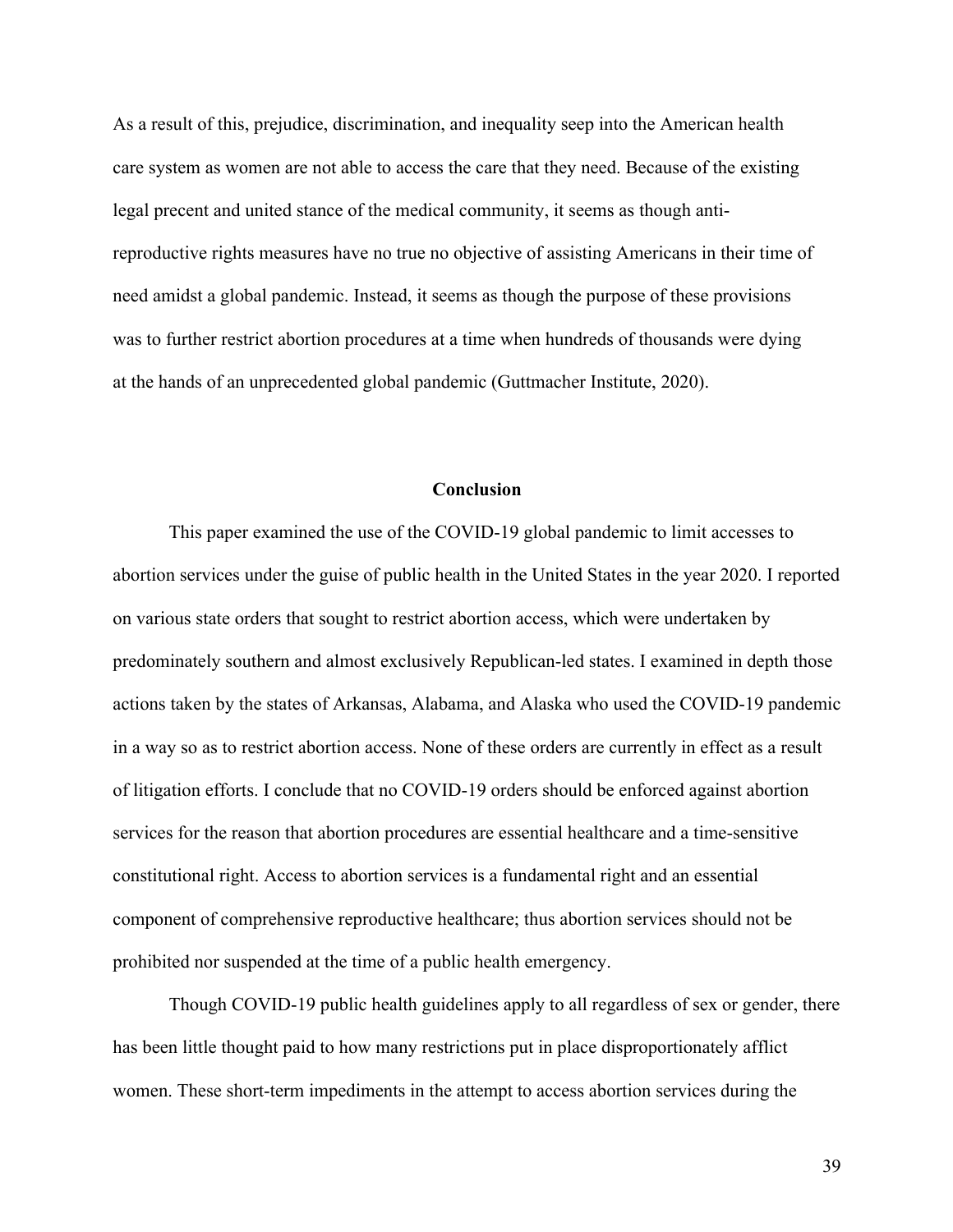As a result of this, prejudice, discrimination, and inequality seep into the American health care system as women are not able to access the care that they need. Because of the existing legal precent and united stance of the medical community, it seems as though antireproductive rights measures have no true no objective of assisting Americans in their time of need amidst a global pandemic. Instead, it seems as though the purpose of these provisions was to further restrict abortion procedures at a time when hundreds of thousands were dying at the hands of an unprecedented global pandemic (Guttmacher Institute, 2020).

#### **Conclusion**

This paper examined the use of the COVID-19 global pandemic to limit accesses to abortion services under the guise of public health in the United States in the year 2020. I reported on various state orders that sought to restrict abortion access, which were undertaken by predominately southern and almost exclusively Republican-led states. I examined in depth those actions taken by the states of Arkansas, Alabama, and Alaska who used the COVID-19 pandemic in a way so as to restrict abortion access. None of these orders are currently in effect as a result of litigation efforts. I conclude that no COVID-19 orders should be enforced against abortion services for the reason that abortion procedures are essential healthcare and a time-sensitive constitutional right. Access to abortion services is a fundamental right and an essential component of comprehensive reproductive healthcare; thus abortion services should not be prohibited nor suspended at the time of a public health emergency.

Though COVID-19 public health guidelines apply to all regardless of sex or gender, there has been little thought paid to how many restrictions put in place disproportionately afflict women. These short-term impediments in the attempt to access abortion services during the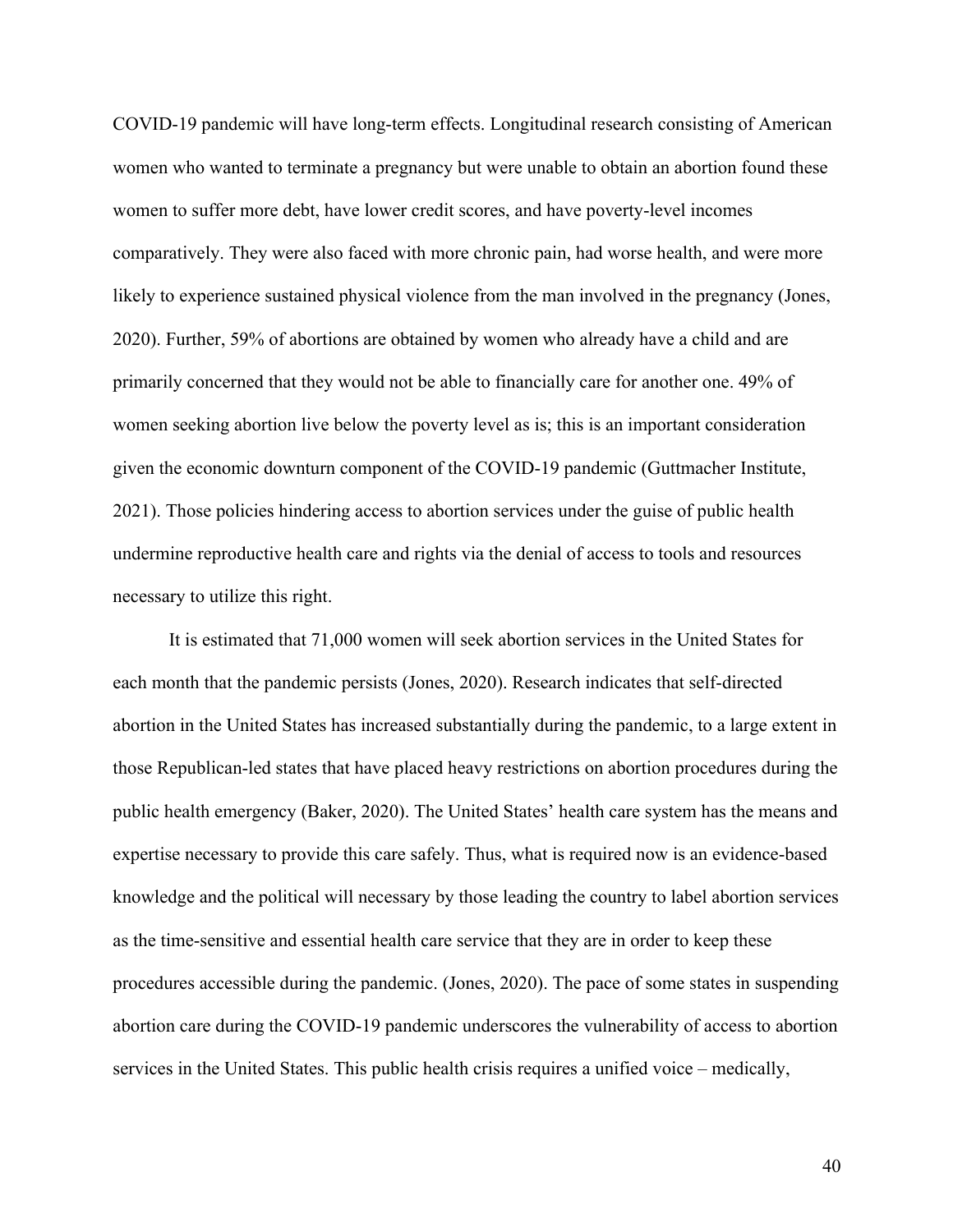COVID-19 pandemic will have long‐term effects. Longitudinal research consisting of American women who wanted to terminate a pregnancy but were unable to obtain an abortion found these women to suffer more debt, have lower credit scores, and have poverty-level incomes comparatively. They were also faced with more chronic pain, had worse health, and were more likely to experience sustained physical violence from the man involved in the pregnancy (Jones, 2020). Further, 59% of abortions are obtained by women who already have a child and are primarily concerned that they would not be able to financially care for another one. 49% of women seeking abortion live below the poverty level as is; this is an important consideration given the economic downturn component of the COVID-19 pandemic (Guttmacher Institute, 2021). Those policies hindering access to abortion services under the guise of public health undermine reproductive health care and rights via the denial of access to tools and resources necessary to utilize this right.

It is estimated that 71,000 women will seek abortion services in the United States for each month that the pandemic persists (Jones, 2020). Research indicates that self-directed abortion in the United States has increased substantially during the pandemic, to a large extent in those Republican-led states that have placed heavy restrictions on abortion procedures during the public health emergency (Baker, 2020). The United States' health care system has the means and expertise necessary to provide this care safely. Thus, what is required now is an evidence-based knowledge and the political will necessary by those leading the country to label abortion services as the time-sensitive and essential health care service that they are in order to keep these procedures accessible during the pandemic. (Jones, 2020). The pace of some states in suspending abortion care during the COVID-19 pandemic underscores the vulnerability of access to abortion services in the United States. This public health crisis requires a unified voice – medically,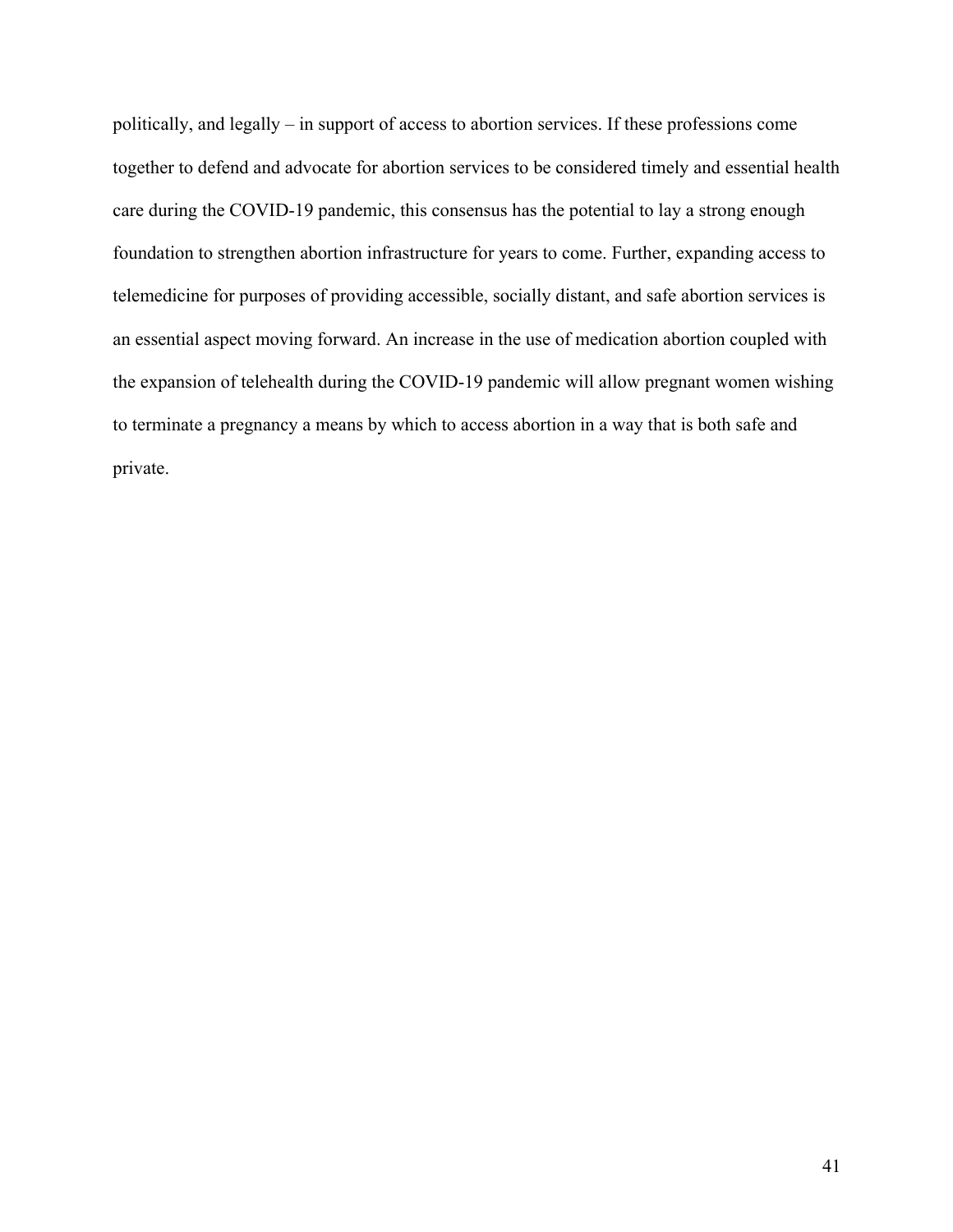politically, and legally – in support of access to abortion services. If these professions come together to defend and advocate for abortion services to be considered timely and essential health care during the COVID-19 pandemic, this consensus has the potential to lay a strong enough foundation to strengthen abortion infrastructure for years to come. Further, expanding access to telemedicine for purposes of providing accessible, socially distant, and safe abortion services is an essential aspect moving forward. An increase in the use of medication abortion coupled with the expansion of telehealth during the COVID-19 pandemic will allow pregnant women wishing to terminate a pregnancy a means by which to access abortion in a way that is both safe and private.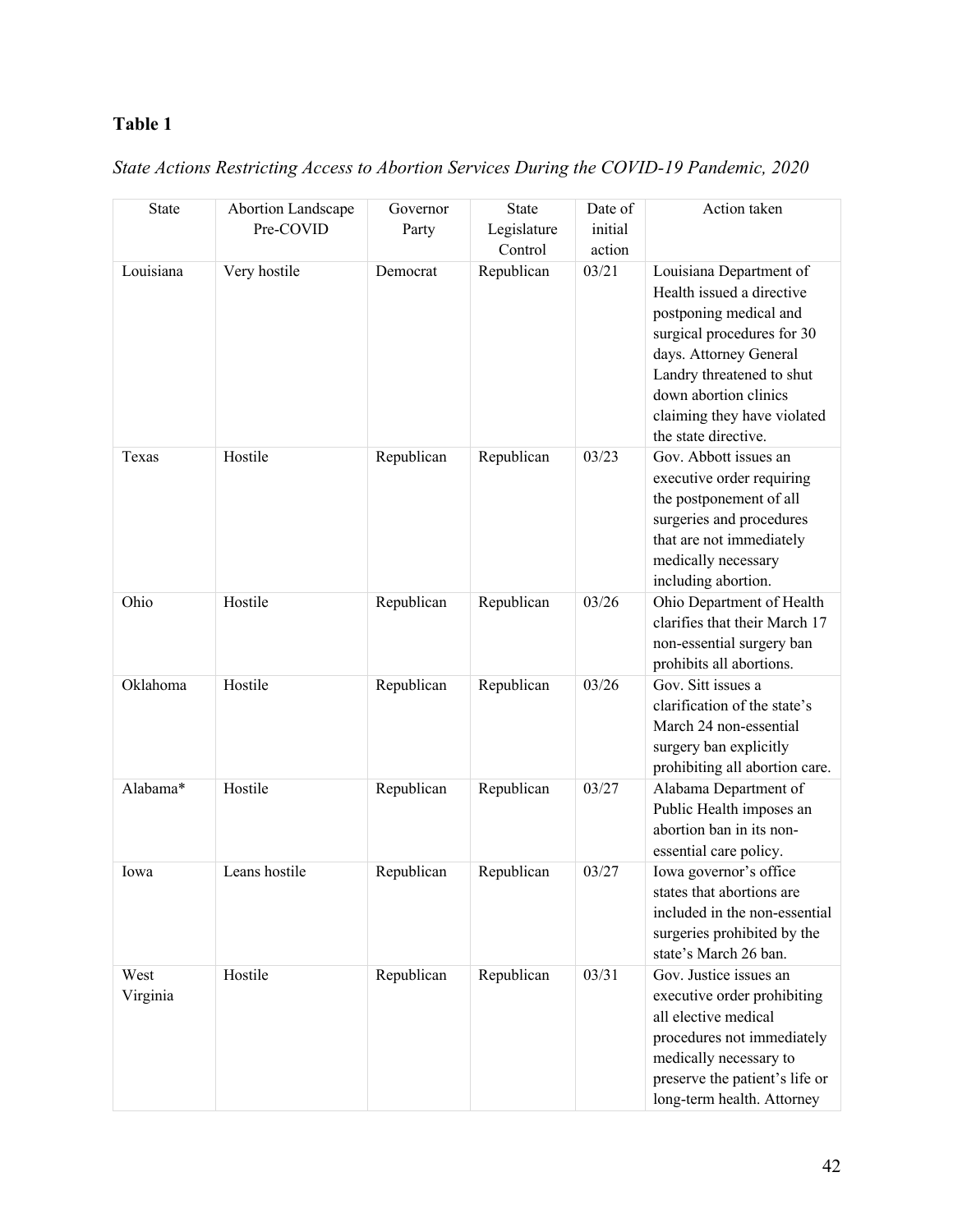## **Table 1**

| State Actions Restricting Access to Abortion Services During the COVID-19 Pandemic, 2020 |  |
|------------------------------------------------------------------------------------------|--|
|------------------------------------------------------------------------------------------|--|

| <b>State</b>     | Abortion Landscape<br>Pre-COVID | Governor<br>Party | <b>State</b><br>Legislature<br>Control | Date of<br>initial<br>action | Action taken                                                                                                                                                                                                                                        |
|------------------|---------------------------------|-------------------|----------------------------------------|------------------------------|-----------------------------------------------------------------------------------------------------------------------------------------------------------------------------------------------------------------------------------------------------|
| Louisiana        | Very hostile                    | Democrat          | Republican                             | 03/21                        | Louisiana Department of<br>Health issued a directive<br>postponing medical and<br>surgical procedures for 30<br>days. Attorney General<br>Landry threatened to shut<br>down abortion clinics<br>claiming they have violated<br>the state directive. |
| Texas            | Hostile                         | Republican        | Republican                             | 03/23                        | Gov. Abbott issues an<br>executive order requiring<br>the postponement of all<br>surgeries and procedures<br>that are not immediately<br>medically necessary<br>including abortion.                                                                 |
| Ohio             | Hostile                         | Republican        | Republican                             | 03/26                        | Ohio Department of Health<br>clarifies that their March 17<br>non-essential surgery ban<br>prohibits all abortions.                                                                                                                                 |
| Oklahoma         | Hostile                         | Republican        | Republican                             | 03/26                        | Gov. Sitt issues a<br>clarification of the state's<br>March 24 non-essential<br>surgery ban explicitly<br>prohibiting all abortion care.                                                                                                            |
| Alabama*         | Hostile                         | Republican        | Republican                             | 03/27                        | Alabama Department of<br>Public Health imposes an<br>abortion ban in its non-<br>essential care policy.                                                                                                                                             |
| Iowa             | Leans hostile                   | Republican        | Republican                             | 03/27                        | Iowa governor's office<br>states that abortions are<br>included in the non-essential<br>surgeries prohibited by the<br>state's March 26 ban.                                                                                                        |
| West<br>Virginia | Hostile                         | Republican        | Republican                             | 03/31                        | Gov. Justice issues an<br>executive order prohibiting<br>all elective medical<br>procedures not immediately<br>medically necessary to<br>preserve the patient's life or<br>long-term health. Attorney                                               |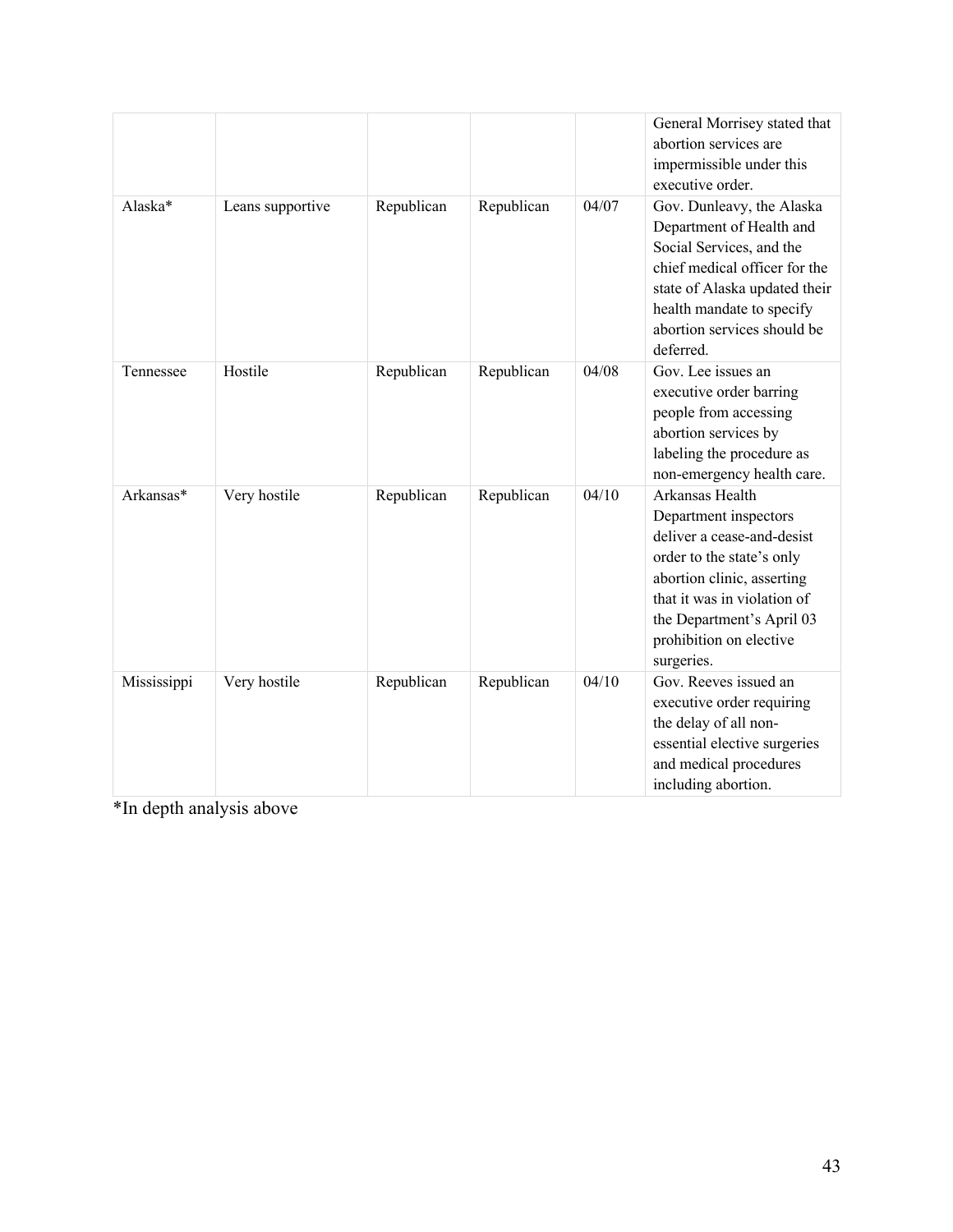|             |                  |            |            |       | General Morrisey stated that<br>abortion services are<br>impermissible under this<br>executive order.                                                                                                                                  |
|-------------|------------------|------------|------------|-------|----------------------------------------------------------------------------------------------------------------------------------------------------------------------------------------------------------------------------------------|
| Alaska*     | Leans supportive | Republican | Republican | 04/07 | Gov. Dunleavy, the Alaska<br>Department of Health and<br>Social Services, and the<br>chief medical officer for the<br>state of Alaska updated their<br>health mandate to specify<br>abortion services should be<br>deferred.           |
| Tennessee   | Hostile          | Republican | Republican | 04/08 | Gov. Lee issues an<br>executive order barring<br>people from accessing<br>abortion services by<br>labeling the procedure as<br>non-emergency health care.                                                                              |
| Arkansas*   | Very hostile     | Republican | Republican | 04/10 | Arkansas Health<br>Department inspectors<br>deliver a cease-and-desist<br>order to the state's only<br>abortion clinic, asserting<br>that it was in violation of<br>the Department's April 03<br>prohibition on elective<br>surgeries. |
| Mississippi | Very hostile     | Republican | Republican | 04/10 | Gov. Reeves issued an<br>executive order requiring<br>the delay of all non-<br>essential elective surgeries<br>and medical procedures<br>including abortion.                                                                           |

\*In depth analysis above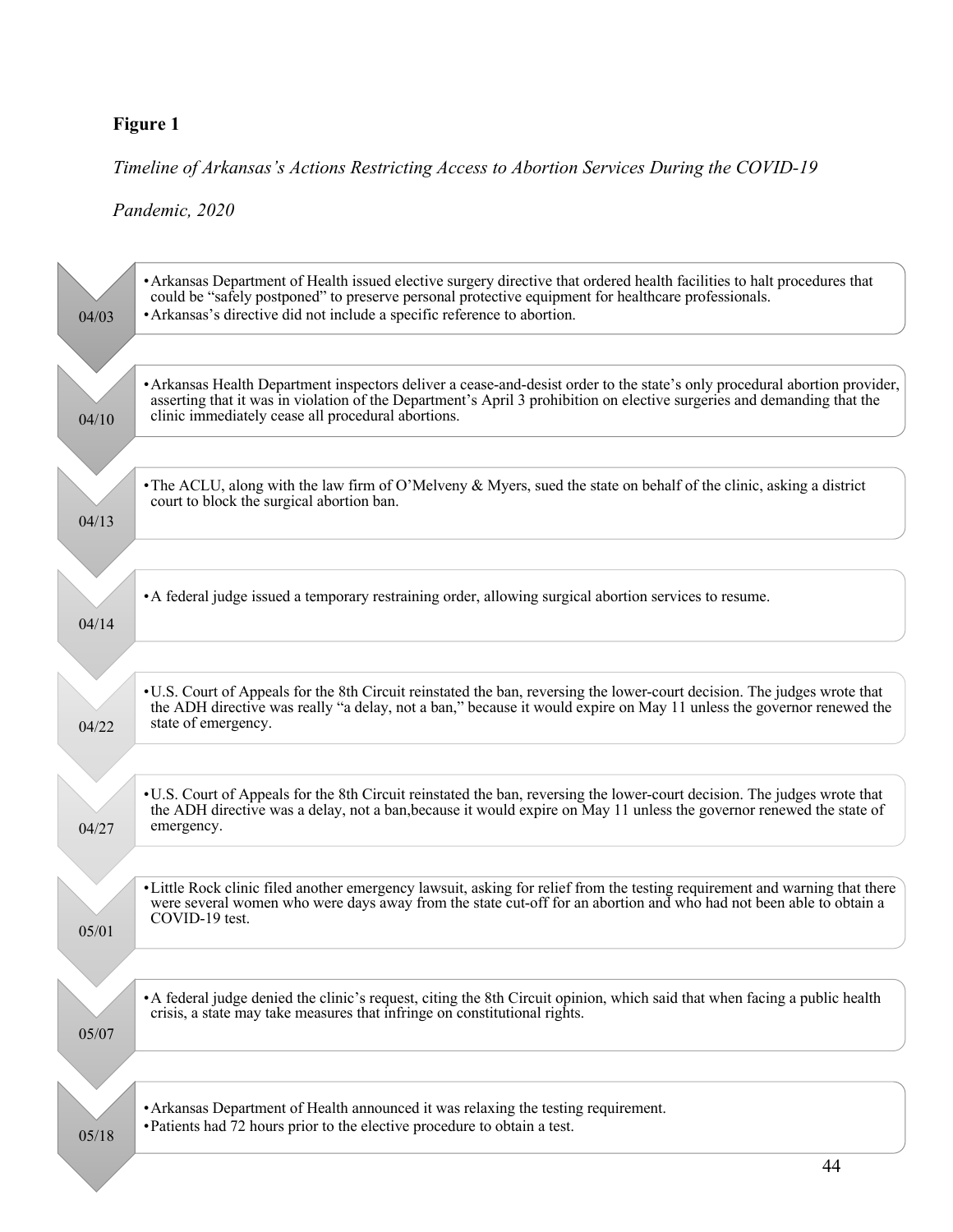## **Figure 1**

*Timeline of Arkansas's Actions Restricting Access to Abortion Services During the COVID-19* 

*Pandemic, 2020*

| 04/03 | • Arkansas Department of Health issued elective surgery directive that ordered health facilities to halt procedures that<br>could be "safely postponed" to preserve personal protective equipment for healthcare professionals.<br>• Arkansas's directive did not include a specific reference to abortion. |
|-------|-------------------------------------------------------------------------------------------------------------------------------------------------------------------------------------------------------------------------------------------------------------------------------------------------------------|
|       |                                                                                                                                                                                                                                                                                                             |
| 04/10 | • Arkansas Health Department inspectors deliver a cease-and-desist order to the state's only procedural abortion provider,<br>asserting that it was in violation of the Department's April 3 prohibition on elective surgeries and demanding that the<br>clinic immediately cease all procedural abortions. |
|       |                                                                                                                                                                                                                                                                                                             |
| 04/13 | • The ACLU, along with the law firm of O'Melveny & Myers, sued the state on behalf of the clinic, asking a district<br>court to block the surgical abortion ban.                                                                                                                                            |
|       |                                                                                                                                                                                                                                                                                                             |
| 04/14 | • A federal judge issued a temporary restraining order, allowing surgical abortion services to resume.                                                                                                                                                                                                      |
|       |                                                                                                                                                                                                                                                                                                             |
| 04/22 | • U.S. Court of Appeals for the 8th Circuit reinstated the ban, reversing the lower-court decision. The judges wrote that<br>the ADH directive was really "a delay, not a ban," because it would expire on May 11 unless the governor renewed the<br>state of emergency.                                    |
|       |                                                                                                                                                                                                                                                                                                             |
| 04/27 | • U.S. Court of Appeals for the 8th Circuit reinstated the ban, reversing the lower-court decision. The judges wrote that<br>the ADH directive was a delay, not a ban, because it would expire on May 11 unless the governor renewed the state of<br>emergency.                                             |
|       |                                                                                                                                                                                                                                                                                                             |
| 05/01 | • Little Rock clinic filed another emergency lawsuit, asking for relief from the testing requirement and warning that there<br>were several women who were days away from the state cut-off for an abortion and who had not been able to obtain a<br>COVID-19 test.                                         |
|       |                                                                                                                                                                                                                                                                                                             |
| 05/07 | • A federal judge denied the clinic's request, citing the 8th Circuit opinion, which said that when facing a public health<br>crisis, a state may take measures that infringe on constitutional rights.                                                                                                     |
|       |                                                                                                                                                                                                                                                                                                             |
|       |                                                                                                                                                                                                                                                                                                             |
| 05/18 | • Arkansas Department of Health announced it was relaxing the testing requirement.<br>• Patients had 72 hours prior to the elective procedure to obtain a test.                                                                                                                                             |
|       | 44                                                                                                                                                                                                                                                                                                          |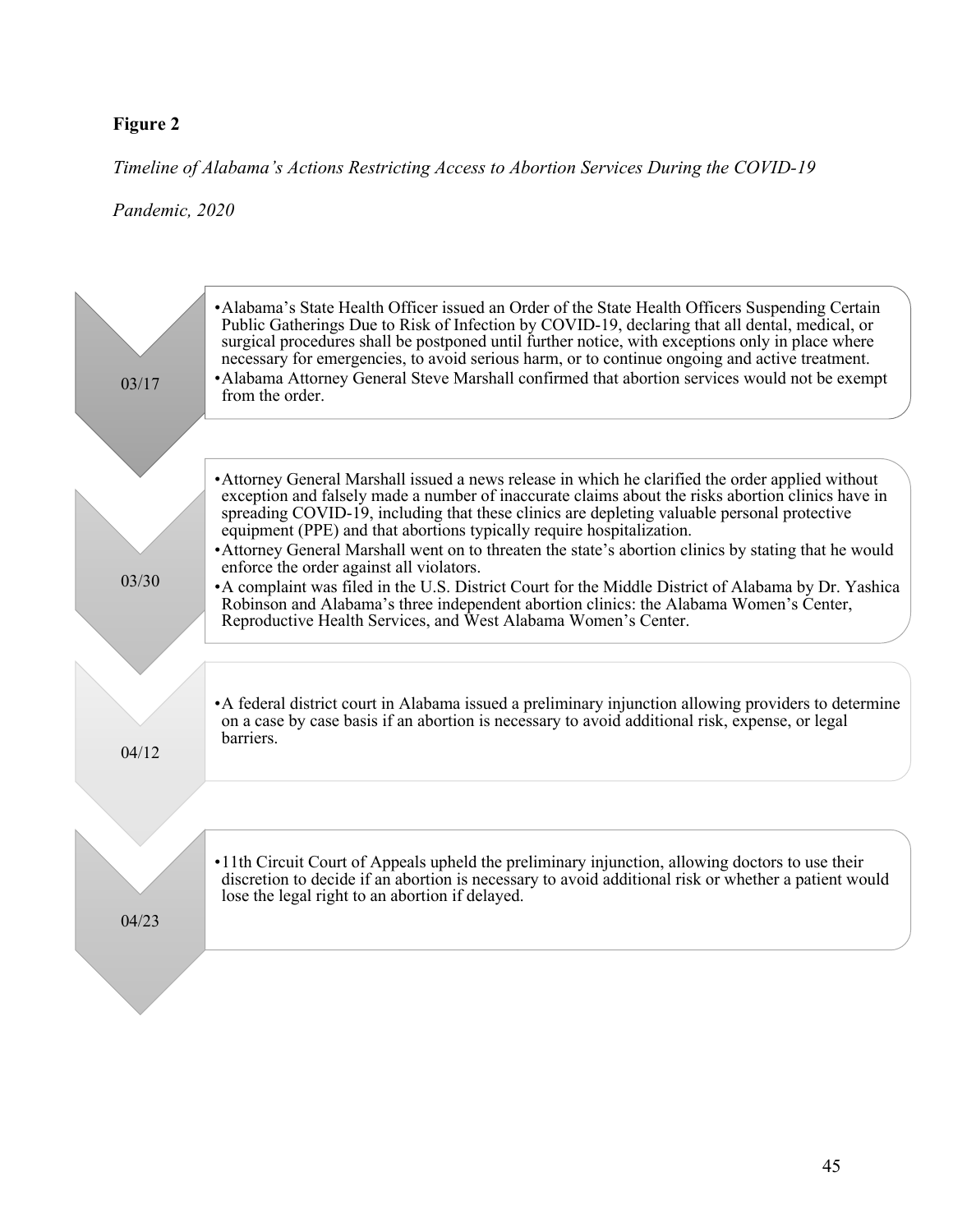## **Figure 2**

*Timeline of Alabama's Actions Restricting Access to Abortion Services During the COVID-19* 

*Pandemic, 2020*

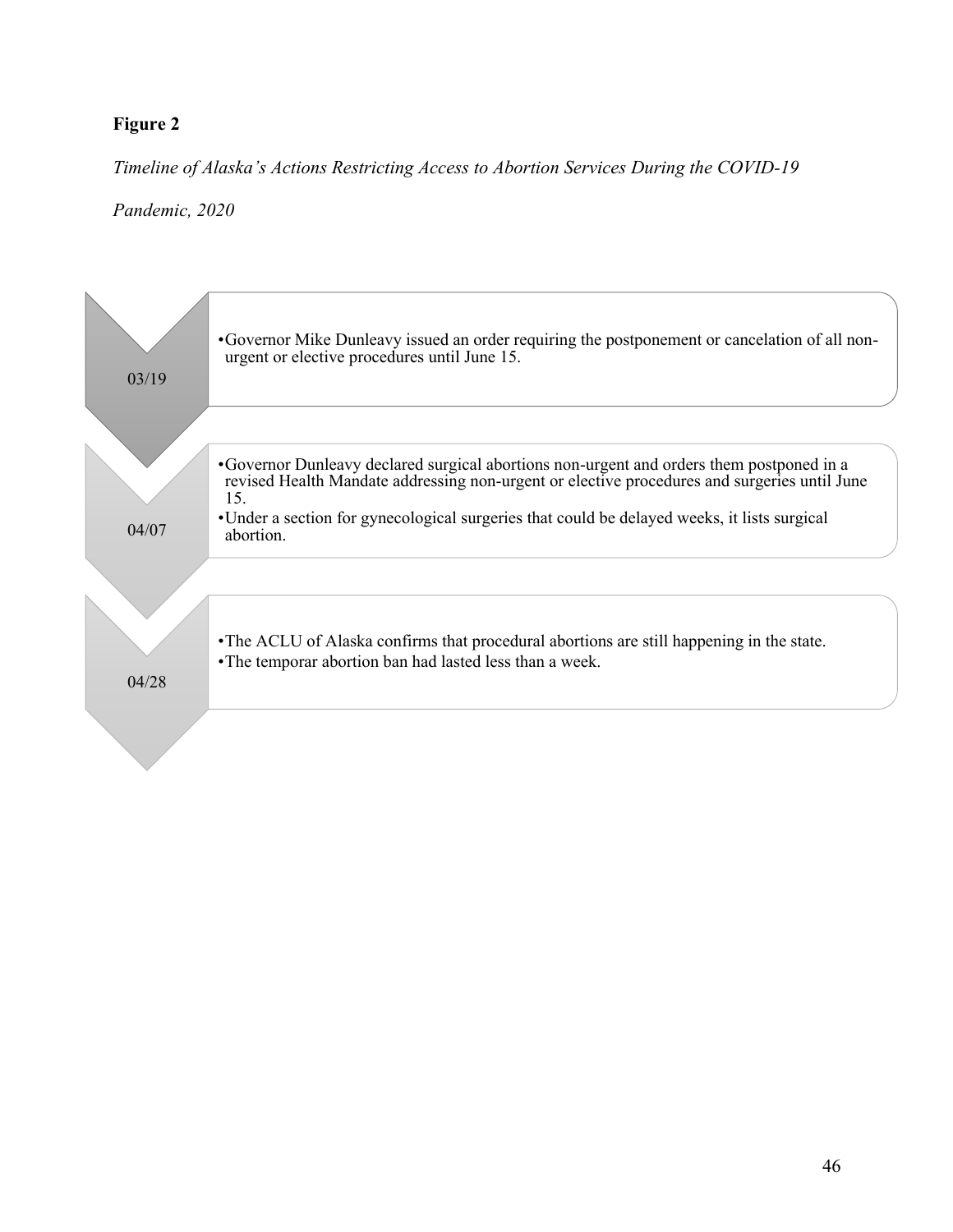## **Figure 2**

*Timeline of Alaska's Actions Restricting Access to Abortion Services During the COVID-19* 

*Pandemic, 2020*

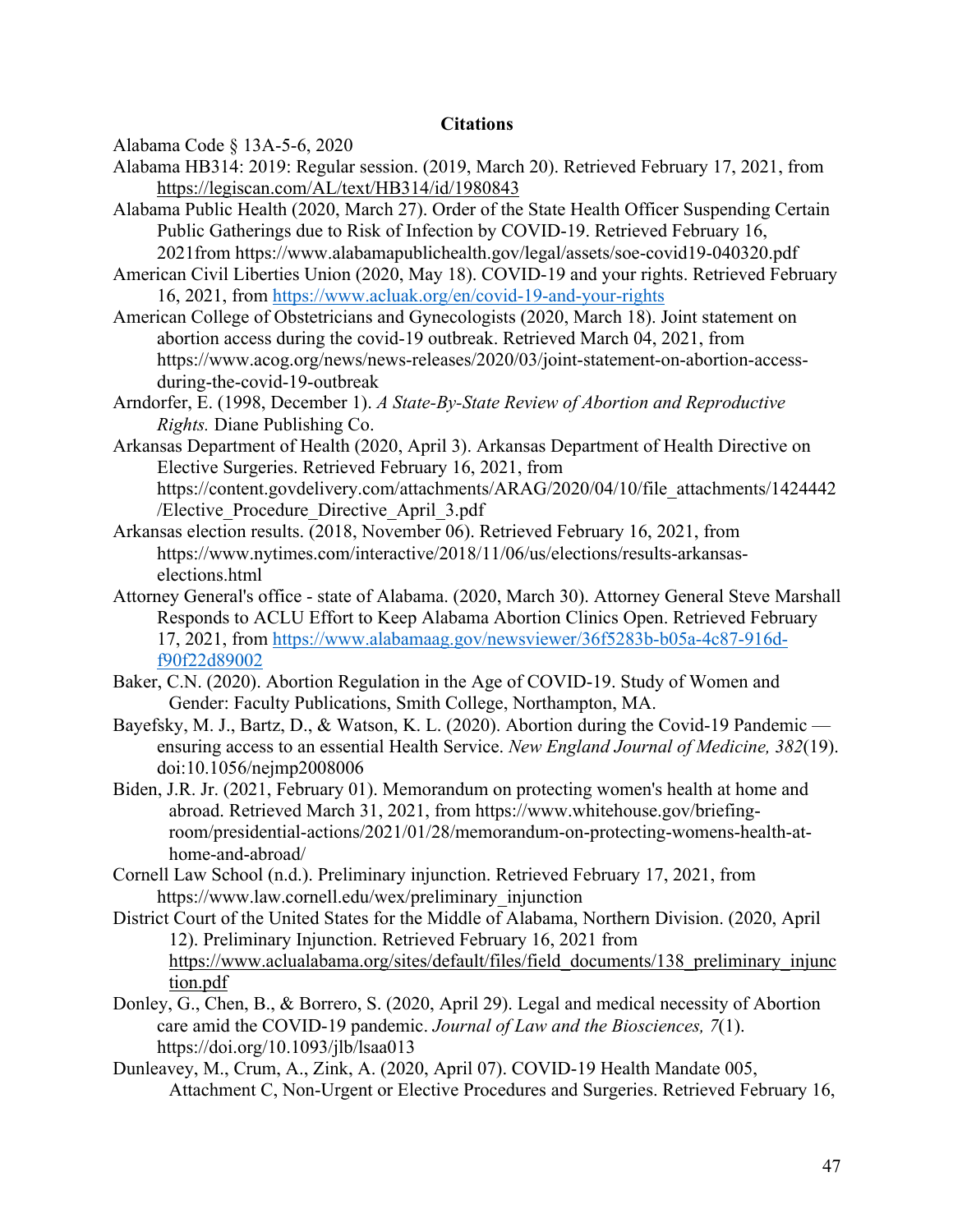### **Citations**

Alabama Code § 13A-5-6, 2020

- Alabama HB314: 2019: Regular session. (2019, March 20). Retrieved February 17, 2021, from https://legiscan.com/AL/text/HB314/id/1980843
- Alabama Public Health (2020, March 27). Order of the State Health Officer Suspending Certain Public Gatherings due to Risk of Infection by COVID-19. Retrieved February 16, 2021from https://www.alabamapublichealth.gov/legal/assets/soe-covid19-040320.pdf
- American Civil Liberties Union (2020, May 18). COVID-19 and your rights. Retrieved February 16, 2021, from https://www.acluak.org/en/covid-19-and-your-rights
- American College of Obstetricians and Gynecologists (2020, March 18). Joint statement on abortion access during the covid-19 outbreak. Retrieved March 04, 2021, from https://www.acog.org/news/news-releases/2020/03/joint-statement-on-abortion-accessduring-the-covid-19-outbreak
- Arndorfer, E. (1998, December 1). *A State-By-State Review of Abortion and Reproductive Rights.* Diane Publishing Co.
- Arkansas Department of Health (2020, April 3). Arkansas Department of Health Directive on Elective Surgeries. Retrieved February 16, 2021, from https://content.govdelivery.com/attachments/ARAG/2020/04/10/file\_attachments/1424442 /Elective\_Procedure\_Directive\_April\_3.pdf
- Arkansas election results. (2018, November 06). Retrieved February 16, 2021, from https://www.nytimes.com/interactive/2018/11/06/us/elections/results-arkansaselections.html
- Attorney General's office state of Alabama. (2020, March 30). Attorney General Steve Marshall Responds to ACLU Effort to Keep Alabama Abortion Clinics Open. Retrieved February 17, 2021, from https://www.alabamaag.gov/newsviewer/36f5283b-b05a-4c87-916df90f22d89002
- Baker, C.N. (2020). Abortion Regulation in the Age of COVID-19. Study of Women and Gender: Faculty Publications, Smith College, Northampton, MA.
- Bayefsky, M. J., Bartz, D., & Watson, K. L. (2020). Abortion during the Covid-19 Pandemic ensuring access to an essential Health Service. *New England Journal of Medicine, 382*(19). doi:10.1056/nejmp2008006
- Biden, J.R. Jr. (2021, February 01). Memorandum on protecting women's health at home and abroad. Retrieved March 31, 2021, from https://www.whitehouse.gov/briefingroom/presidential-actions/2021/01/28/memorandum-on-protecting-womens-health-athome-and-abroad/
- Cornell Law School (n.d.). Preliminary injunction. Retrieved February 17, 2021, from https://www.law.cornell.edu/wex/preliminary\_injunction
- District Court of the United States for the Middle of Alabama, Northern Division. (2020, April 12). Preliminary Injunction. Retrieved February 16, 2021 from https://www.aclualabama.org/sites/default/files/field\_documents/138\_preliminary\_injunc tion.pdf
- Donley, G., Chen, B., & Borrero, S. (2020, April 29). Legal and medical necessity of Abortion care amid the COVID-19 pandemic. *Journal of Law and the Biosciences, 7*(1). https://doi.org/10.1093/jlb/lsaa013
- Dunleavey, M., Crum, A., Zink, A. (2020, April 07). COVID-19 Health Mandate 005, Attachment C, Non-Urgent or Elective Procedures and Surgeries. Retrieved February 16,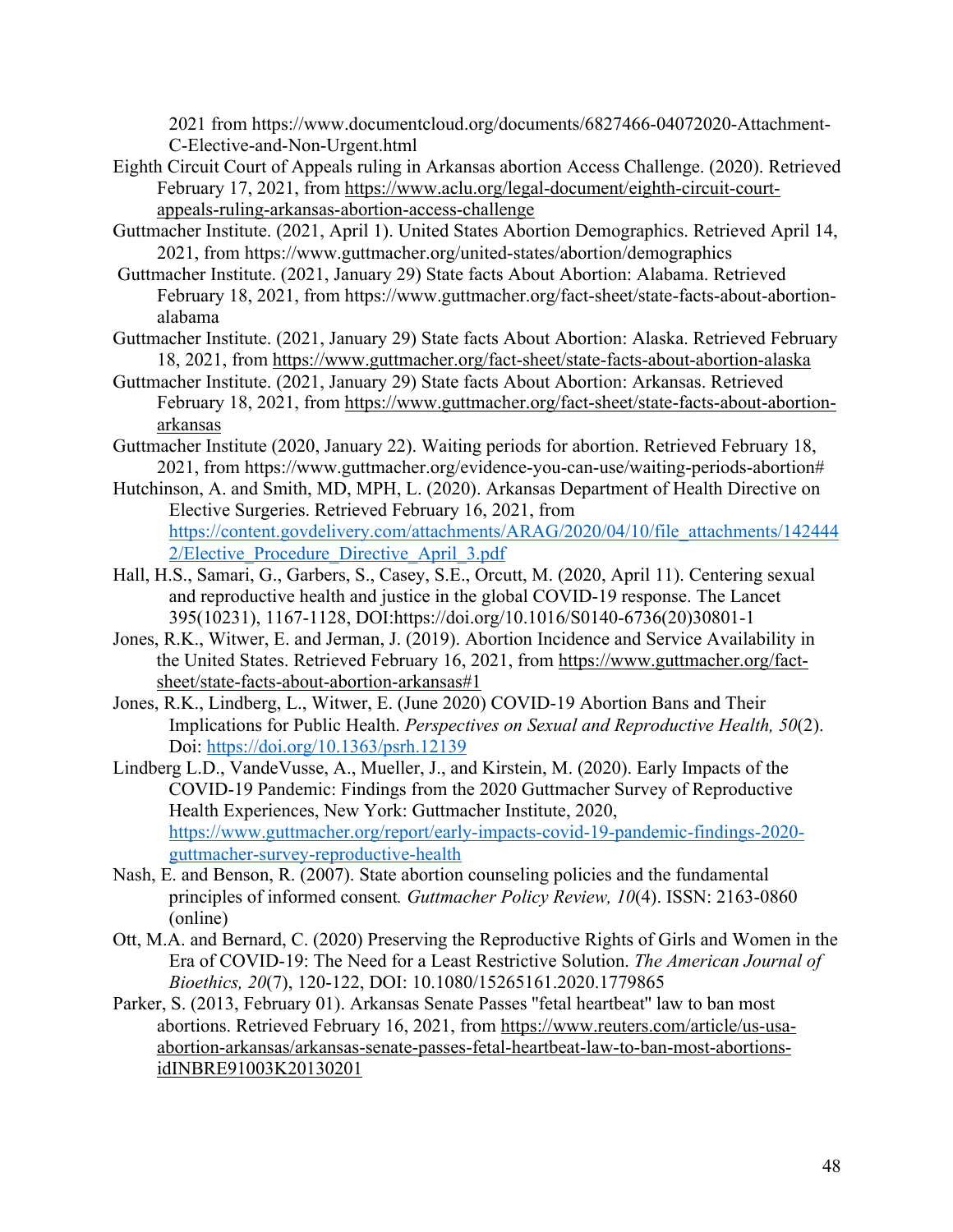2021 from https://www.documentcloud.org/documents/6827466-04072020-Attachment-C-Elective-and-Non-Urgent.html

- Eighth Circuit Court of Appeals ruling in Arkansas abortion Access Challenge. (2020). Retrieved February 17, 2021, from https://www.aclu.org/legal-document/eighth-circuit-courtappeals-ruling-arkansas-abortion-access-challenge
- Guttmacher Institute. (2021, April 1). United States Abortion Demographics. Retrieved April 14, 2021, from https://www.guttmacher.org/united-states/abortion/demographics
- Guttmacher Institute. (2021, January 29) State facts About Abortion: Alabama. Retrieved February 18, 2021, from https://www.guttmacher.org/fact-sheet/state-facts-about-abortionalabama
- Guttmacher Institute. (2021, January 29) State facts About Abortion: Alaska. Retrieved February 18, 2021, from https://www.guttmacher.org/fact-sheet/state-facts-about-abortion-alaska
- Guttmacher Institute. (2021, January 29) State facts About Abortion: Arkansas. Retrieved February 18, 2021, from https://www.guttmacher.org/fact-sheet/state-facts-about-abortionarkansas
- Guttmacher Institute (2020, January 22). Waiting periods for abortion. Retrieved February 18, 2021, from https://www.guttmacher.org/evidence-you-can-use/waiting-periods-abortion#
- Hutchinson, A. and Smith, MD, MPH, L. (2020). Arkansas Department of Health Directive on Elective Surgeries. Retrieved February 16, 2021, from https://content.govdelivery.com/attachments/ARAG/2020/04/10/file\_attachments/142444 2/Elective\_Procedure\_Directive\_April\_3.pdf
- Hall, H.S., Samari, G., Garbers, S., Casey, S.E., Orcutt, M. (2020, April 11). Centering sexual and reproductive health and justice in the global COVID-19 response. The Lancet 395(10231), 1167-1128, DOI:https://doi.org/10.1016/S0140-6736(20)30801-1
- Jones, R.K., Witwer, E. and Jerman, J. (2019). Abortion Incidence and Service Availability in the United States. Retrieved February 16, 2021, from https://www.guttmacher.org/factsheet/state-facts-about-abortion-arkansas#1
- Jones, R.K., Lindberg, L., Witwer, E. (June 2020) COVID-19 Abortion Bans and Their Implications for Public Health. *Perspectives on Sexual and Reproductive Health, 50*(2). Doi: https://doi.org/10.1363/psrh.12139
- Lindberg L.D., VandeVusse, A., Mueller, J., and Kirstein, M. (2020). Early Impacts of the COVID-19 Pandemic: Findings from the 2020 Guttmacher Survey of Reproductive Health Experiences, New York: Guttmacher Institute, 2020, https://www.guttmacher.org/report/early-impacts-covid-19-pandemic-findings-2020 guttmacher-survey-reproductive-health
- Nash, E. and Benson, R. (2007). State abortion counseling policies and the fundamental principles of informed consent*. Guttmacher Policy Review, 10*(4). ISSN: 2163-0860 (online)
- Ott, M.A. and Bernard, C. (2020) Preserving the Reproductive Rights of Girls and Women in the Era of COVID-19: The Need for a Least Restrictive Solution. *The American Journal of Bioethics, 20*(7), 120-122, DOI: 10.1080/15265161.2020.1779865
- Parker, S. (2013, February 01). Arkansas Senate Passes ''fetal heartbeat'' law to ban most abortions. Retrieved February 16, 2021, from https://www.reuters.com/article/us-usaabortion-arkansas/arkansas-senate-passes-fetal-heartbeat-law-to-ban-most-abortionsidINBRE91003K20130201